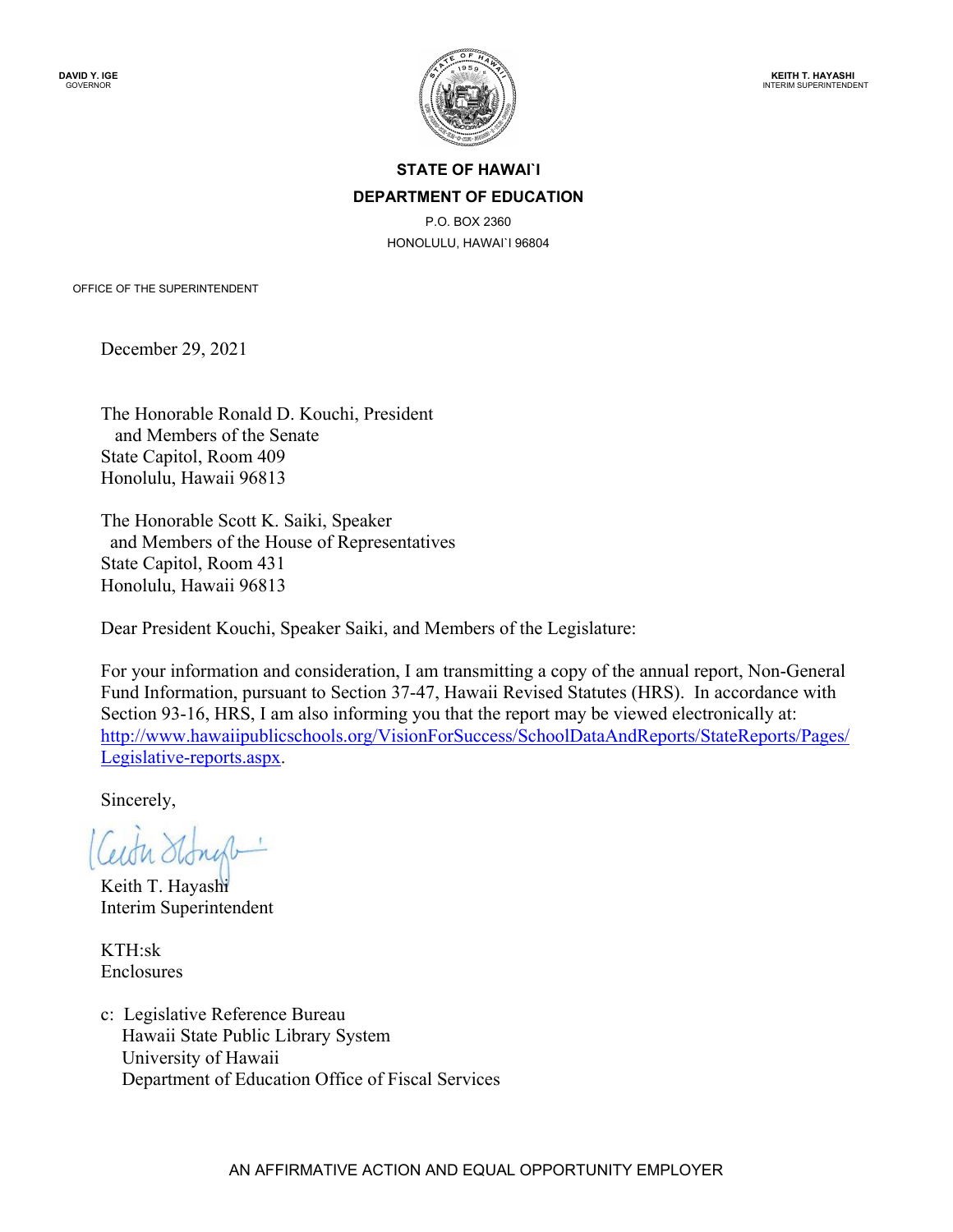

## **STATE OF HAWAI`I DEPARTMENT OF EDUCATION**

P.O. BOX 2360 HONOLULU, HAWAI`I 96804

OFFICE OF THE SUPERINTENDENT

December 29, 2021

The Honorable Ronald D. Kouchi, President and Members of the Senate State Capitol, Room 409 Honolulu, Hawaii 96813

The Honorable Scott K. Saiki, Speaker and Members of the House of Representatives State Capitol, Room 431 Honolulu, Hawaii 96813

Dear President Kouchi, Speaker Saiki, and Members of the Legislature:

For your information and consideration, I am transmitting a copy of the annual report, Non-General Fund Information, pursuant to Section 37-47, Hawaii Revised Statutes (HRS). In accordance with Section 93-16, HRS, I am also informing you that the report may be viewed electronically at: [http://www.hawaiipublicschools.org/VisionForSuccess/SchoolDataAndReports/StateReports/Pages/](http://www.hawaiipublicschools.org/VisionForSuccess/SchoolDataAndReports/StateReports/Pages/Legislative-reports.aspx) [Legislative-reports.aspx.](http://www.hawaiipublicschools.org/VisionForSuccess/SchoolDataAndReports/StateReports/Pages/Legislative-reports.aspx)

Sincerely,

Keith T. Hayashi Interim Superintendent

KTH:sk Enclosures

c: Legislative Reference Bureau Hawaii State Public Library System University of Hawaii Department of Education Office of Fiscal Services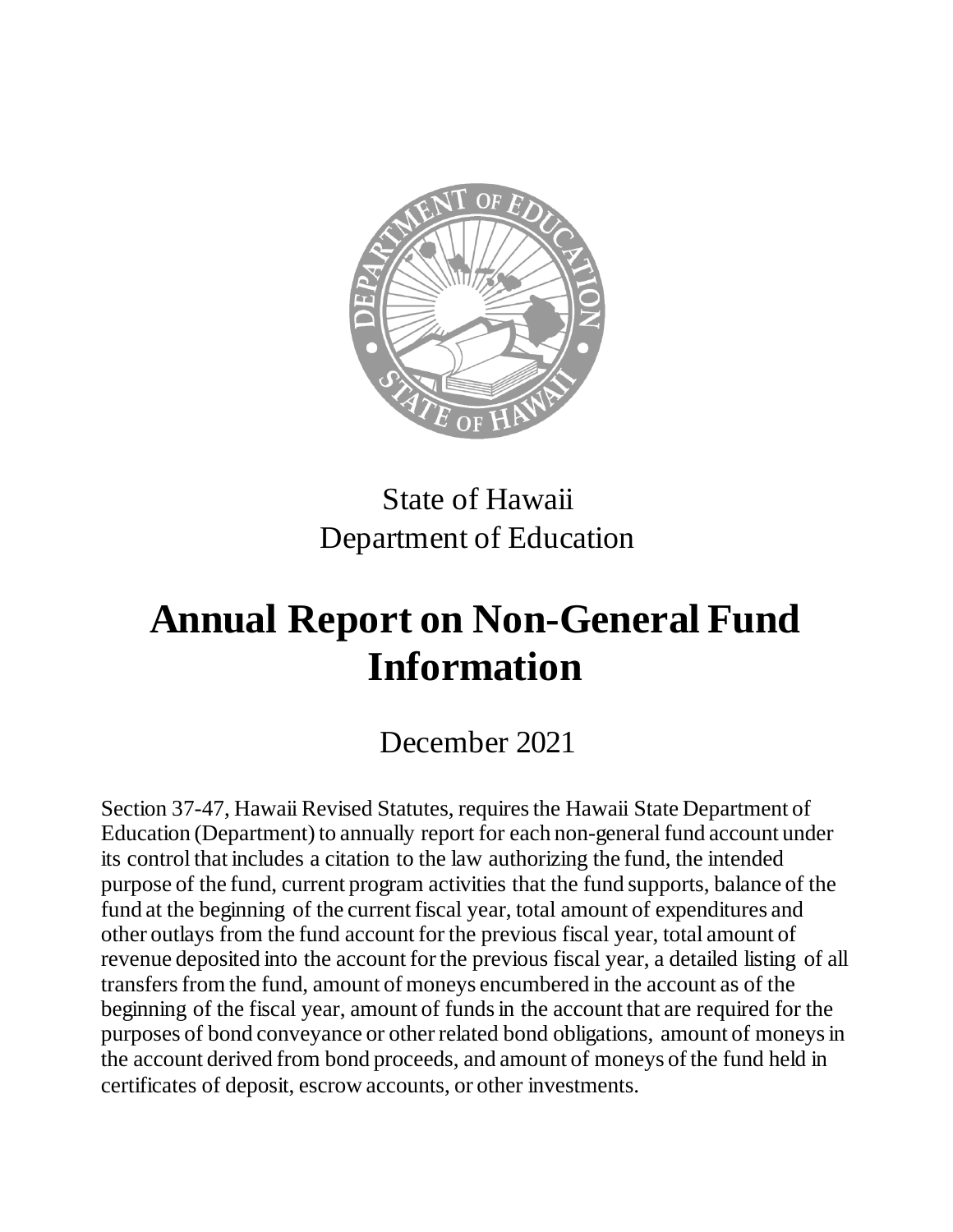

## State of Hawaii Department of Education

# **Annual Report on Non-General Fund Information**

## December 2021

Section 37-47, Hawaii Revised Statutes, requires the Hawaii State Department of Education (Department) to annually report for each non-general fund account under its control that includes a citation to the law authorizing the fund, the intended purpose of the fund, current program activities that the fund supports, balance of the fund at the beginning of the current fiscal year, total amount of expenditures and other outlays from the fund account for the previous fiscal year, total amount of revenue deposited into the account for the previous fiscal year, a detailed listing of all transfers from the fund, amount of moneys encumbered in the account as of the beginning of the fiscal year, amount of funds in the account that are required for the purposes of bond conveyance or other related bond obligations, amount of moneys in the account derived from bond proceeds, and amount of moneys of the fund held in certificates of deposit, escrow accounts, or other investments.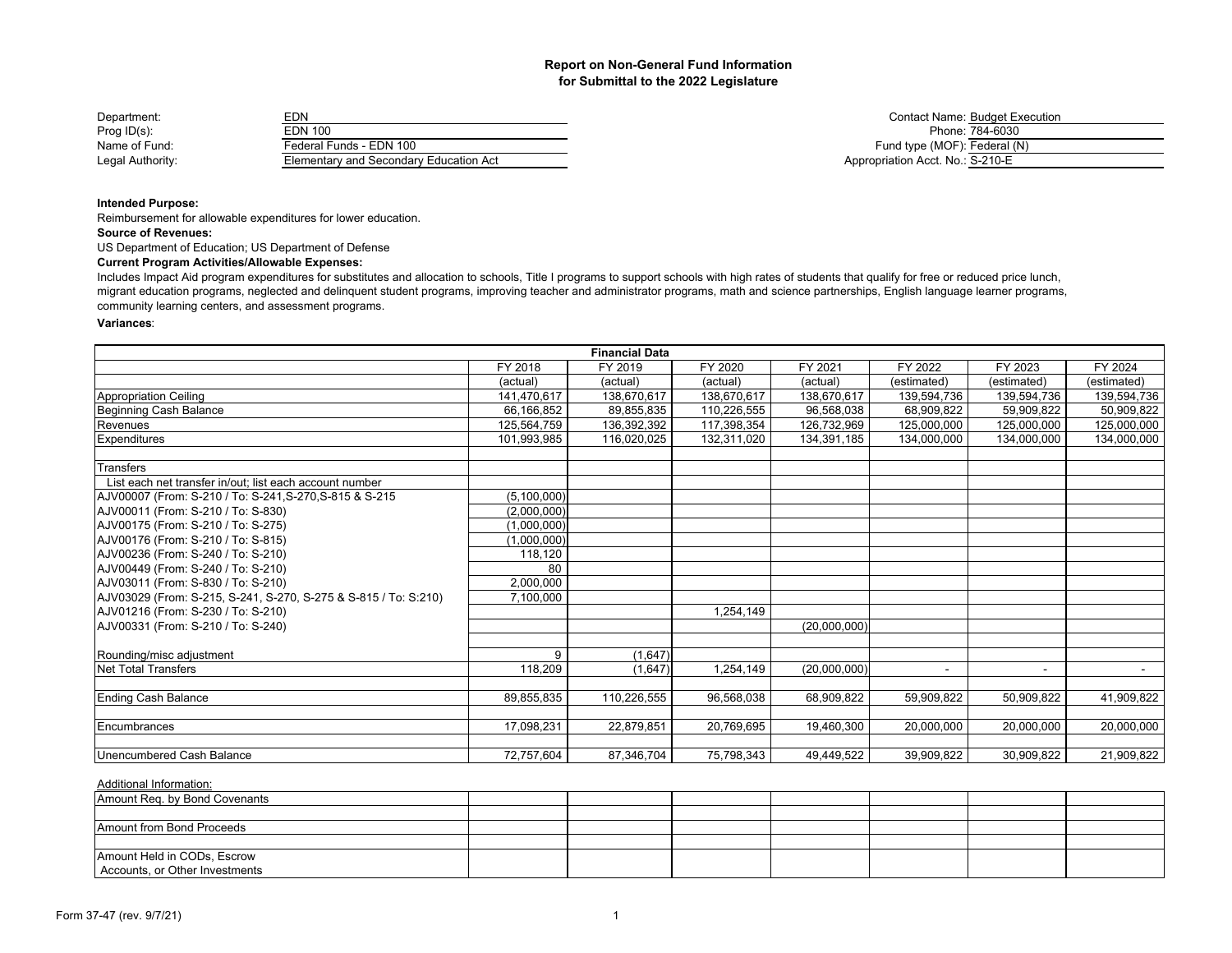| Department:      | EDN                                    |
|------------------|----------------------------------------|
| $Proof$ ID(s):   | <b>EDN 100</b>                         |
| Name of Fund:    | Federal Funds - EDN 100                |
| Legal Authority: | Elementary and Secondary Education Act |

Contact Name: Budget Execution Phone: 784-6030 Fund type (MOF): Federal (N) Appropriation Acct. No.: S-210-E

## **Intended Purpose:**

Reimbursement for allowable expenditures for lower education.

## **Source of Revenues:**

US Department of Education; US Department of Defense

#### **Current Program Activities/Allowable Expenses:**

Includes Impact Aid program expenditures for substitutes and allocation to schools, Title I programs to support schools with high rates of students that qualify for free or reduced price lunch, migrant education programs, neglected and delinquent student programs, improving teacher and administrator programs, math and science partnerships, English language learner programs, community learning centers, and assessment programs.

#### **Variances**:

| <b>Financial Data</b>                                           |             |             |             |              |             |             |             |
|-----------------------------------------------------------------|-------------|-------------|-------------|--------------|-------------|-------------|-------------|
|                                                                 | FY 2018     | FY 2019     | FY 2020     | FY 2021      | FY 2022     | FY 2023     | FY 2024     |
|                                                                 | (actual)    | (actual)    | (actual)    | (actual)     | (estimated) | (estimated) | (estimated) |
| <b>Appropriation Ceiling</b>                                    | 141,470,617 | 138,670,617 | 138,670,617 | 138,670,617  | 139,594,736 | 139,594,736 | 139,594,736 |
| Beginning Cash Balance                                          | 66,166,852  | 89,855,835  | 110,226,555 | 96,568,038   | 68,909,822  | 59,909,822  | 50,909,822  |
| Revenues                                                        | 125,564,759 | 136,392,392 | 117,398,354 | 126,732,969  | 125,000,000 | 125,000,000 | 125,000,000 |
| Expenditures                                                    | 101,993,985 | 116,020,025 | 132,311,020 | 134,391,185  | 134,000,000 | 134,000,000 | 134,000,000 |
| Transfers                                                       |             |             |             |              |             |             |             |
| List each net transfer in/out: list each account number         |             |             |             |              |             |             |             |
| AJV00007 (From: S-210 / To: S-241, S-270, S-815 & S-215         | (5,100,000) |             |             |              |             |             |             |
| AJV00011 (From: S-210 / To: S-830)                              | (2,000,000) |             |             |              |             |             |             |
| AJV00175 (From: S-210 / To: S-275)                              | (1,000,000) |             |             |              |             |             |             |
| AJV00176 (From: S-210 / To: S-815)                              | (1,000,000) |             |             |              |             |             |             |
| AJV00236 (From: S-240 / To: S-210)                              | 118,120     |             |             |              |             |             |             |
| AJV00449 (From: S-240 / To: S-210)                              | 80          |             |             |              |             |             |             |
| AJV03011 (From: S-830 / To: S-210)                              | 2,000,000   |             |             |              |             |             |             |
| AJV03029 (From: S-215, S-241, S-270, S-275 & S-815 / To: S:210) | 7,100,000   |             |             |              |             |             |             |
| AJV01216 (From: S-230 / To: S-210)                              |             |             | 1,254,149   |              |             |             |             |
| AJV00331 (From: S-210 / To: S-240)                              |             |             |             | (20,000,000) |             |             |             |
| Rounding/misc adjustment                                        | 9           | (1,647)     |             |              |             |             |             |
| <b>Net Total Transfers</b>                                      | 118,209     | (1,647)     | 1,254,149   | (20,000,000) |             | $\sim$      | $\sim$      |
| <b>Ending Cash Balance</b>                                      | 89,855,835  | 110,226,555 | 96,568,038  | 68,909,822   | 59,909,822  | 50,909,822  | 41,909,822  |
| Encumbrances                                                    | 17,098,231  | 22,879,851  | 20,769,695  | 19,460,300   | 20,000,000  | 20,000,000  | 20,000,000  |
| Unencumbered Cash Balance                                       | 72,757,604  | 87,346,704  | 75,798,343  | 49,449,522   | 39,909,822  | 30,909,822  | 21,909,822  |

| Amount Reg. by Bond Covenants  |  |  |  |  |
|--------------------------------|--|--|--|--|
|                                |  |  |  |  |
| Amount from Bond Proceeds      |  |  |  |  |
|                                |  |  |  |  |
| Amount Held in CODs, Escrow    |  |  |  |  |
| Accounts, or Other Investments |  |  |  |  |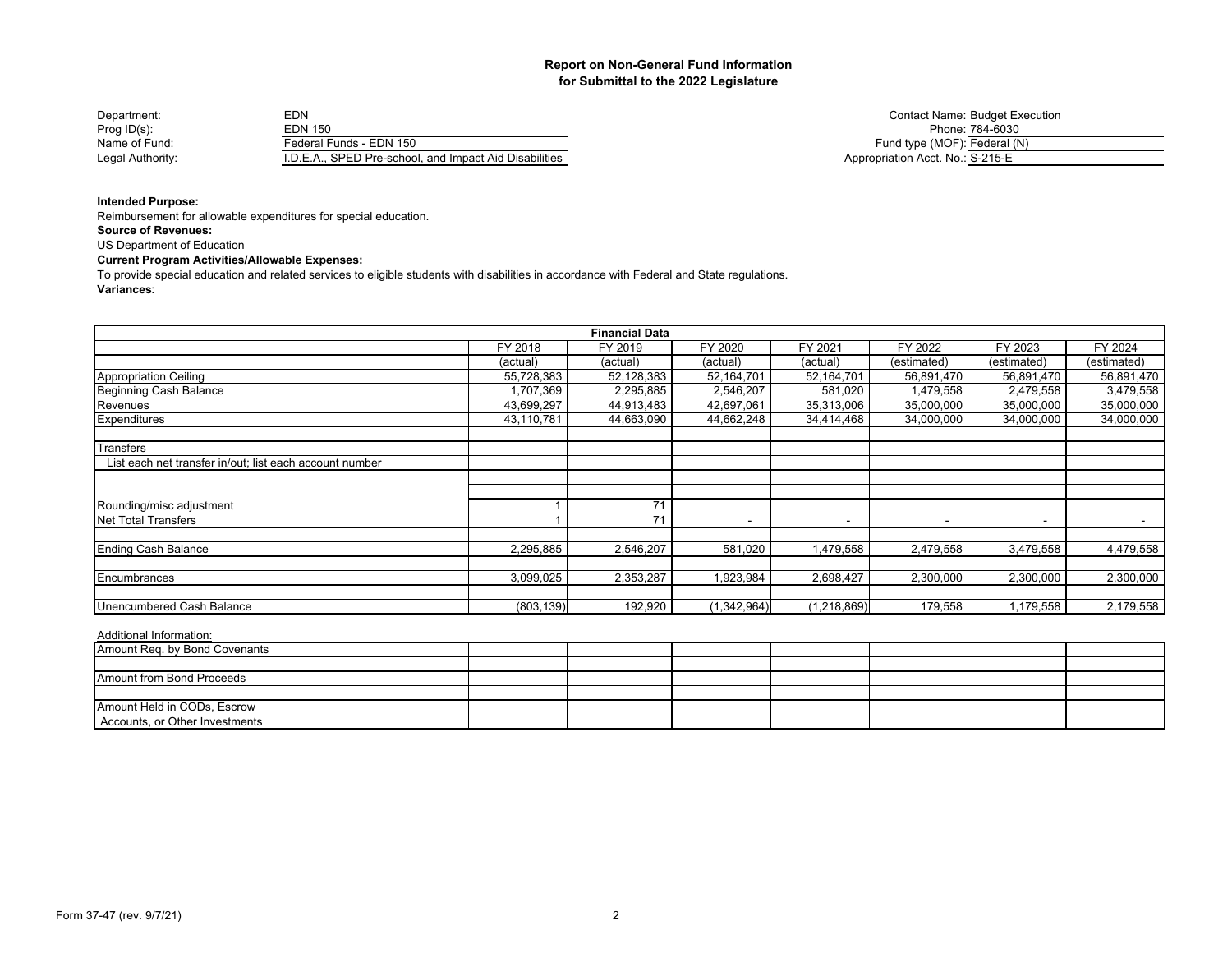| Department:      | EDN                                                    | <b>Contact Name: Budget E</b>    |
|------------------|--------------------------------------------------------|----------------------------------|
| Prog $ID(s)$ :   | EDN 150                                                | Phone: 784-6030                  |
| Name of Fund:    | Federal Funds - EDN 150                                | Fund type (MOF): Federal (       |
| Legal Authority: | I.D.E.A., SPED Pre-school, and Impact Aid Disabilities | Appropriation Acct. No.: S-215-E |

Contact Name: Budget Execution<br>Phone: 784-6030 Fund type (MOF): Federal (N) Appropriation Acct. No.: S-215-E

## **Intended Purpose:**

Reimbursement for allowable expenditures for special education.

**Source of Revenues:**

US Department of Education

## **Current Program Activities/Allowable Expenses:**

**Variances**: To provide special education and related services to eligible students with disabilities in accordance with Federal and State regulations.

|                                                         |            | <b>Financial Data</b> |                          |               |                          |                          |                          |
|---------------------------------------------------------|------------|-----------------------|--------------------------|---------------|--------------------------|--------------------------|--------------------------|
|                                                         | FY 2018    | FY 2019               | FY 2020                  | FY 2021       | FY 2022                  | FY 2023                  | FY 2024                  |
|                                                         | (actual)   | (actual)              | (actual)                 | (actual)      | (estimated)              | (estimated)              | (estimated)              |
| Appropriation Ceiling                                   | 55,728,383 | 52,128,383            | 52,164,701               | 52,164,701    | 56,891,470               | 56,891,470               | 56,891,470               |
| Beginning Cash Balance                                  | 1,707,369  | 2,295,885             | 2,546,207                | 581,020       | 1,479,558                | 2,479,558                | 3,479,558                |
| Revenues                                                | 43,699,297 | 44,913,483            | 42,697,061               | 35,313,006    | 35,000,000               | 35,000,000               | 35,000,000               |
| <b>Expenditures</b>                                     | 43,110,781 | 44,663,090            | 44,662,248               | 34,414,468    | 34,000,000               | 34,000,000               | 34,000,000               |
| Transfers                                               |            |                       |                          |               |                          |                          |                          |
| List each net transfer in/out; list each account number |            |                       |                          |               |                          |                          |                          |
|                                                         |            |                       |                          |               |                          |                          |                          |
|                                                         |            |                       |                          |               |                          |                          |                          |
| Rounding/misc adjustment                                |            | 71                    |                          |               |                          |                          |                          |
| <b>Net Total Transfers</b>                              |            | 71                    | $\overline{\phantom{a}}$ | . .           | $\overline{\phantom{0}}$ | $\overline{\phantom{a}}$ | $\overline{\phantom{a}}$ |
| <b>Ending Cash Balance</b>                              | 2,295,885  | 2,546,207             | 581,020                  | 1,479,558     | 2,479,558                | 3,479,558                | 4,479,558                |
|                                                         |            |                       |                          |               |                          |                          |                          |
| <b>IEncumbrances</b>                                    | 3,099,025  | 2,353,287             | 1,923,984                | 2,698,427     | 2,300,000                | 2,300,000                | 2,300,000                |
|                                                         |            |                       |                          |               |                          |                          |                          |
| Unencumbered Cash Balance                               | (803, 139) | 192,920               | (1,342,964)              | (1, 218, 869) | 179,558                  | 1,179,558                | 2,179,558                |

| Amount Req. by Bond Covenants  |  |  |  |  |
|--------------------------------|--|--|--|--|
|                                |  |  |  |  |
| Amount from Bond Proceeds      |  |  |  |  |
|                                |  |  |  |  |
| Amount Held in CODs, Escrow    |  |  |  |  |
| Accounts, or Other Investments |  |  |  |  |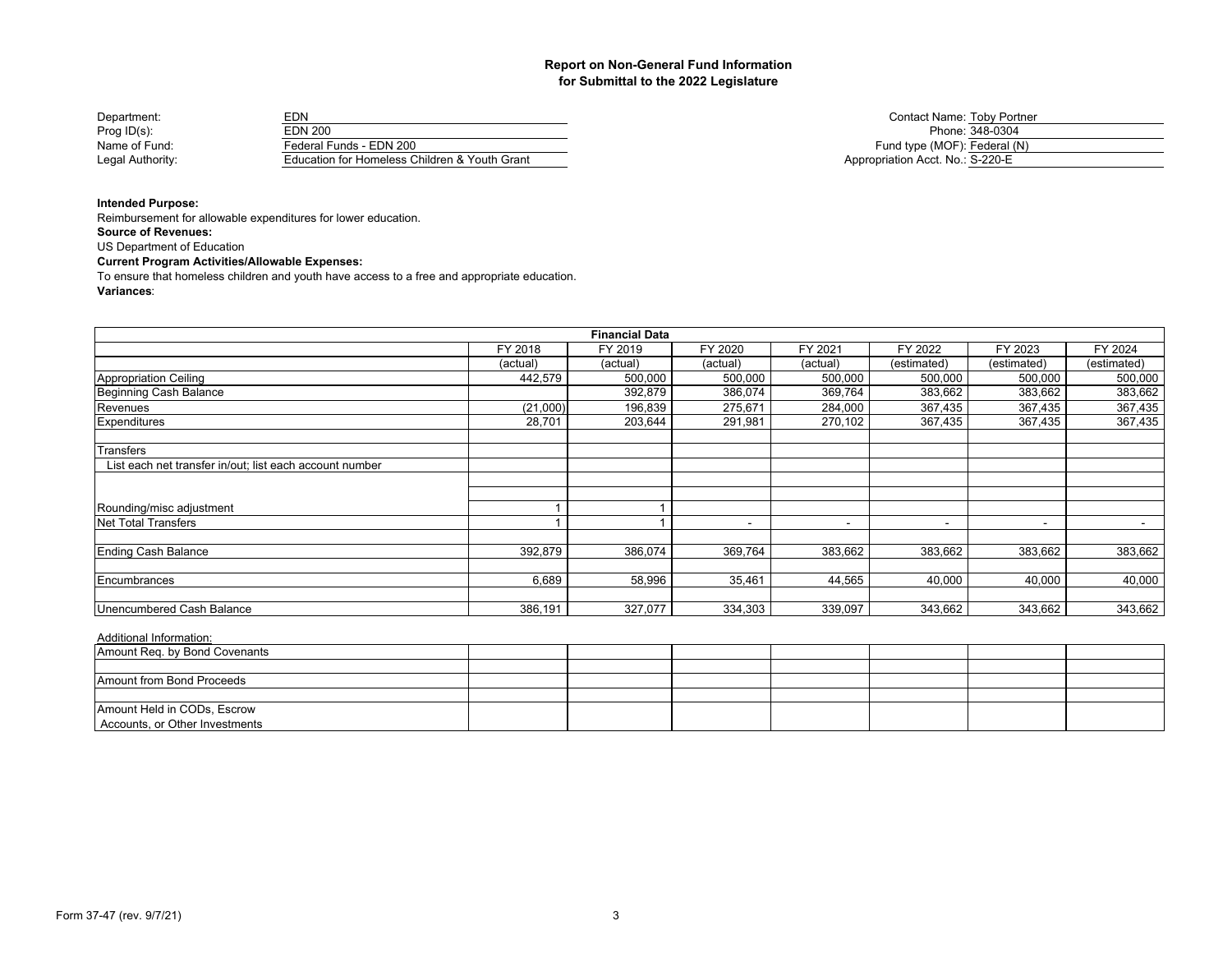| Department:      | EDN                                           | Contact Name: Toby Portn         |
|------------------|-----------------------------------------------|----------------------------------|
| Prog $ID(s)$ :   | EDN 200                                       | Phone: 348-0304                  |
| Name of Fund:    | Federal Funds - EDN 200                       | Fund type (MOF): Federal (N)     |
| Legal Authority: | Education for Homeless Children & Youth Grant | Appropriation Acct. No.: S-220-E |

Contact Name: Toby Portner Phone: 348-0304

## **Intended Purpose:**

Reimbursement for allowable expenditures for lower education.

**Source of Revenues:**

US Department of Education

## **Current Program Activities/Allowable Expenses:**

To ensure that homeless children and youth have access to a free and appropriate education.

#### **Variances**:

|                                                         |          | <b>Financial Data</b> |          |                          |                          |                          |             |
|---------------------------------------------------------|----------|-----------------------|----------|--------------------------|--------------------------|--------------------------|-------------|
|                                                         | FY 2018  | FY 2019               | FY 2020  | FY 2021                  | FY 2022                  | FY 2023                  | FY 2024     |
|                                                         | (actual) | (actual)              | (actual) | (actual)                 | (estimated)              | (estimated)              | (estimated) |
| Appropriation Ceiling                                   | 442,579  | 500,000               | 500,000  | 500,000                  | 500,000                  | 500,000                  | 500,000     |
| Beginning Cash Balance                                  |          | 392,879               | 386,074  | 369,764                  | 383,662                  | 383,662                  | 383,662     |
| Revenues                                                | (21,000) | 196,839               | 275,671  | 284,000                  | 367,435                  | 367,435                  | 367,435     |
| Expenditures                                            | 28,701   | 203,644               | 291,981  | 270,102                  | 367,435                  | 367,435                  | 367,435     |
|                                                         |          |                       |          |                          |                          |                          |             |
| Transfers                                               |          |                       |          |                          |                          |                          |             |
| List each net transfer in/out; list each account number |          |                       |          |                          |                          |                          |             |
|                                                         |          |                       |          |                          |                          |                          |             |
|                                                         |          |                       |          |                          |                          |                          |             |
| Rounding/misc adjustment                                |          |                       |          |                          |                          |                          |             |
| Net Total Transfers                                     |          |                       |          | $\overline{\phantom{a}}$ | $\overline{\phantom{a}}$ | $\overline{\phantom{a}}$ |             |
|                                                         |          |                       |          |                          |                          |                          |             |
| <b>Ending Cash Balance</b>                              | 392,879  | 386,074               | 369,764  | 383,662                  | 383,662                  | 383,662                  | 383,662     |
|                                                         |          |                       |          |                          |                          |                          |             |
| Encumbrances                                            | 6,689    | 58,996                | 35,461   | 44,565                   | 40,000                   | 40,000                   | 40,000      |
|                                                         |          |                       |          |                          |                          |                          |             |
| Unencumbered Cash Balance                               | 386,191  | 327.077               | 334,303  | 339,097                  | 343,662                  | 343,662                  | 343,662     |

| Amount Req. by Bond Covenants  |  |  |  |  |
|--------------------------------|--|--|--|--|
|                                |  |  |  |  |
| Amount from Bond Proceeds      |  |  |  |  |
|                                |  |  |  |  |
| Amount Held in CODs, Escrow    |  |  |  |  |
| Accounts, or Other Investments |  |  |  |  |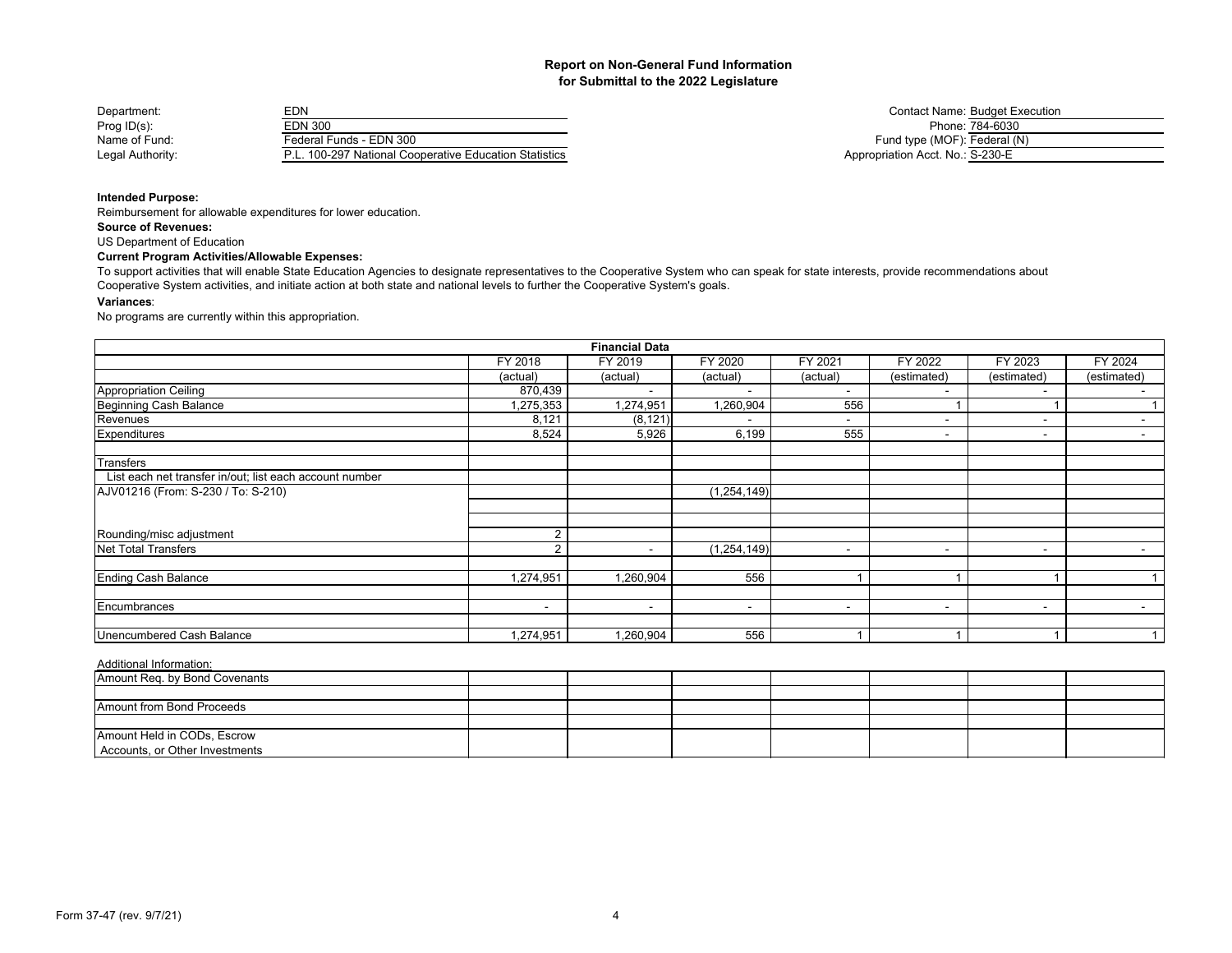| Department:      | EDN                                                    | Contact Name: Budget E           |
|------------------|--------------------------------------------------------|----------------------------------|
| Prog $ID(s)$ :   | EDN 300                                                | Phone: 784-6030                  |
| Name of Fund:    | Federal Funds - EDN 300                                | Fund type (MOF): Federal (       |
| Legal Authority: | P.L. 100-297 National Cooperative Education Statistics | Appropriation Acct. No.: S-230-E |

Contact Name: Budget Execution<br>Phone: 784-6030 Fund type (MOF): Federal (N) Appropriation Acct. No.: S-230-E

## **Intended Purpose:**

Reimbursement for allowable expenditures for lower education.

**Source of Revenues:**

US Department of Education

## **Current Program Activities/Allowable Expenses:**

To support activities that will enable State Education Agencies to designate representatives to the Cooperative System who can speak for state interests, provide recommendations about Cooperative System activities, and initiate action at both state and national levels to further the Cooperative System's goals.

#### **Variances**:

No programs are currently within this appropriation.

|                                                         |                          | <b>Financial Data</b>    |               |                          |             |                          |             |
|---------------------------------------------------------|--------------------------|--------------------------|---------------|--------------------------|-------------|--------------------------|-------------|
|                                                         | FY 2018                  | FY 2019                  | FY 2020       | FY 2021                  | FY 2022     | FY 2023                  | FY 2024     |
|                                                         | (actual)                 | (actual)                 | (actual)      | (actual)                 | (estimated) | (estimated)              | (estimated) |
| <b>Appropriation Ceiling</b>                            | 870,439                  |                          |               |                          |             | -                        |             |
| <b>Beginning Cash Balance</b>                           | 1,275,353                | 1,274,951                | 1,260,904     | 556                      |             |                          |             |
| Revenues                                                | 8,121                    | (8, 121)                 |               |                          |             |                          |             |
| Expenditures                                            | 8,524                    | 5,926                    | 6,199         | 555                      |             | $\overline{\phantom{a}}$ |             |
| Transfers                                               |                          |                          |               |                          |             |                          |             |
| List each net transfer in/out; list each account number |                          |                          |               |                          |             |                          |             |
| AJV01216 (From: S-230 / To: S-210)                      |                          |                          | (1, 254, 149) |                          |             |                          |             |
|                                                         |                          |                          |               |                          |             |                          |             |
| Rounding/misc adjustment                                | 2                        |                          |               |                          |             |                          |             |
| Net Total Transfers                                     | $\overline{2}$           | -                        | (1, 254, 149) | $\overline{\phantom{a}}$ | $\,$ $\,$   | $\overline{\phantom{a}}$ | $\,$ $\,$   |
| <b>Ending Cash Balance</b>                              | 1,274,951                | 1,260,904                | 556           |                          |             |                          |             |
| Encumbrances                                            | $\overline{\phantom{a}}$ | $\overline{\phantom{0}}$ | $\,$          | $\overline{\phantom{a}}$ | $\,$ $\,$   | $\overline{\phantom{a}}$ | $\sim$      |
|                                                         |                          |                          |               |                          |             |                          |             |
| Unencumbered Cash Balance                               | 1,274,951                | 1,260,904                | 556           |                          |             |                          |             |

| Amount Req. by Bond Covenants  |  |  |  |  |
|--------------------------------|--|--|--|--|
|                                |  |  |  |  |
| Amount from Bond Proceeds      |  |  |  |  |
|                                |  |  |  |  |
| Amount Held in CODs, Escrow    |  |  |  |  |
| Accounts, or Other Investments |  |  |  |  |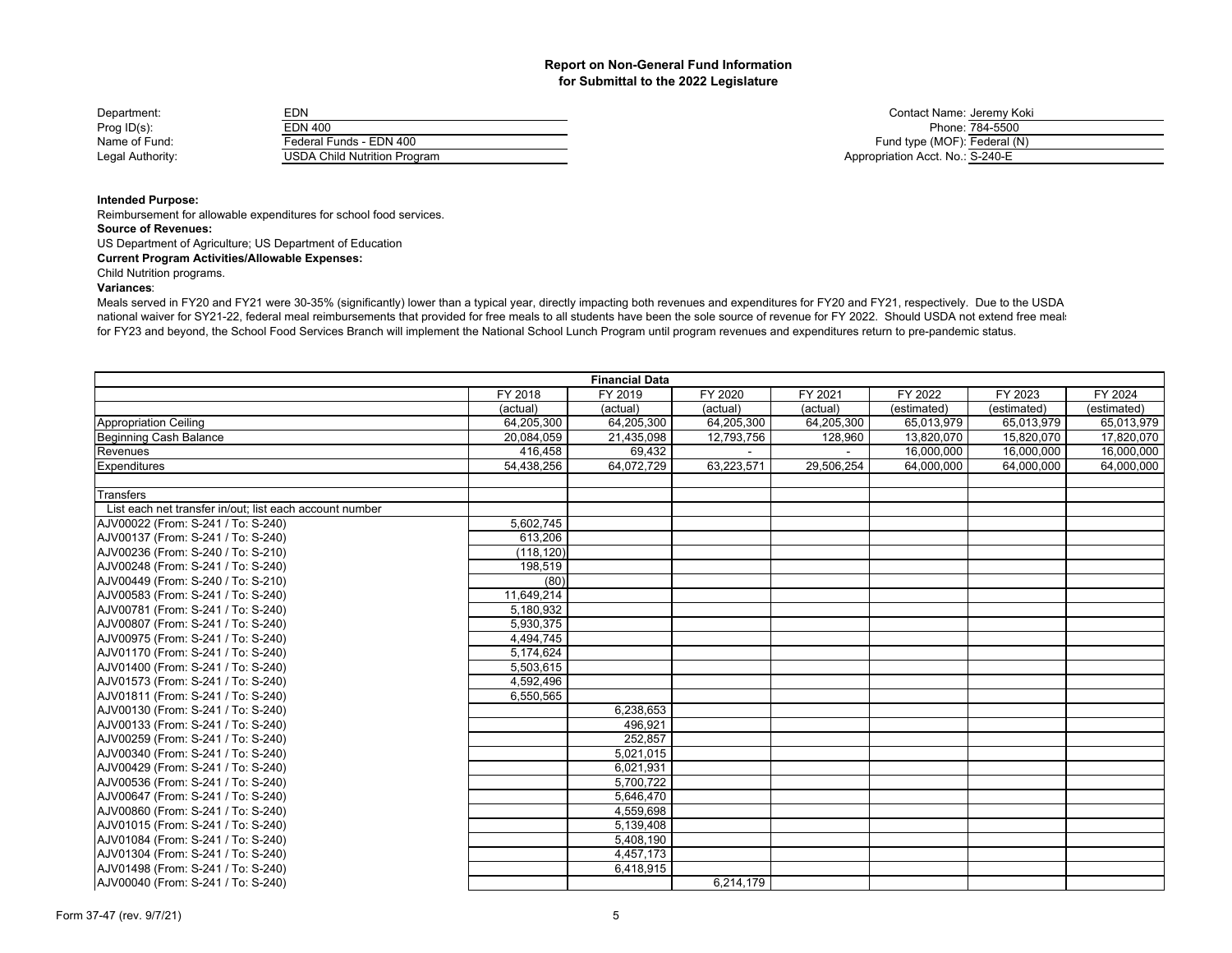| Department:      | EDN                          | Contact Name: Jeremy K           |
|------------------|------------------------------|----------------------------------|
| Prog $ID(s)$ :   | EDN 400                      | Phone: 784-5500                  |
| Name of Fund:    | Federal Funds - EDN 400      | Fund type (MOF): Federal (       |
| Legal Authority: | USDA Child Nutrition Program | Appropriation Acct. No.: S-240-E |

Contact Name: Jeremy Koki Fund type (MOF): Federal (N) Appropriation Acct. No.: S-240-E

## **Intended Purpose:**

Reimbursement for allowable expenditures for school food services.

## **Source of Revenues:**

US Department of Agriculture; US Department of Education

## **Current Program Activities/Allowable Expenses:**

## Child Nutrition programs.

## **Variances**:

Meals served in FY20 and FY21 were 30-35% (significantly) lower than a typical year, directly impacting both revenues and expenditures for FY20 and FY21, respectively. Due to the USDA national waiver for SY21-22, federal meal reimbursements that provided for free meals to all students have been the sole source of revenue for FY 2022. Should USDA not extend free meals for FY23 and beyond, the School Food Services Branch will implement the National School Lunch Program until program revenues and expenditures return to pre-pandemic status.

|                                                         |            | <b>Financial Data</b> |            |            |             |             |             |
|---------------------------------------------------------|------------|-----------------------|------------|------------|-------------|-------------|-------------|
|                                                         | FY 2018    | FY 2019               | FY 2020    | FY 2021    | FY 2022     | FY 2023     | FY 2024     |
|                                                         | (actual)   | (actual)              | (actual)   | (actual)   | (estimated) | (estimated) | (estimated) |
| <b>Appropriation Ceiling</b>                            | 64,205,300 | 64,205,300            | 64,205,300 | 64,205,300 | 65,013,979  | 65,013,979  | 65,013,979  |
| Beginning Cash Balance                                  | 20.084.059 | 21,435,098            | 12,793,756 | 128,960    | 13,820,070  | 15,820,070  | 17.820.070  |
| <b>Revenues</b>                                         | 416,458    | 69,432                |            |            | 16,000,000  | 16,000,000  | 16,000,000  |
| Expenditures                                            | 54,438,256 | 64,072,729            | 63,223,571 | 29,506,254 | 64,000,000  | 64,000,000  | 64,000,000  |
|                                                         |            |                       |            |            |             |             |             |
| <b>Transfers</b>                                        |            |                       |            |            |             |             |             |
| List each net transfer in/out; list each account number |            |                       |            |            |             |             |             |
| AJV00022 (From: S-241 / To: S-240)                      | 5,602,745  |                       |            |            |             |             |             |
| AJV00137 (From: S-241 / To: S-240)                      | 613,206    |                       |            |            |             |             |             |
| AJV00236 (From: S-240 / To: S-210)                      | (118, 120) |                       |            |            |             |             |             |
| AJV00248 (From: S-241 / To: S-240)                      | 198,519    |                       |            |            |             |             |             |
| AJV00449 (From: S-240 / To: S-210)                      | (80)       |                       |            |            |             |             |             |
| AJV00583 (From: S-241 / To: S-240)                      | 11,649,214 |                       |            |            |             |             |             |
| AJV00781 (From: S-241 / To: S-240)                      | 5,180,932  |                       |            |            |             |             |             |
| AJV00807 (From: S-241 / To: S-240)                      | 5,930,375  |                       |            |            |             |             |             |
| AJV00975 (From: S-241 / To: S-240)                      | 4,494,745  |                       |            |            |             |             |             |
| AJV01170 (From: S-241 / To: S-240)                      | 5,174,624  |                       |            |            |             |             |             |
| AJV01400 (From: S-241 / To: S-240)                      | 5,503,615  |                       |            |            |             |             |             |
| AJV01573 (From: S-241 / To: S-240)                      | 4,592,496  |                       |            |            |             |             |             |
| AJV01811 (From: S-241 / To: S-240)                      | 6,550,565  |                       |            |            |             |             |             |
| AJV00130 (From: S-241 / To: S-240)                      |            | 6,238,653             |            |            |             |             |             |
| AJV00133 (From: S-241 / To: S-240)                      |            | 496,921               |            |            |             |             |             |
| AJV00259 (From: S-241 / To: S-240)                      |            | 252,857               |            |            |             |             |             |
| AJV00340 (From: S-241 / To: S-240)                      |            | 5,021,015             |            |            |             |             |             |
| AJV00429 (From: S-241 / To: S-240)                      |            | 6,021,931             |            |            |             |             |             |
| AJV00536 (From: S-241 / To: S-240)                      |            | 5,700,722             |            |            |             |             |             |
| AJV00647 (From: S-241 / To: S-240)                      |            | 5,646,470             |            |            |             |             |             |
| AJV00860 (From: S-241 / To: S-240)                      |            | 4,559,698             |            |            |             |             |             |
| AJV01015 (From: S-241 / To: S-240)                      |            | 5,139,408             |            |            |             |             |             |
| AJV01084 (From: S-241 / To: S-240)                      |            | 5,408,190             |            |            |             |             |             |
| AJV01304 (From: S-241 / To: S-240)                      |            | 4,457,173             |            |            |             |             |             |
| AJV01498 (From: S-241 / To: S-240)                      |            | 6,418,915             |            |            |             |             |             |
| AJV00040 (From: S-241 / To: S-240)                      |            |                       | 6,214,179  |            |             |             |             |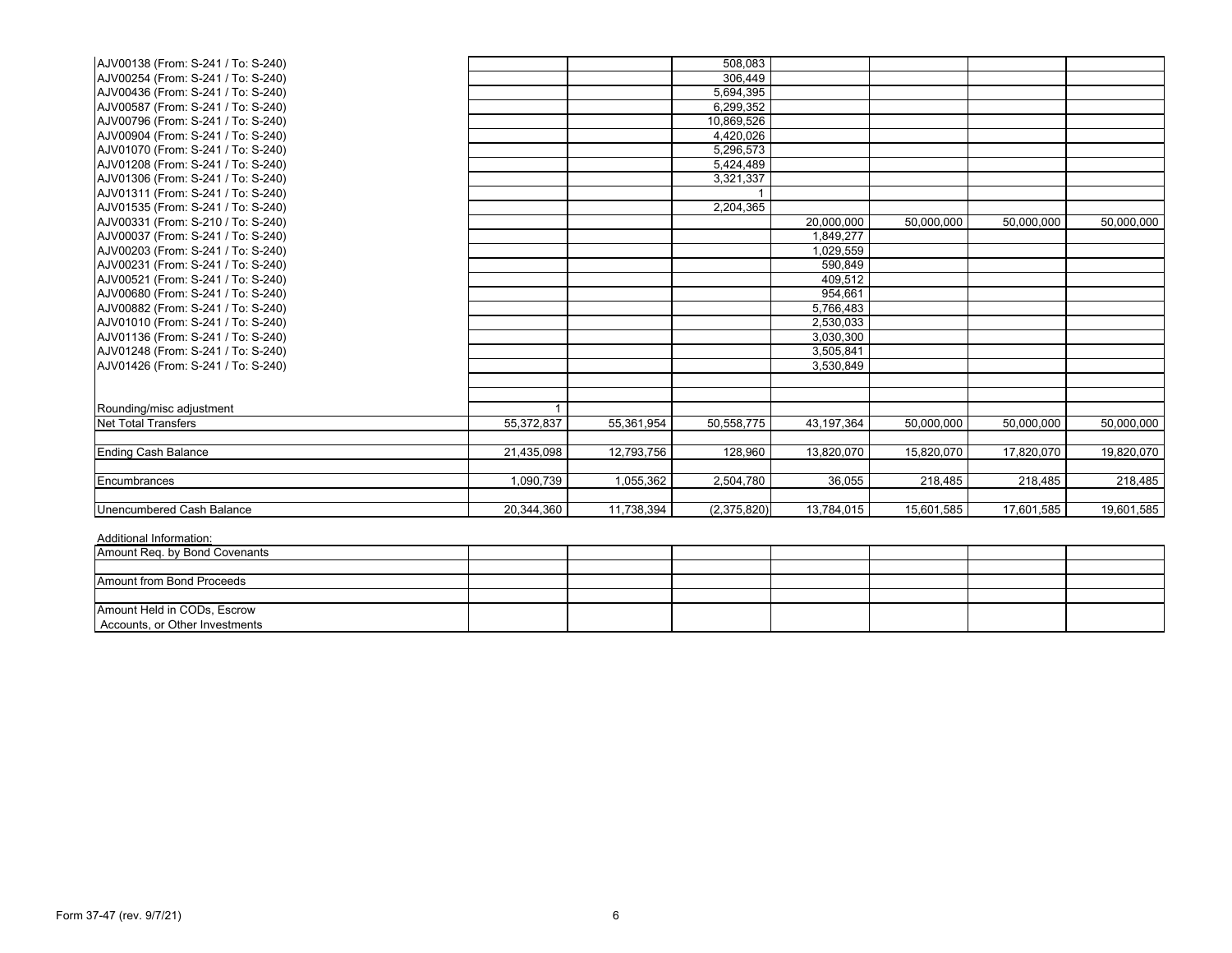| AJV00138 (From: S-241 / To: S-240) |            |            | 508,083     |            |            |            |            |
|------------------------------------|------------|------------|-------------|------------|------------|------------|------------|
| AJV00254 (From: S-241 / To: S-240) |            |            | 306,449     |            |            |            |            |
| AJV00436 (From: S-241 / To: S-240) |            |            | 5,694,395   |            |            |            |            |
| AJV00587 (From: S-241 / To: S-240) |            |            | 6,299,352   |            |            |            |            |
| AJV00796 (From: S-241 / To: S-240) |            |            | 10.869.526  |            |            |            |            |
| AJV00904 (From: S-241 / To: S-240) |            |            | 4,420,026   |            |            |            |            |
| AJV01070 (From: S-241 / To: S-240) |            |            | 5,296,573   |            |            |            |            |
| AJV01208 (From: S-241 / To: S-240) |            |            | 5,424,489   |            |            |            |            |
| AJV01306 (From: S-241 / To: S-240) |            |            | 3,321,337   |            |            |            |            |
| AJV01311 (From: S-241 / To: S-240) |            |            |             |            |            |            |            |
| AJV01535 (From: S-241 / To: S-240) |            |            | 2.204.365   |            |            |            |            |
| AJV00331 (From: S-210 / To: S-240) |            |            |             | 20,000,000 | 50,000,000 | 50,000,000 | 50,000,000 |
| AJV00037 (From: S-241 / To: S-240) |            |            |             | 1,849,277  |            |            |            |
| AJV00203 (From: S-241 / To: S-240) |            |            |             | 1,029,559  |            |            |            |
| AJV00231 (From: S-241 / To: S-240) |            |            |             | 590,849    |            |            |            |
| AJV00521 (From: S-241 / To: S-240) |            |            |             | 409,512    |            |            |            |
| AJV00680 (From: S-241 / To: S-240) |            |            |             | 954,661    |            |            |            |
| AJV00882 (From: S-241 / To: S-240) |            |            |             | 5,766,483  |            |            |            |
| AJV01010 (From: S-241 / To: S-240) |            |            |             | 2,530,033  |            |            |            |
| AJV01136 (From: S-241 / To: S-240) |            |            |             | 3,030,300  |            |            |            |
| AJV01248 (From: S-241 / To: S-240) |            |            |             | 3,505,841  |            |            |            |
| AJV01426 (From: S-241 / To: S-240) |            |            |             | 3,530,849  |            |            |            |
|                                    |            |            |             |            |            |            |            |
|                                    |            |            |             |            |            |            |            |
| Rounding/misc adjustment           |            |            |             |            |            |            |            |
| <b>Net Total Transfers</b>         | 55,372,837 | 55,361,954 | 50,558,775  | 43,197,364 | 50,000,000 | 50,000,000 | 50,000,000 |
| <b>Ending Cash Balance</b>         | 21,435,098 | 12,793,756 | 128,960     | 13,820,070 | 15,820,070 | 17,820,070 | 19,820,070 |
| <b>Encumbrances</b>                | 1,090,739  | 1,055,362  | 2,504,780   | 36,055     | 218,485    | 218,485    | 218,485    |
| Unencumbered Cash Balance          | 20,344,360 | 11,738,394 | (2,375,820) | 13,784,015 | 15,601,585 | 17,601,585 | 19,601,585 |

| Amount Reg. by Bond Covenants  |  |  |  |  |
|--------------------------------|--|--|--|--|
|                                |  |  |  |  |
| Amount from Bond Proceeds      |  |  |  |  |
|                                |  |  |  |  |
| Amount Held in CODs, Escrow    |  |  |  |  |
| Accounts, or Other Investments |  |  |  |  |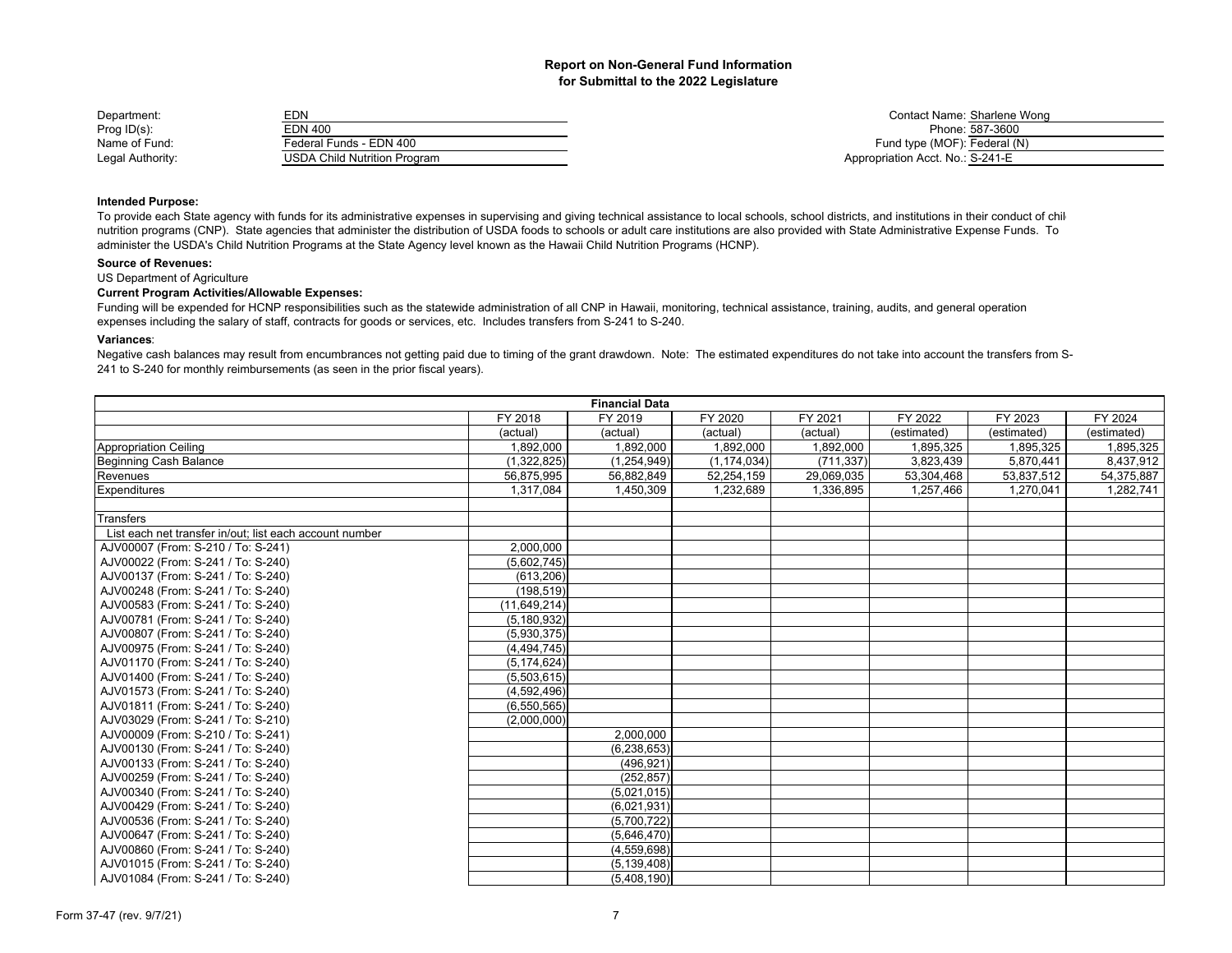| Department:      | EDN                          | <b>Contact Name: Sharlene</b>    |
|------------------|------------------------------|----------------------------------|
| Prog $ID(s)$ :   | EDN 400                      | Phone: 587-3600                  |
| Name of Fund:    | Federal Funds - EDN 400      | Fund type (MOF): Federal (       |
| Legal Authority: | USDA Child Nutrition Program | Appropriation Acct. No.: S-241-E |

Contact Name: Sharlene Wong<br>Phone: 587-3600 Fund type (MOF): Federal (N) Appropriation Acct. No.: S-241-E

## **Intended Purpose:**

To provide each State agency with funds for its administrative expenses in supervising and giving technical assistance to local schools, school districts, and institutions in their conduct of child nutrition programs (CNP). State agencies that administer the distribution of USDA foods to schools or adult care institutions are also provided with State Administrative Expense Funds. To administer the USDA's Child Nutrition Programs at the State Agency level known as the Hawaii Child Nutrition Programs (HCNP).

#### **Source of Revenues:**

US Department of Agriculture

## **Current Program Activities/Allowable Expenses:**

Funding will be expended for HCNP responsibilities such as the statewide administration of all CNP in Hawaii, monitoring, technical assistance, training, audits, and general operation expenses including the salary of staff, contracts for goods or services, etc. Includes transfers from S-241 to S-240.

#### **Variances**:

Negative cash balances may result from encumbrances not getting paid due to timing of the grant drawdown. Note: The estimated expenditures do not take into account the transfers from S-241 to S-240 for monthly reimbursements (as seen in the prior fiscal years).

| <b>Financial Data</b>                                   |               |               |               |            |             |             |             |
|---------------------------------------------------------|---------------|---------------|---------------|------------|-------------|-------------|-------------|
|                                                         | FY 2018       | FY 2019       | FY 2020       | FY 2021    | FY 2022     | FY 2023     | FY 2024     |
|                                                         | (actual)      | (actual)      | (actual)      | (actual)   | (estimated) | (estimated) | (estimated) |
| <b>Appropriation Ceiling</b>                            | 1,892,000     | 1,892,000     | 1,892,000     | 1,892,000  | 1,895,325   | 1,895,325   | 1,895,325   |
| Beginning Cash Balance                                  | (1,322,825)   | (1,254,949)   | (1, 174, 034) | (711, 337) | 3,823,439   | 5,870,441   | 8,437,912   |
| Revenues                                                | 56,875,995    | 56,882,849    | 52,254,159    | 29,069,035 | 53,304,468  | 53,837,512  | 54,375,887  |
| <b>Expenditures</b>                                     | 1,317,084     | 1,450,309     | 1,232,689     | 1,336,895  | 1,257,466   | 1,270,041   | 1,282,741   |
|                                                         |               |               |               |            |             |             |             |
| <b>Transfers</b>                                        |               |               |               |            |             |             |             |
| List each net transfer in/out; list each account number |               |               |               |            |             |             |             |
| AJV00007 (From: S-210 / To: S-241)                      | 2,000,000     |               |               |            |             |             |             |
| AJV00022 (From: S-241 / To: S-240)                      | (5.602.745)   |               |               |            |             |             |             |
| AJV00137 (From: S-241 / To: S-240)                      | (613, 206)    |               |               |            |             |             |             |
| AJV00248 (From: S-241 / To: S-240)                      | (198, 519)    |               |               |            |             |             |             |
| AJV00583 (From: S-241 / To: S-240)                      | (11,649,214)  |               |               |            |             |             |             |
| AJV00781 (From: S-241 / To: S-240)                      | (5, 180, 932) |               |               |            |             |             |             |
| AJV00807 (From: S-241 / To: S-240)                      | (5,930,375)   |               |               |            |             |             |             |
| AJV00975 (From: S-241 / To: S-240)                      | (4,494,745)   |               |               |            |             |             |             |
| AJV01170 (From: S-241 / To: S-240)                      | (5, 174, 624) |               |               |            |             |             |             |
| AJV01400 (From: S-241 / To: S-240)                      | (5,503,615)   |               |               |            |             |             |             |
| AJV01573 (From: S-241 / To: S-240)                      | (4,592,496)   |               |               |            |             |             |             |
| AJV01811 (From: S-241 / To: S-240)                      | (6,550,565)   |               |               |            |             |             |             |
| AJV03029 (From: S-241 / To: S-210)                      | (2,000,000)   |               |               |            |             |             |             |
| AJV00009 (From: S-210 / To: S-241)                      |               | 2,000,000     |               |            |             |             |             |
| AJV00130 (From: S-241 / To: S-240)                      |               | (6, 238, 653) |               |            |             |             |             |
| AJV00133 (From: S-241 / To: S-240)                      |               | (496, 921)    |               |            |             |             |             |
| AJV00259 (From: S-241 / To: S-240)                      |               | (252, 857)    |               |            |             |             |             |
| AJV00340 (From: S-241 / To: S-240)                      |               | (5,021,015)   |               |            |             |             |             |
| AJV00429 (From: S-241 / To: S-240)                      |               | (6,021,931)   |               |            |             |             |             |
| AJV00536 (From: S-241 / To: S-240)                      |               | (5,700,722)   |               |            |             |             |             |
| AJV00647 (From: S-241 / To: S-240)                      |               | (5,646,470)   |               |            |             |             |             |
| AJV00860 (From: S-241 / To: S-240)                      |               | (4,559,698)   |               |            |             |             |             |
| AJV01015 (From: S-241 / To: S-240)                      |               | (5, 139, 408) |               |            |             |             |             |
| AJV01084 (From: S-241 / To: S-240)                      |               | (5,408,190)   |               |            |             |             |             |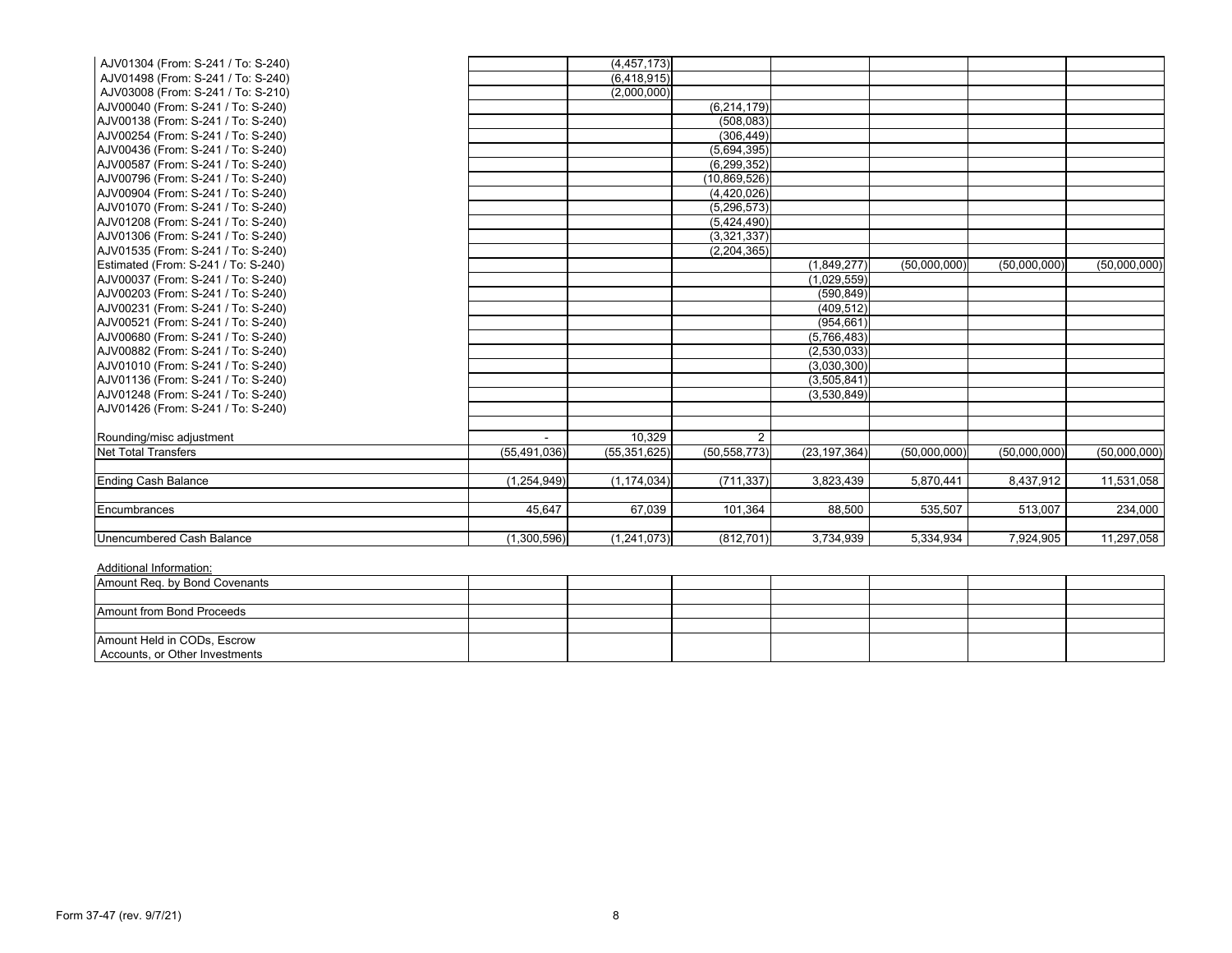| AJV01304 (From: S-241 / To: S-240)  |                | (4, 457, 173)  |                |                |              |              |              |
|-------------------------------------|----------------|----------------|----------------|----------------|--------------|--------------|--------------|
| AJV01498 (From: S-241 / To: S-240)  |                | (6,418,915)    |                |                |              |              |              |
| AJV03008 (From: S-241 / To: S-210)  |                | (2,000,000)    |                |                |              |              |              |
| AJV00040 (From: S-241 / To: S-240)  |                |                | (6, 214, 179)  |                |              |              |              |
| AJV00138 (From: S-241 / To: S-240)  |                |                | (508, 083)     |                |              |              |              |
| AJV00254 (From: S-241 / To: S-240)  |                |                | (306.449)      |                |              |              |              |
| AJV00436 (From: S-241 / To: S-240)  |                |                | (5,694,395)    |                |              |              |              |
| AJV00587 (From: S-241 / To: S-240)  |                |                | (6, 299, 352)  |                |              |              |              |
| AJV00796 (From: S-241 / To: S-240)  |                |                | (10, 869, 526) |                |              |              |              |
| AJV00904 (From: S-241 / To: S-240)  |                |                | (4,420,026)    |                |              |              |              |
| AJV01070 (From: S-241 / To: S-240)  |                |                | (5, 296, 573)  |                |              |              |              |
| AJV01208 (From: S-241 / To: S-240)  |                |                | (5,424,490)    |                |              |              |              |
| AJV01306 (From: S-241 / To: S-240)  |                |                | (3,321,337)    |                |              |              |              |
| AJV01535 (From: S-241 / To: S-240)  |                |                | (2, 204, 365)  |                |              |              |              |
| Estimated (From: S-241 / To: S-240) |                |                |                | (1,849,277)    | (50,000,000) | (50,000,000) | (50,000,000) |
| AJV00037 (From: S-241 / To: S-240)  |                |                |                | (1,029,559)    |              |              |              |
| AJV00203 (From: S-241 / To: S-240)  |                |                |                | (590, 849)     |              |              |              |
| AJV00231 (From: S-241 / To: S-240)  |                |                |                | (409.512)      |              |              |              |
| AJV00521 (From: S-241 / To: S-240)  |                |                |                | (954, 661)     |              |              |              |
| AJV00680 (From: S-241 / To: S-240)  |                |                |                | (5,766,483)    |              |              |              |
| AJV00882 (From: S-241 / To: S-240)  |                |                |                | (2,530,033)    |              |              |              |
| AJV01010 (From: S-241 / To: S-240)  |                |                |                | (3,030,300)    |              |              |              |
| AJV01136 (From: S-241 / To: S-240)  |                |                |                | (3,505,841)    |              |              |              |
| AJV01248 (From: S-241 / To: S-240)  |                |                |                | (3,530,849)    |              |              |              |
| AJV01426 (From: S-241 / To: S-240)  |                |                |                |                |              |              |              |
|                                     |                |                |                |                |              |              |              |
| Rounding/misc adjustment            |                | 10.329         | 2              |                |              |              |              |
| <b>Net Total Transfers</b>          | (55, 491, 036) | (55, 351, 625) | (50, 558, 773) | (23, 197, 364) | (50,000,000) | (50,000,000) | (50,000,000) |
| <b>Ending Cash Balance</b>          | (1,254,949)    | (1, 174, 034)  | (711, 337)     | 3,823,439      | 5,870,441    | 8,437,912    | 11,531,058   |
| Encumbrances                        | 45.647         | 67,039         | 101,364        | 88,500         | 535,507      | 513,007      | 234,000      |
| Unencumbered Cash Balance           | (1,300,596)    | (1,241,073)    | (812, 701)     | 3,734,939      | 5,334,934    | 7,924,905    | 11,297,058   |

| Amount Req. by Bond Covenants  |  |  |  |  |
|--------------------------------|--|--|--|--|
|                                |  |  |  |  |
| Amount from Bond Proceeds      |  |  |  |  |
|                                |  |  |  |  |
| Amount Held in CODs, Escrow    |  |  |  |  |
| Accounts, or Other Investments |  |  |  |  |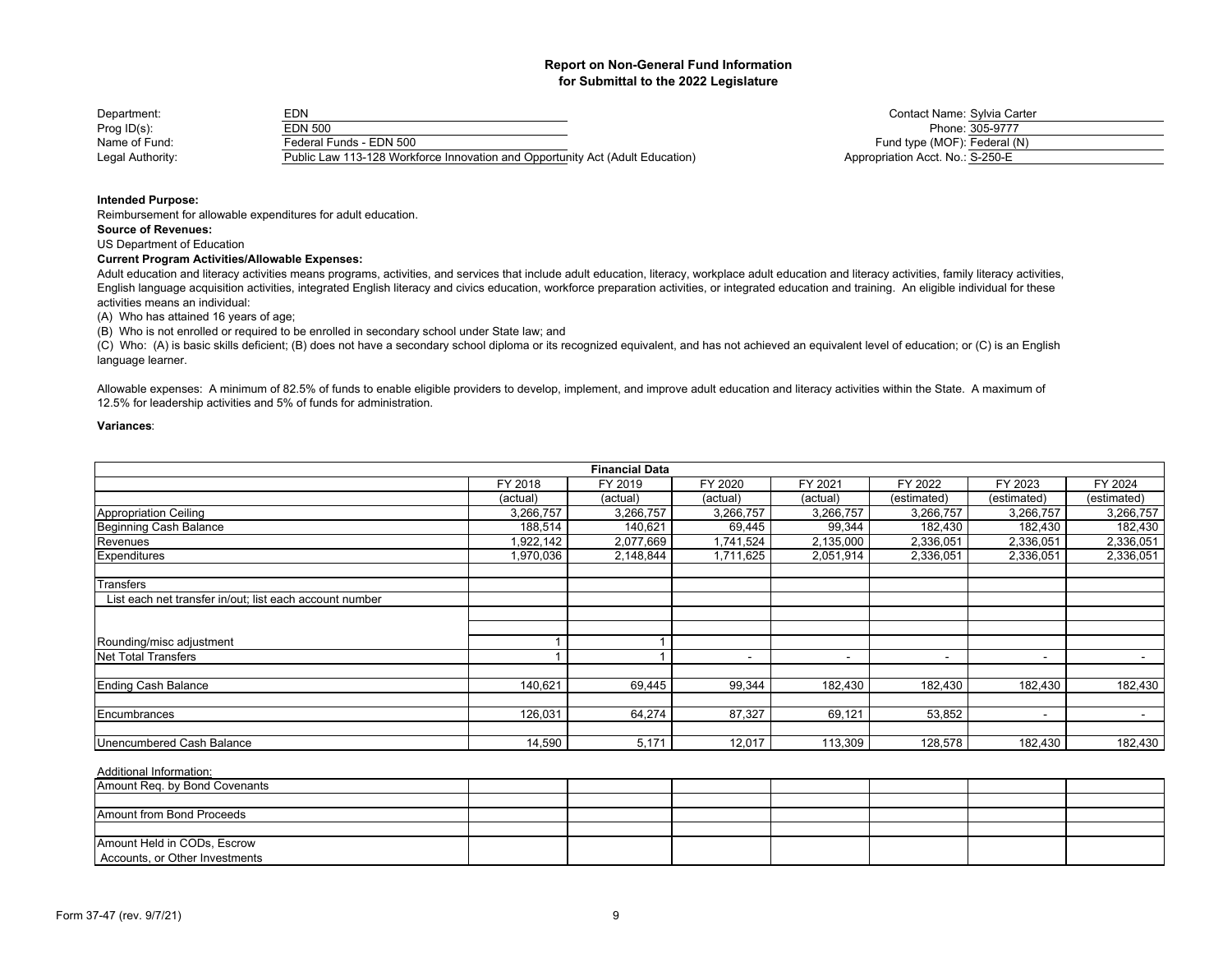| Department:      | EDN                                                                           | Contact Name: Sylvia Ca          |
|------------------|-------------------------------------------------------------------------------|----------------------------------|
| Prog $ID(s)$ :   | EDN 500                                                                       | Phone: 305-9777                  |
| Name of Fund:    | Federal Funds - EDN 500                                                       | Fund type (MOF): Federal (       |
| Legal Authority: | Public Law 113-128 Workforce Innovation and Opportunity Act (Adult Education) | Appropriation Acct. No.: S-250-E |

Contact Name: Sylvia Carter<br>Phone: 305-9777 Fund type (MOF): Federal (N) Legal Authority: *Authorition Acct. No.*: S-250-E

## **Intended Purpose:**

Reimbursement for allowable expenditures for adult education.

**Source of Revenues:**US Department of Education

## **Current Program Activities/Allowable Expenses:**

Adult education and literacy activities means programs, activities, and services that include adult education, literacy, workplace adult education and literacy activities, family literacy activities, English language acquisition activities, integrated English literacy and civics education, workforce preparation activities, or integrated education and training. An eligible individual for these activities means an individual:

(A) Who has attained 16 years of age;

(B) Who is not enrolled or required to be enrolled in secondary school under State law; and

(C) Who: (A) is basic skills deficient; (B) does not have a secondary school diploma or its recognized equivalent, and has not achieved an equivalent level of education; or (C) is an English language learner.

Allowable expenses: A minimum of 82.5% of funds to enable eligible providers to develop, implement, and improve adult education and literacy activities within the State. A maximum of 12.5% for leadership activities and 5% of funds for administration.

#### **Variances**:

|                                                         |           | <b>Financial Data</b> |                          |                          |                          |                          |             |
|---------------------------------------------------------|-----------|-----------------------|--------------------------|--------------------------|--------------------------|--------------------------|-------------|
|                                                         | FY 2018   | FY 2019               | FY 2020                  | FY 2021                  | FY 2022                  | FY 2023                  | FY 2024     |
|                                                         | (actual)  | (actual)              | (actual)                 | (actual)                 | (estimated)              | (estimated)              | (estimated) |
| <b>Appropriation Ceiling</b>                            | 3,266,757 | 3,266,757             | 3,266,757                | 3,266,757                | 3,266,757                | 3,266,757                | 3,266,757   |
| <b>Beginning Cash Balance</b>                           | 188,514   | 140,621               | 69.445                   | 99,344                   | 182,430                  | 182,430                  | 182,430     |
| Revenues                                                | 1,922,142 | 2,077,669             | 1,741,524                | 2,135,000                | 2,336,051                | 2,336,051                | 2,336,051   |
| Expenditures                                            | 1,970,036 | 2,148,844             | 1,711,625                | 2,051,914                | 2,336,051                | 2,336,051                | 2,336,051   |
| Transfers                                               |           |                       |                          |                          |                          |                          |             |
| List each net transfer in/out; list each account number |           |                       |                          |                          |                          |                          |             |
|                                                         |           |                       |                          |                          |                          |                          |             |
| Rounding/misc adjustment                                |           |                       |                          |                          |                          |                          |             |
| <b>Net Total Transfers</b>                              |           |                       | $\overline{\phantom{a}}$ | $\overline{\phantom{a}}$ | $\overline{\phantom{a}}$ | $\overline{\phantom{a}}$ | $\sim$      |
| <b>Ending Cash Balance</b>                              | 140,621   | 69,445                | 99,344                   | 182,430                  | 182,430                  | 182,430                  | 182,430     |
| Encumbrances                                            | 126,031   | 64,274                | 87,327                   | 69,121                   | 53,852                   | $\overline{\phantom{a}}$ | $\sim$      |
| Unencumbered Cash Balance                               | 14,590    | 5,171                 | 12,017                   | 113,309                  | 128,578                  | 182,430                  | 182,430     |

| Amount Reg. by Bond Covenants                                 |  |  |  |  |
|---------------------------------------------------------------|--|--|--|--|
|                                                               |  |  |  |  |
| Amount from Bond Proceeds                                     |  |  |  |  |
|                                                               |  |  |  |  |
| Amount Held in CODs, Escrow<br>Accounts, or Other Investments |  |  |  |  |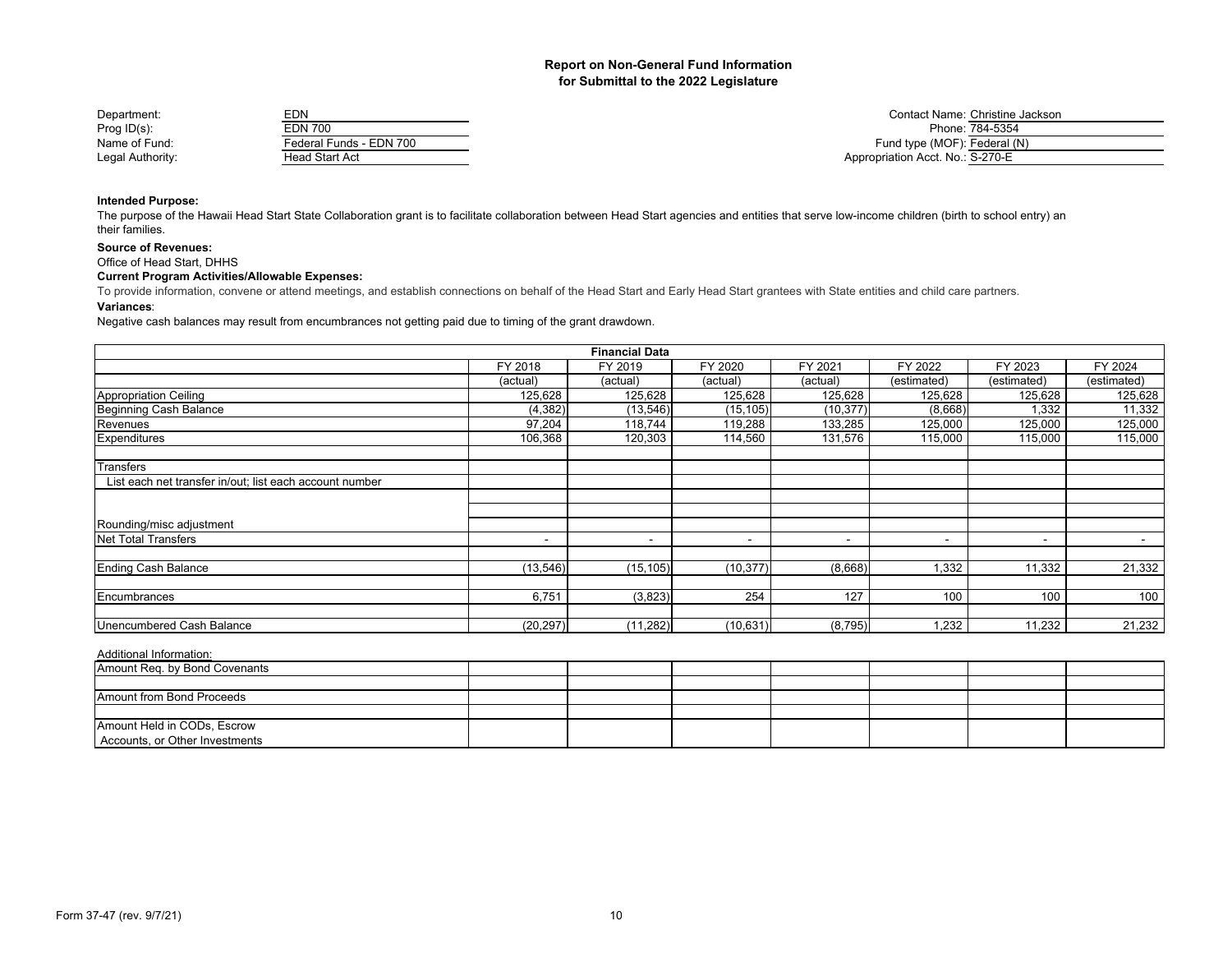| Department:      | EDN                     | Contact Name: Christine Jackson  |
|------------------|-------------------------|----------------------------------|
| Prog $ID(s)$ :   | EDN 700                 | Phone: 784-5354                  |
| Name of Fund:    | Federal Funds - EDN 700 | Fund type (MOF): Federal (N)     |
| Legal Authority: | Head Start Act          | Appropriation Acct. No.: S-270-E |

## **Intended Purpose:**

The purpose of the Hawaii Head Start State Collaboration grant is to facilitate collaboration between Head Start agencies and entities that serve low-income children (birth to school entry) an their families.

## **Source of Revenues:**

Office of Head Start, DHHS

## **Current Program Activities/Allowable Expenses:**

To provide information, convene or attend meetings, and establish connections on behalf of the Head Start and Early Head Start grantees with State entities and child care partners.

#### **Variances**:

Negative cash balances may result from encumbrances not getting paid due to timing of the grant drawdown.

|                                                         |                          | <b>Financial Data</b> |           |           |                          |                |             |
|---------------------------------------------------------|--------------------------|-----------------------|-----------|-----------|--------------------------|----------------|-------------|
|                                                         | FY 2018                  | FY 2019               | FY 2020   | FY 2021   | FY 2022                  | FY 2023        | FY 2024     |
|                                                         | (actual)                 | (actual)              | (actual)  | (actual)  | (estimated)              | (estimated)    | (estimated) |
| Appropriation Ceiling                                   | 125,628                  | 125,628               | 125,628   | 125,628   | 125,628                  | 125,628        | 125,628     |
| Beginning Cash Balance                                  | (4, 382)                 | (13, 546)             | (15, 105) | (10, 377) | (8,668)                  | 1,332          | 11,332      |
| Revenues                                                | 97,204                   | 118,744               | 119,288   | 133,285   | 125,000                  | 125,000        | 125,000     |
| Expenditures                                            | 106,368                  | 120,303               | 114,560   | 131,576   | 115,000                  | 115,000        | 115,000     |
| Transfers                                               |                          |                       |           |           |                          |                |             |
| List each net transfer in/out; list each account number |                          |                       |           |           |                          |                |             |
|                                                         |                          |                       |           |           |                          |                |             |
| Rounding/misc adjustment                                |                          |                       |           |           |                          |                |             |
| Net Total Transfers                                     | $\overline{\phantom{a}}$ |                       | -         | $\,$      | $\overline{\phantom{a}}$ | $\blacksquare$ | $\sim$      |
| Ending Cash Balance                                     | (13, 546)                | (15, 105)             | (10, 377) | (8,668)   | 1,332                    | 11,332         | 21,332      |
| Encumbrances                                            | 6,751                    | (3,823)               | 254       | 127       | 100                      | 100            | 100         |
| Unencumbered Cash Balance                               | (20, 297)                | (11, 282)             | (10, 631) | (8, 795)  | 1,232                    | 11,232         | 21,232      |

| Amount Req. by Bond Covenants                                 |  |  |  |  |
|---------------------------------------------------------------|--|--|--|--|
|                                                               |  |  |  |  |
| Amount from Bond Proceeds                                     |  |  |  |  |
|                                                               |  |  |  |  |
| Amount Held in CODs, Escrow<br>Accounts, or Other Investments |  |  |  |  |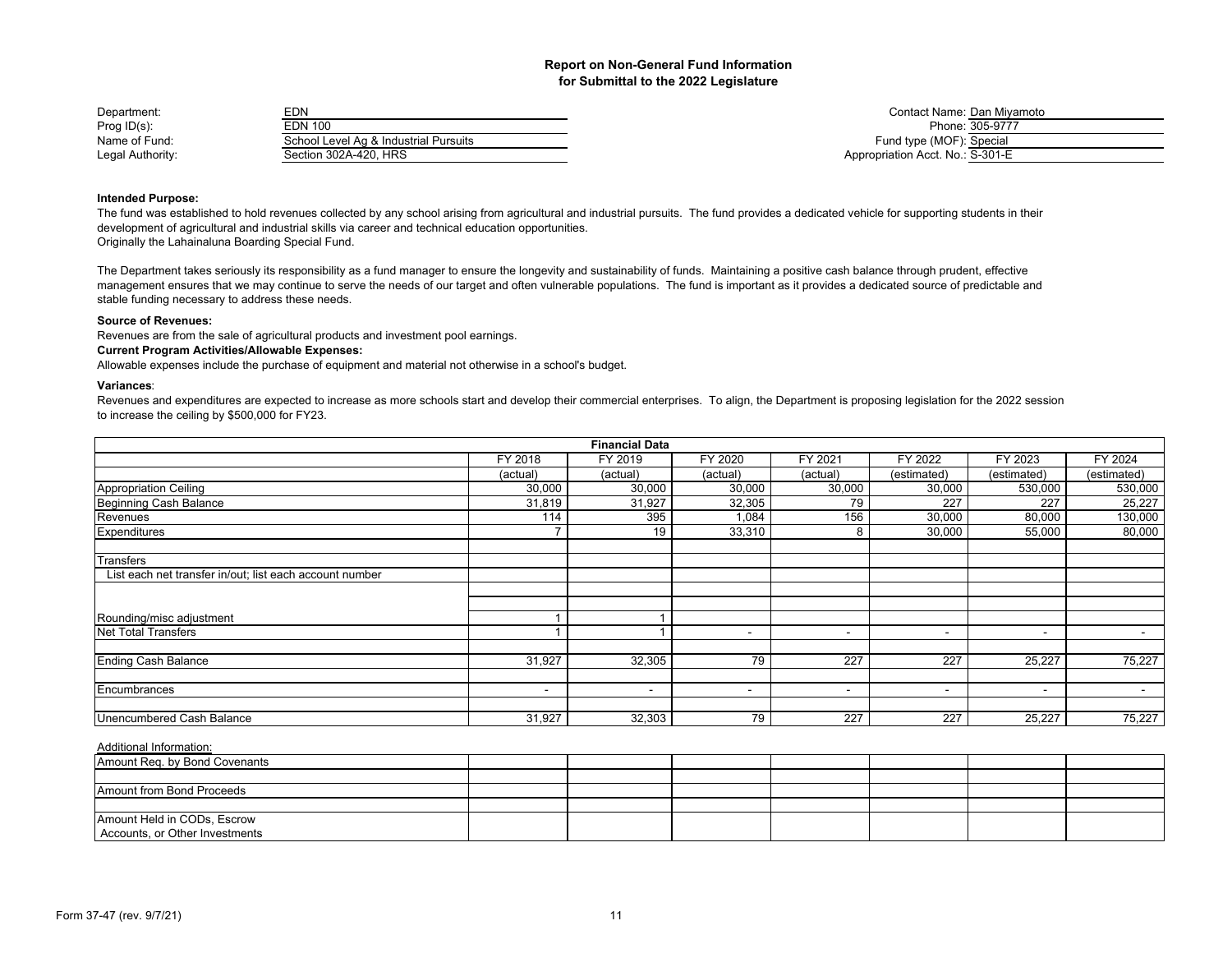| Department:      | EDN                                   |                                  | Contact Name: Dan Mivamoto |
|------------------|---------------------------------------|----------------------------------|----------------------------|
| Prog ID(s):      | EDN 100                               |                                  | Phone: 305-9777            |
| Name of Fund:    | School Level Ag & Industrial Pursuits | Fund type (MOF): Special         |                            |
| Legal Authority: | Section 302A-420. HRS                 | Appropriation Acct. No.: S-301-E |                            |

| Contact Name: Dan Miyamoto       |                 |
|----------------------------------|-----------------|
|                                  | Phone: 305-9777 |
| Fund type (MOF): Special         |                 |
| Appropriation Acct. No.: S-301-E |                 |

## **Intended Purpose:**

The fund was established to hold revenues collected by any school arising from agricultural and industrial pursuits. The fund provides a dedicated vehicle for supporting students in their development of agricultural and industrial skills via career and technical education opportunities. Originally the Lahainaluna Boarding Special Fund.

The Department takes seriously its responsibility as a fund manager to ensure the longevity and sustainability of funds. Maintaining a positive cash balance through prudent, effective management ensures that we may continue to serve the needs of our target and often vulnerable populations. The fund is important as it provides a dedicated source of predictable and stable funding necessary to address these needs.

### **Source of Revenues:**

Revenues are from the sale of agricultural products and investment pool earnings.

## **Current Program Activities/Allowable Expenses:**

Allowable expenses include the purchase of equipment and material not otherwise in a school's budget.

#### **Variances**:

Revenues and expenditures are expected to increase as more schools start and develop their commercial enterprises. To align, the Department is proposing legislation for the 2022 session to increase the ceiling by \$500,000 for FY23.

|                                                         |           | <b>Financial Data</b> |                          |                          |                          |             |                          |
|---------------------------------------------------------|-----------|-----------------------|--------------------------|--------------------------|--------------------------|-------------|--------------------------|
|                                                         | FY 2018   | FY 2019               | FY 2020                  | FY 2021                  | FY 2022                  | FY 2023     | FY 2024                  |
|                                                         | (actual)  | (actual)              | (actual)                 | (actual)                 | (estimated)              | (estimated) | (estimated)              |
| <b>Appropriation Ceiling</b>                            | 30,000    | 30,000                | 30,000                   | 30,000                   | 30,000                   | 530,000     | 530,000                  |
| Beginning Cash Balance                                  | 31,819    | 31,927                | 32,305                   | 79                       | 227                      | 227         | 25,227                   |
| Revenues                                                | 114       | 395                   | 1,084                    | 156                      | 30,000                   | 80,000      | 130,000                  |
| Expenditures                                            | ⇁         | 19                    | 33,310                   | 8                        | 30,000                   | 55,000      | 80,000                   |
| Transfers                                               |           |                       |                          |                          |                          |             |                          |
| List each net transfer in/out; list each account number |           |                       |                          |                          |                          |             |                          |
|                                                         |           |                       |                          |                          |                          |             |                          |
|                                                         |           |                       |                          |                          |                          |             |                          |
| Rounding/misc adjustment                                |           |                       |                          |                          |                          |             |                          |
| <b>Net Total Transfers</b>                              |           |                       | $\overline{\phantom{0}}$ | $\overline{\phantom{0}}$ | $\overline{\phantom{0}}$ | $\sim$      | $\overline{\phantom{0}}$ |
| <b>Ending Cash Balance</b>                              | 31,927    | 32,305                | 79                       | 227                      | 227                      | 25,227      | 75,227                   |
| Encumbrances                                            | $\,$ $\,$ | $\sim$                | $\overline{\phantom{a}}$ | $\overline{\phantom{a}}$ | $\overline{\phantom{a}}$ | $\sim$      | $\overline{\phantom{a}}$ |
|                                                         |           |                       |                          |                          |                          |             |                          |
| Unencumbered Cash Balance                               | 31,927    | 32,303                | 79                       | 227                      | 227                      | 25,227      | 75,227                   |

| Amount Req. by Bond Covenants  |  |  |  |  |
|--------------------------------|--|--|--|--|
|                                |  |  |  |  |
| Amount from Bond Proceeds      |  |  |  |  |
|                                |  |  |  |  |
| Amount Held in CODs, Escrow    |  |  |  |  |
| Accounts, or Other Investments |  |  |  |  |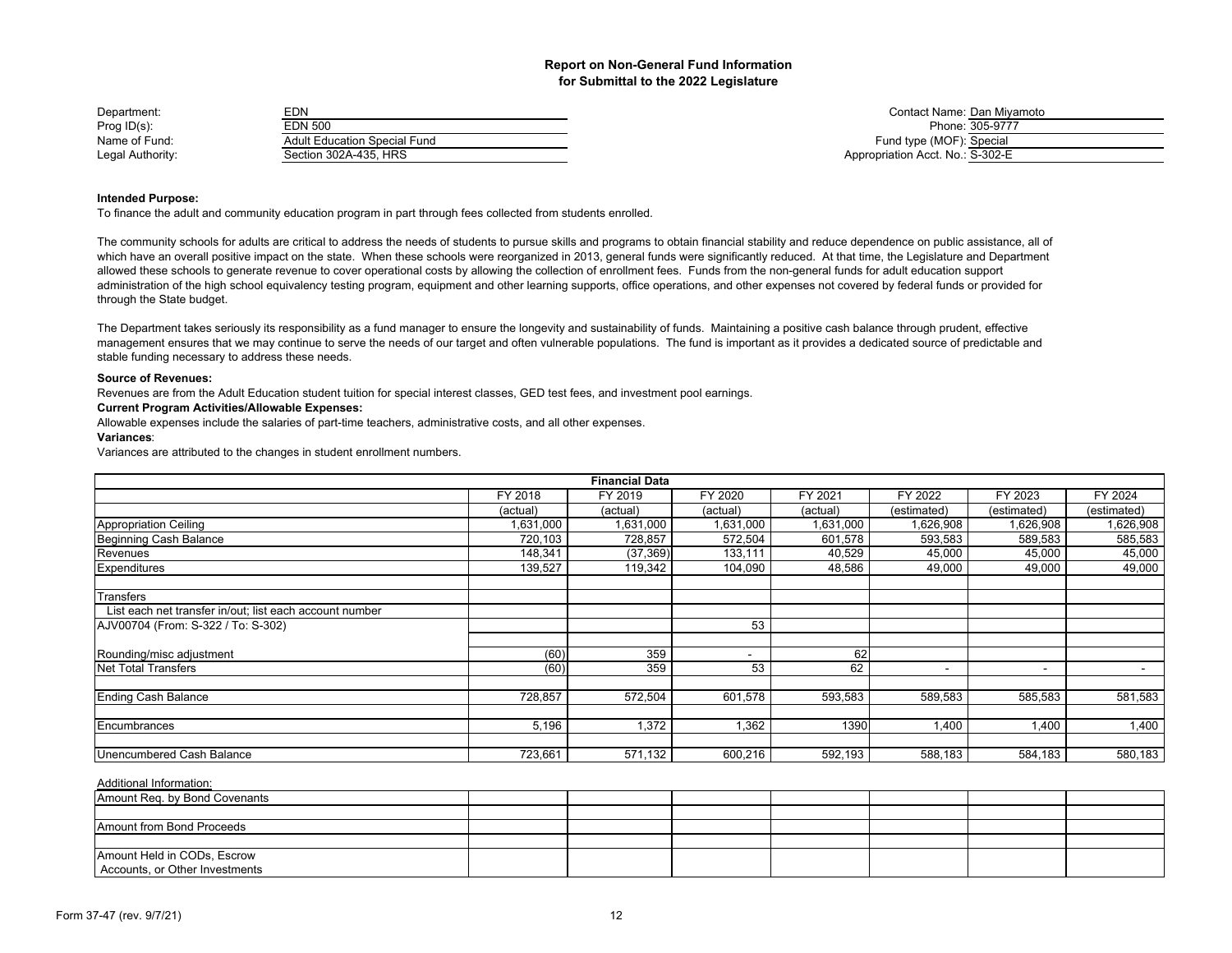| Department:      | EDN                          | Contact Name: Dan Mivamoto       |
|------------------|------------------------------|----------------------------------|
| Prog ID(s):      | EDN 500                      | Phone: 305-9777                  |
| Name of Fund:    | Adult Education Special Fund | Fund type (MOF): Special         |
| Legal Authority: | Section 302A-435. HRS        | Appropriation Acct. No.: S-302-E |

| Contact Name: Dan Miyamoto       |                 |
|----------------------------------|-----------------|
|                                  | Phone: 305-9777 |
| Fund type (MOF): Special         |                 |
| Appropriation Acct. No.: S-302-E |                 |

#### **Intended Purpose:**

To finance the adult and community education program in part through fees collected from students enrolled.

The community schools for adults are critical to address the needs of students to pursue skills and programs to obtain financial stability and reduce dependence on public assistance, all of which have an overall positive impact on the state. When these schools were reorganized in 2013, general funds were significantly reduced. At that time, the Legislature and Department allowed these schools to generate revenue to cover operational costs by allowing the collection of enrollment fees. Funds from the non-general funds for adult education support administration of the high school equivalency testing program, equipment and other learning supports, office operations, and other expenses not covered by federal funds or provided for through the State budget.

The Department takes seriously its responsibility as a fund manager to ensure the longevity and sustainability of funds. Maintaining a positive cash balance through prudent, effective management ensures that we may continue to serve the needs of our target and often vulnerable populations. The fund is important as it provides a dedicated source of predictable and stable funding necessary to address these needs.

#### **Source of Revenues:**

Revenues are from the Adult Education student tuition for special interest classes, GED test fees, and investment pool earnings.

## **Current Program Activities/Allowable Expenses:**

Allowable expenses include the salaries of part-time teachers, administrative costs, and all other expenses.

#### **Variances**:

Variances are attributed to the changes in student enrollment numbers.

|                                                         |           | <b>Financial Data</b> |           |           |                |                          |             |
|---------------------------------------------------------|-----------|-----------------------|-----------|-----------|----------------|--------------------------|-------------|
|                                                         | FY 2018   | FY 2019               | FY 2020   | FY 2021   | FY 2022        | FY 2023                  | FY 2024     |
|                                                         | (actual)  | (actual)              | (actual)  | (actual)  | (estimated)    | (estimated)              | (estimated) |
| <b>Appropriation Ceiling</b>                            | 1,631,000 | 1,631,000             | 1,631,000 | 1,631,000 | 1,626,908      | 1,626,908                | 1,626,908   |
| Beginning Cash Balance                                  | 720,103   | 728,857               | 572,504   | 601,578   | 593,583        | 589,583                  | 585,583     |
| Revenues                                                | 148,341   | (37, 369)             | 133,111   | 40,529    | 45,000         | 45,000                   | 45,000      |
| Expenditures                                            | 139,527   | 119,342               | 104,090   | 48,586    | 49,000         | 49,000                   | 49,000      |
| Transfers                                               |           |                       |           |           |                |                          |             |
| List each net transfer in/out; list each account number |           |                       |           |           |                |                          |             |
| AJV00704 (From: S-322 / To: S-302)                      |           |                       | 53        |           |                |                          |             |
| Rounding/misc adjustment                                | (60)      | 359                   | -         | 62        |                |                          |             |
| <b>Net Total Transfers</b>                              | (60)      | 359                   | 53        | 62        | $\blacksquare$ | $\overline{\phantom{a}}$ | $\,$ $\,$   |
| Ending Cash Balance                                     | 728,857   | 572,504               | 601,578   | 593,583   | 589,583        | 585,583                  | 581,583     |
| Encumbrances                                            | 5,196     | 1,372                 | 1,362     | 1390      | 1,400          | 1,400                    | 1,400       |
| Unencumbered Cash Balance                               | 723,661   | 571,132               | 600,216   | 592,193   | 588,183        | 584,183                  | 580,183     |

| Amount Req. by Bond Covenants  |  |  |  |  |
|--------------------------------|--|--|--|--|
|                                |  |  |  |  |
| Amount from Bond Proceeds      |  |  |  |  |
|                                |  |  |  |  |
| Amount Held in CODs, Escrow    |  |  |  |  |
| Accounts, or Other Investments |  |  |  |  |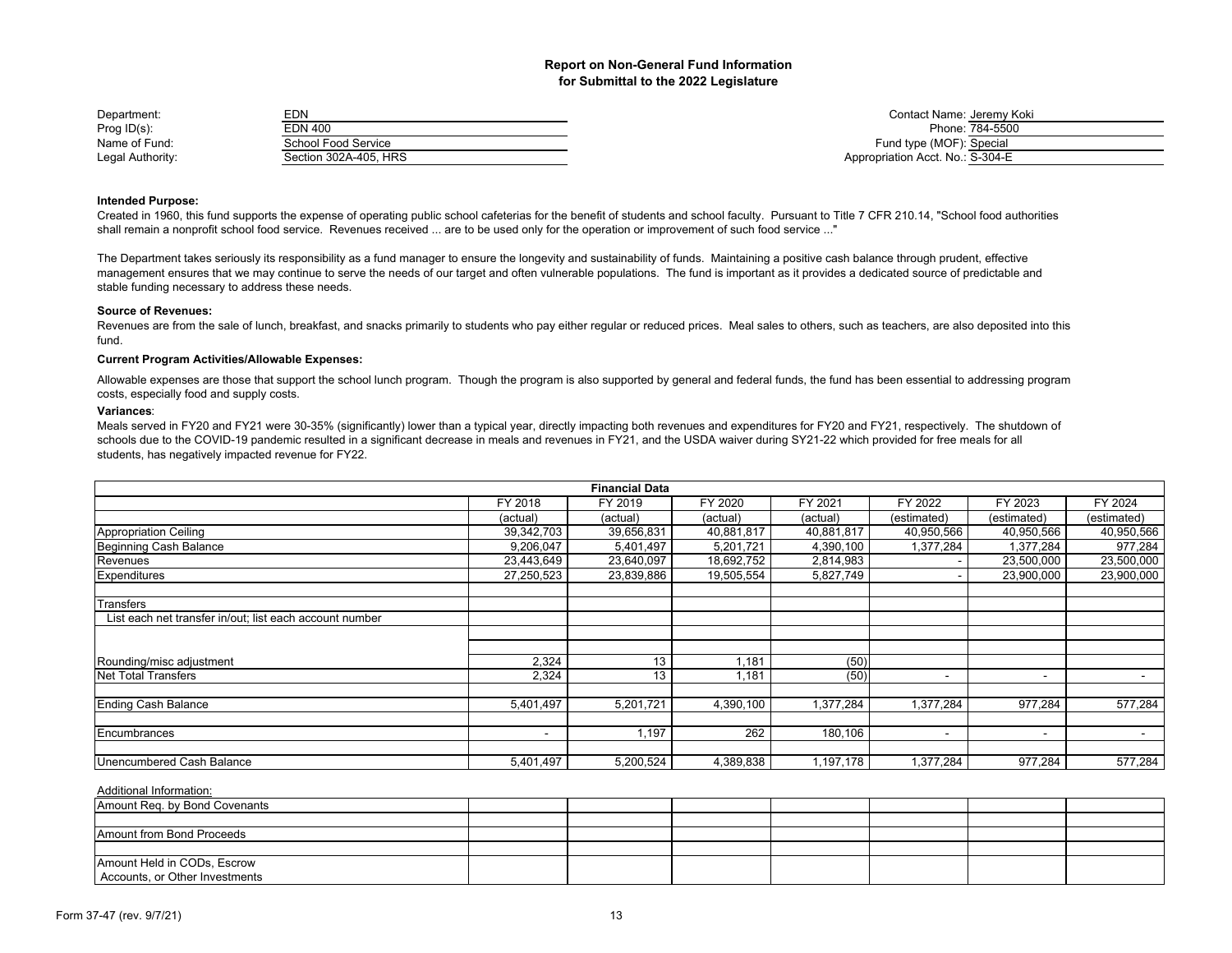| Department:      | EDN                   | Contact Name: Jeremy K           |
|------------------|-----------------------|----------------------------------|
| Prog $ID(s)$ :   | EDN 400               | Phone: 784-5500                  |
| Name of Fund:    | School Food Service   | Fund type (MOF): Special         |
| Legal Authority: | Section 302A-405, HRS | Appropriation Acct. No.: S-304-E |

Contact Name: Jeremy Koki Fund type (MOF): Special Appropriation Acct. No.: S-304-E

## **Intended Purpose:**

Created in 1960, this fund supports the expense of operating public school cafeterias for the benefit of students and school faculty. Pursuant to Title 7 CFR 210.14, "School food authorities shall remain a nonprofit school food service. Revenues received ... are to be used only for the operation or improvement of such food service ..."

The Department takes seriously its responsibility as a fund manager to ensure the longevity and sustainability of funds. Maintaining a positive cash balance through prudent, effective management ensures that we may continue to serve the needs of our target and often vulnerable populations. The fund is important as it provides a dedicated source of predictable and stable funding necessary to address these needs.

#### **Source of Revenues:**

Revenues are from the sale of lunch, breakfast, and snacks primarily to students who pay either regular or reduced prices. Meal sales to others, such as teachers, are also deposited into this fund.

## **Current Program Activities/Allowable Expenses:**

Allowable expenses are those that support the school lunch program. Though the program is also supported by general and federal funds, the fund has been essential to addressing program costs, especially food and supply costs.

#### **Variances**:

Meals served in FY20 and FY21 were 30-35% (significantly) lower than a typical year, directly impacting both revenues and expenditures for FY20 and FY21, respectively. The shutdown of schools due to the COVID-19 pandemic resulted in a significant decrease in meals and revenues in FY21, and the USDA waiver during SY21-22 which provided for free meals for all students, has negatively impacted revenue for FY22.

|                                                         |                          | <b>Financial Data</b> |            |            |                |             |             |
|---------------------------------------------------------|--------------------------|-----------------------|------------|------------|----------------|-------------|-------------|
|                                                         | FY 2018                  | FY 2019               | FY 2020    | FY 2021    | FY 2022        | FY 2023     | FY 2024     |
|                                                         | (actual)                 | (actual)              | (actual)   | (actual)   | (estimated)    | (estimated) | (estimated) |
| Appropriation Ceiling                                   | 39,342,703               | 39,656,831            | 40,881,817 | 40,881,817 | 40,950,566     | 40,950,566  | 40,950,566  |
| Beginning Cash Balance                                  | 9,206,047                | 5,401,497             | 5,201,721  | 4,390,100  | 1,377,284      | 1,377,284   | 977,284     |
| Revenues                                                | 23,443,649               | 23,640,097            | 18,692,752 | 2,814,983  |                | 23,500,000  | 23,500,000  |
| Expenditures                                            | 27,250,523               | 23,839,886            | 19,505,554 | 5,827,749  |                | 23,900,000  | 23,900,000  |
| Transfers                                               |                          |                       |            |            |                |             |             |
| List each net transfer in/out; list each account number |                          |                       |            |            |                |             |             |
|                                                         |                          |                       |            |            |                |             |             |
| Rounding/misc adjustment                                | 2,324                    | 13                    | ,181       | (50)       |                |             |             |
| <b>Net Total Transfers</b>                              | 2,324                    | 13                    | .181       | (50)       | ٠              | $\,$ $\,$   |             |
| <b>Ending Cash Balance</b>                              | 5,401,497                | 5,201,721             | 4,390,100  | 1,377,284  | 1,377,284      | 977,284     | 577,284     |
| Encumbrances                                            | $\overline{\phantom{a}}$ | 1,197                 | 262        | 180,106    | $\blacksquare$ | $\sim$      | $\,$ $\,$   |
| Unencumbered Cash Balance                               | 5,401,497                | 5,200,524             | 4,389,838  | 1,197,178  | 1,377,284      | 977,284     | 577,284     |

| Amount Req. by Bond Covenants  |  |  |  |  |
|--------------------------------|--|--|--|--|
|                                |  |  |  |  |
| Amount from Bond Proceeds      |  |  |  |  |
|                                |  |  |  |  |
| Amount Held in CODs, Escrow    |  |  |  |  |
| Accounts, or Other Investments |  |  |  |  |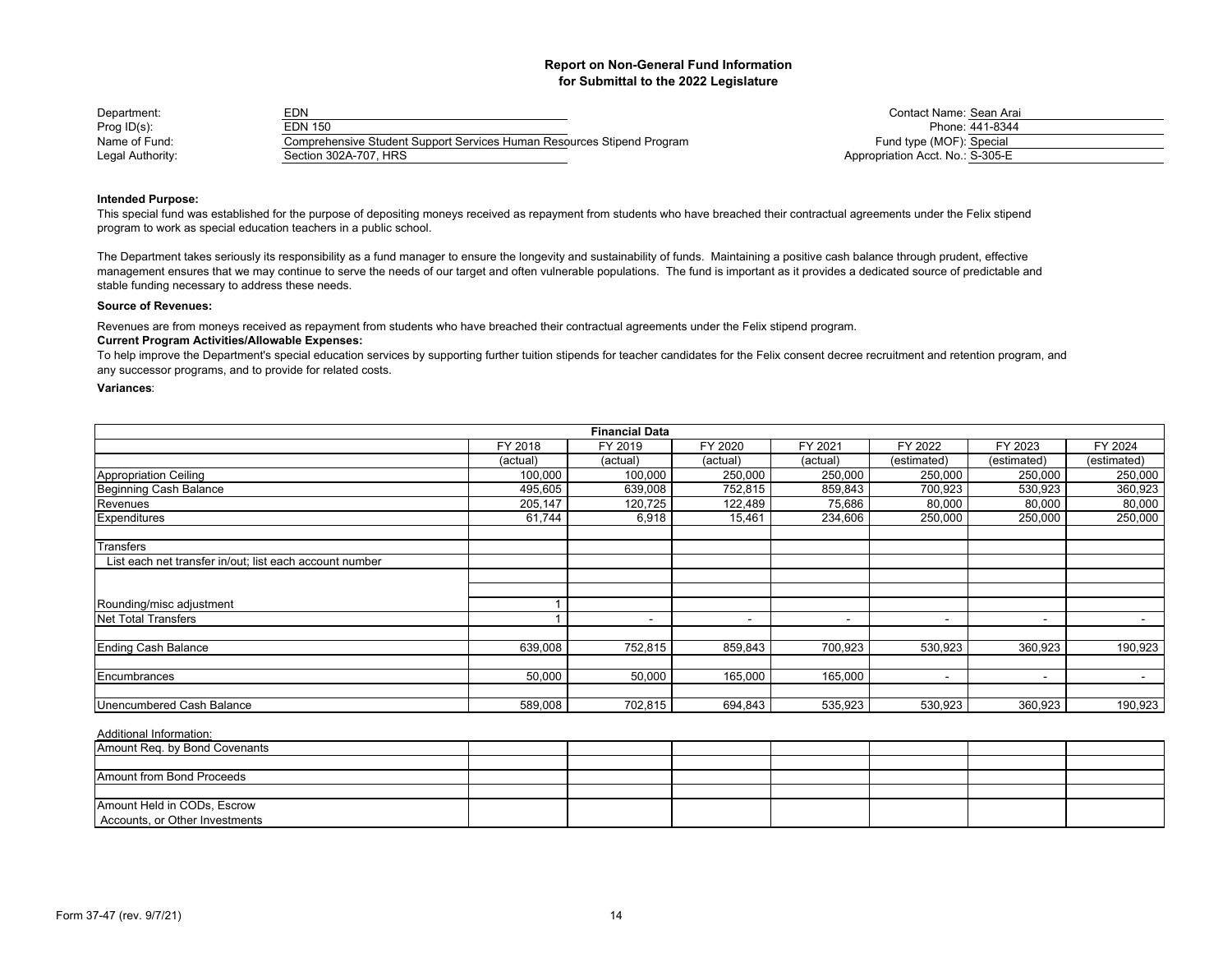| Department:      | EDN                                                                    | Contact Name: Sean Ara           |
|------------------|------------------------------------------------------------------------|----------------------------------|
| Prog $ID(s)$ :   | EDN 150                                                                | Phone: 441-8344                  |
| Name of Fund:    | Comprehensive Student Support Services Human Resources Stipend Program | Fund type (MOF): Special         |
| Legal Authority: | Section 302A-707, HRS                                                  | Appropriation Acct. No.: S-305-E |

Contact Name: Sean Arai<br>Phone: 441-8344 Fund type (MOF): Special Appropriation Acct. No.: S-305-E

## **Intended Purpose:**

This special fund was established for the purpose of depositing moneys received as repayment from students who have breached their contractual agreements under the Felix stipend program to work as special education teachers in a public school.

The Department takes seriously its responsibility as a fund manager to ensure the longevity and sustainability of funds. Maintaining a positive cash balance through prudent, effective management ensures that we may continue to serve the needs of our target and often vulnerable populations. The fund is important as it provides a dedicated source of predictable and stable funding necessary to address these needs.

### **Source of Revenues:**

Revenues are from moneys received as repayment from students who have breached their contractual agreements under the Felix stipend program.

## **Current Program Activities/Allowable Expenses:**

To help improve the Department's special education services by supporting further tuition stipends for teacher candidates for the Felix consent decree recruitment and retention program, and any successor programs, and to provide for related costs.

## **Variances**:

|                                                         |          | <b>Financial Data</b> |          |                          |                          |             |                          |
|---------------------------------------------------------|----------|-----------------------|----------|--------------------------|--------------------------|-------------|--------------------------|
|                                                         | FY 2018  | FY 2019               | FY 2020  | FY 2021                  | FY 2022                  | FY 2023     | FY 2024                  |
|                                                         | (actual) | (actual)              | (actual) | (actual)                 | (estimated)              | (estimated) | (estimated)              |
| <b>Appropriation Ceiling</b>                            | 100,000  | 100,000               | 250,000  | 250,000                  | 250,000                  | 250,000     | 250,000                  |
| <b>Beginning Cash Balance</b>                           | 495,605  | 639,008               | 752,815  | 859,843                  | 700,923                  | 530,923     | 360,923                  |
| Revenues                                                | 205,147  | 120,725               | 122,489  | 75,686                   | 80,000                   | 80,000      | 80,000                   |
| Expenditures                                            | 61,744   | 6,918                 | 15,461   | 234,606                  | 250,000                  | 250,000     | 250,000                  |
| Transfers                                               |          |                       |          |                          |                          |             |                          |
| List each net transfer in/out; list each account number |          |                       |          |                          |                          |             |                          |
|                                                         |          |                       |          |                          |                          |             |                          |
| Rounding/misc adjustment                                |          |                       |          |                          |                          |             |                          |
| Net Total Transfers                                     |          |                       |          | $\overline{\phantom{a}}$ |                          | $\,$ $\,$   | $\overline{\phantom{a}}$ |
| <b>Ending Cash Balance</b>                              | 639,008  | 752,815               | 859,843  | 700,923                  | 530,923                  | 360,923     | 190,923                  |
| Encumbrances                                            | 50,000   | 50,000                | 165,000  | 165,000                  | $\overline{\phantom{a}}$ | $\sim$      | $\overline{\phantom{a}}$ |
|                                                         |          |                       |          |                          |                          |             |                          |
| Unencumbered Cash Balance                               | 589,008  | 702,815               | 694,843  | 535,923                  | 530,923                  | 360,923     | 190,923                  |

| Amount Reg. by Bond Covenants  |  |  |  |  |
|--------------------------------|--|--|--|--|
|                                |  |  |  |  |
| Amount from Bond Proceeds      |  |  |  |  |
|                                |  |  |  |  |
| Amount Held in CODs, Escrow    |  |  |  |  |
| Accounts, or Other Investments |  |  |  |  |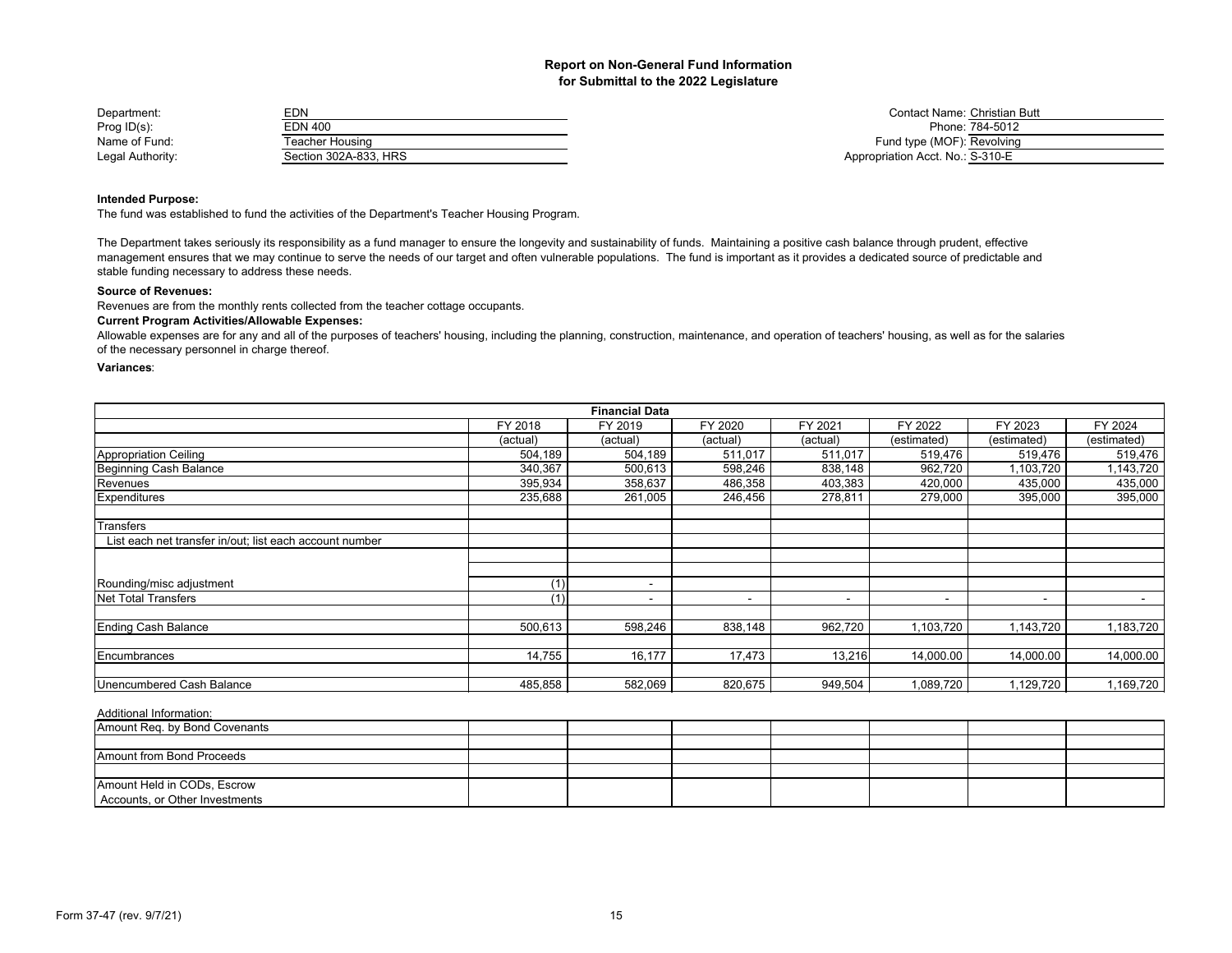| Department:      | EDN                   | <b>Contact Name: Christian</b>   |
|------------------|-----------------------|----------------------------------|
| Prog $ID(s)$ :   | EDN 400               | Phone: 784-5012                  |
| Name of Fund:    | Teacher Housing       | Fund type (MOF): Revolving       |
| Legal Authority: | Section 302A-833, HRS | Appropriation Acct. No.: S-310-E |

Contact Name: Christian Butt<br>Phone: 784-5012 Fund type (MOF): Revolving Appropriation Acct. No.: S-310-E

#### **Intended Purpose:**

The fund was established to fund the activities of the Department's Teacher Housing Program.

The Department takes seriously its responsibility as a fund manager to ensure the longevity and sustainability of funds. Maintaining a positive cash balance through prudent, effective management ensures that we may continue to serve the needs of our target and often vulnerable populations. The fund is important as it provides a dedicated source of predictable and stable funding necessary to address these needs.

#### **Source of Revenues:**

Revenues are from the monthly rents collected from the teacher cottage occupants.

## **Current Program Activities/Allowable Expenses:**

Allowable expenses are for any and all of the purposes of teachers' housing, including the planning, construction, maintenance, and operation of teachers' housing, as well as for the salaries of the necessary personnel in charge thereof.

## **Variances**:

|                                                         |          | <b>Financial Data</b> |          |          |                          |                          |             |
|---------------------------------------------------------|----------|-----------------------|----------|----------|--------------------------|--------------------------|-------------|
|                                                         | FY 2018  | FY 2019               | FY 2020  | FY 2021  | FY 2022                  | FY 2023                  | FY 2024     |
|                                                         | (actual) | (actual)              | (actual) | (actual) | (estimated)              | (estimated)              | (estimated) |
| <b>Appropriation Ceiling</b>                            | 504,189  | 504,189               | 511,017  | 511,017  | 519,476                  | 519,476                  | 519,476     |
| Beginning Cash Balance                                  | 340,367  | 500,613               | 598,246  | 838,148  | 962,720                  | ,103,720                 | 1,143,720   |
| Revenues                                                | 395,934  | 358,637               | 486,358  | 403,383  | 420,000                  | 435,000                  | 435,000     |
| Expenditures                                            | 235,688  | 261,005               | 246,456  | 278,811  | 279,000                  | 395,000                  | 395,000     |
| Transfers                                               |          |                       |          |          |                          |                          |             |
| List each net transfer in/out; list each account number |          |                       |          |          |                          |                          |             |
|                                                         |          |                       |          |          |                          |                          |             |
| Rounding/misc adjustment                                | (1)      | $\sim$                |          |          |                          |                          |             |
| <b>Net Total Transfers</b>                              | (1)      |                       |          | $\,$     | $\overline{\phantom{a}}$ | $\overline{\phantom{a}}$ |             |
| Ending Cash Balance                                     | 500,613  | 598,246               | 838,148  | 962,720  | 1,103,720                | 1,143,720                | 1,183,720   |
| Encumbrances                                            | 14,755   | 16,177                | 17,473   | 13,216   | 14,000.00                | 14,000.00                | 14,000.00   |
|                                                         |          |                       |          |          |                          |                          |             |
| Unencumbered Cash Balance                               | 485,858  | 582,069               | 820,675  | 949,504  | 1,089,720                | 1,129,720                | 1,169,720   |

| Amount Reg. by Bond Covenants  |  |  |  |  |
|--------------------------------|--|--|--|--|
|                                |  |  |  |  |
| Amount from Bond Proceeds      |  |  |  |  |
|                                |  |  |  |  |
| Amount Held in CODs, Escrow    |  |  |  |  |
| Accounts, or Other Investments |  |  |  |  |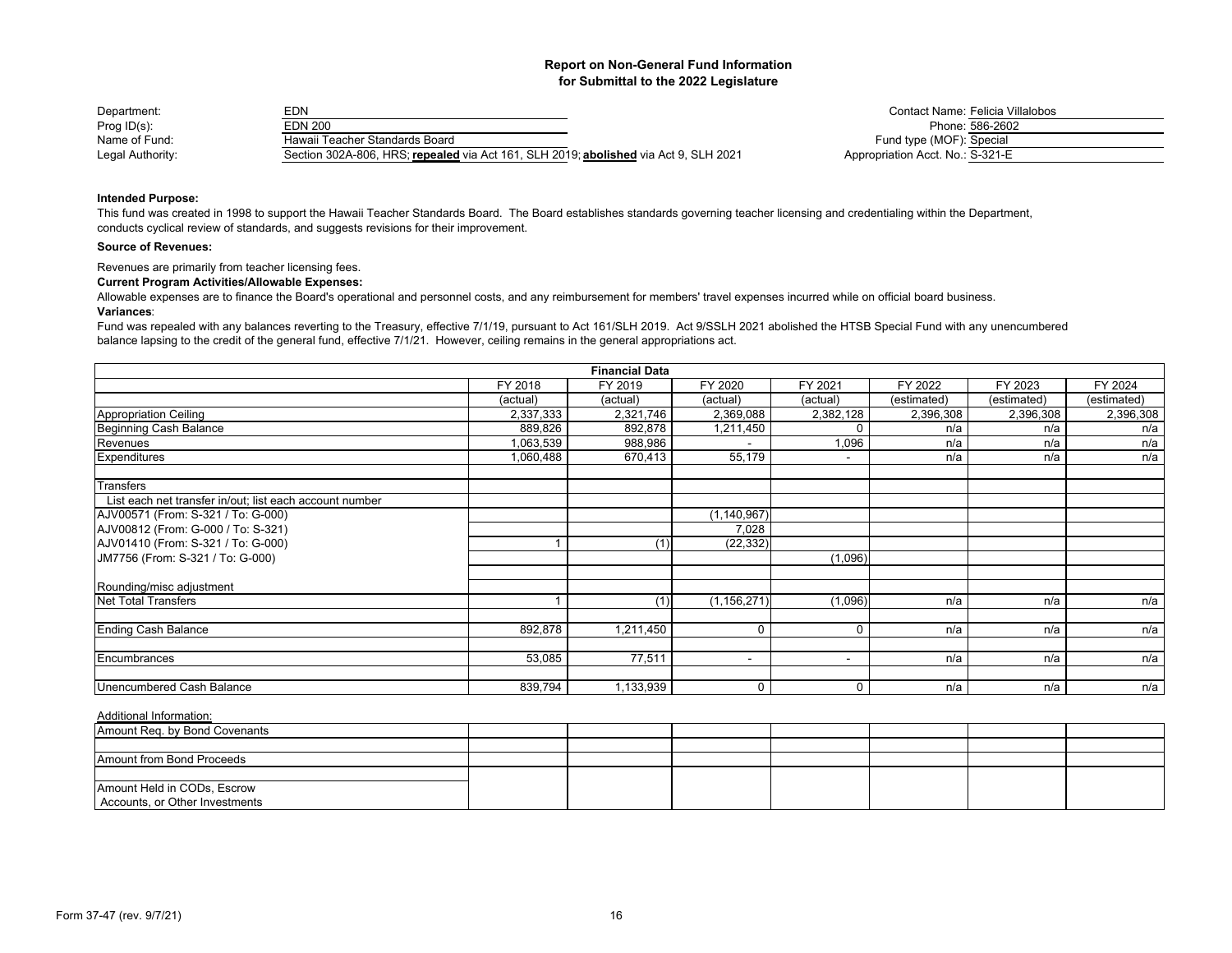| Department:      | EDN                                                                                  | Contact Name: Felicia Vi         |
|------------------|--------------------------------------------------------------------------------------|----------------------------------|
| Prog $ID(s)$ :   | EDN 200                                                                              | Phone: 586-2602                  |
| Name of Fund:    | Hawaii Teacher Standards Board                                                       | Fund type (MOF): Special         |
| Legal Authority: | Section 302A-806, HRS; repealed via Act 161, SLH 2019; abolished via Act 9, SLH 2021 | Appropriation Acct. No.: S-321-E |

act Name: <u>Felicia Villalobos.</u><br>Phone: 586-2602 Acct. No.: S-321-E

## **Intended Purpose:**

This fund was created in 1998 to support the Hawaii Teacher Standards Board. The Board establishes standards governing teacher licensing and credentialing within the Department, conducts cyclical review of standards, and suggests revisions for their improvement.

#### **Source of Revenues:**

Revenues are primarily from teacher licensing fees.

## **Current Program Activities/Allowable Expenses:**

Allowable expenses are to finance the Board's operational and personnel costs, and any reimbursement for members' travel expenses incurred while on official board business.

#### **Variances**:

Fund was repealed with any balances reverting to the Treasury, effective 7/1/19, pursuant to Act 161/SLH 2019. Act 9/SSLH 2021 abolished the HTSB Special Fund with any unencumbered balance lapsing to the credit of the general fund, effective 7/1/21. However, ceiling remains in the general appropriations act.

|                                                         |           | <b>Financial Data</b> |                          |                          |             |             |             |
|---------------------------------------------------------|-----------|-----------------------|--------------------------|--------------------------|-------------|-------------|-------------|
|                                                         | FY 2018   | FY 2019               | FY 2020                  | FY 2021                  | FY 2022     | FY 2023     | FY 2024     |
|                                                         | (actual)  | (actual)              | (actual)                 | (actual)                 | (estimated) | (estimated) | (estimated) |
| <b>Appropriation Ceiling</b>                            | 2,337,333 | 2,321,746             | 2,369,088                | 2,382,128                | 2,396,308   | 2,396,308   | 2,396,308   |
| Beginning Cash Balance                                  | 889,826   | 892,878               | 1,211,450                | O                        | n/a         | n/a         | n/a         |
| Revenues                                                | 1,063,539 | 988,986               |                          | 1,096                    | n/a         | n/a         | n/a         |
| Expenditures                                            | 1,060,488 | 670,413               | 55,179                   | $\overline{\phantom{a}}$ | n/a         | n/a         | n/a         |
| Transfers                                               |           |                       |                          |                          |             |             |             |
| List each net transfer in/out; list each account number |           |                       |                          |                          |             |             |             |
| AJV00571 (From: S-321 / To: G-000)                      |           |                       | (1, 140, 967)            |                          |             |             |             |
| AJV00812 (From: G-000 / To: S-321)                      |           |                       | 7,028                    |                          |             |             |             |
| AJV01410 (From: S-321 / To: G-000)                      |           | (1)                   | (22, 332)                |                          |             |             |             |
| JM7756 (From: S-321 / To: G-000)                        |           |                       |                          | (1,096)                  |             |             |             |
| Rounding/misc adjustment                                |           |                       |                          |                          |             |             |             |
| Net Total Transfers                                     |           | (1)                   | (1, 156, 271)            | (1,096)                  | n/a         | n/a         | n/a         |
| <b>Ending Cash Balance</b>                              | 892,878   | 1,211,450             | 0                        | $\Omega$                 | n/a         | n/a         | n/a         |
| Encumbrances                                            | 53,085    | 77,511                | $\overline{\phantom{a}}$ | $\overline{\phantom{a}}$ | n/a         | n/a         | n/a         |
|                                                         |           |                       |                          |                          |             |             |             |
| Unencumbered Cash Balance                               | 839,794   | 1,133,939             | 0                        | 0                        | n/a         | n/a         | n/a         |

| Amount Reg. by Bond Covenants  |  |  |  |  |
|--------------------------------|--|--|--|--|
|                                |  |  |  |  |
| Amount from Bond Proceeds      |  |  |  |  |
|                                |  |  |  |  |
| Amount Held in CODs, Escrow    |  |  |  |  |
| Accounts, or Other Investments |  |  |  |  |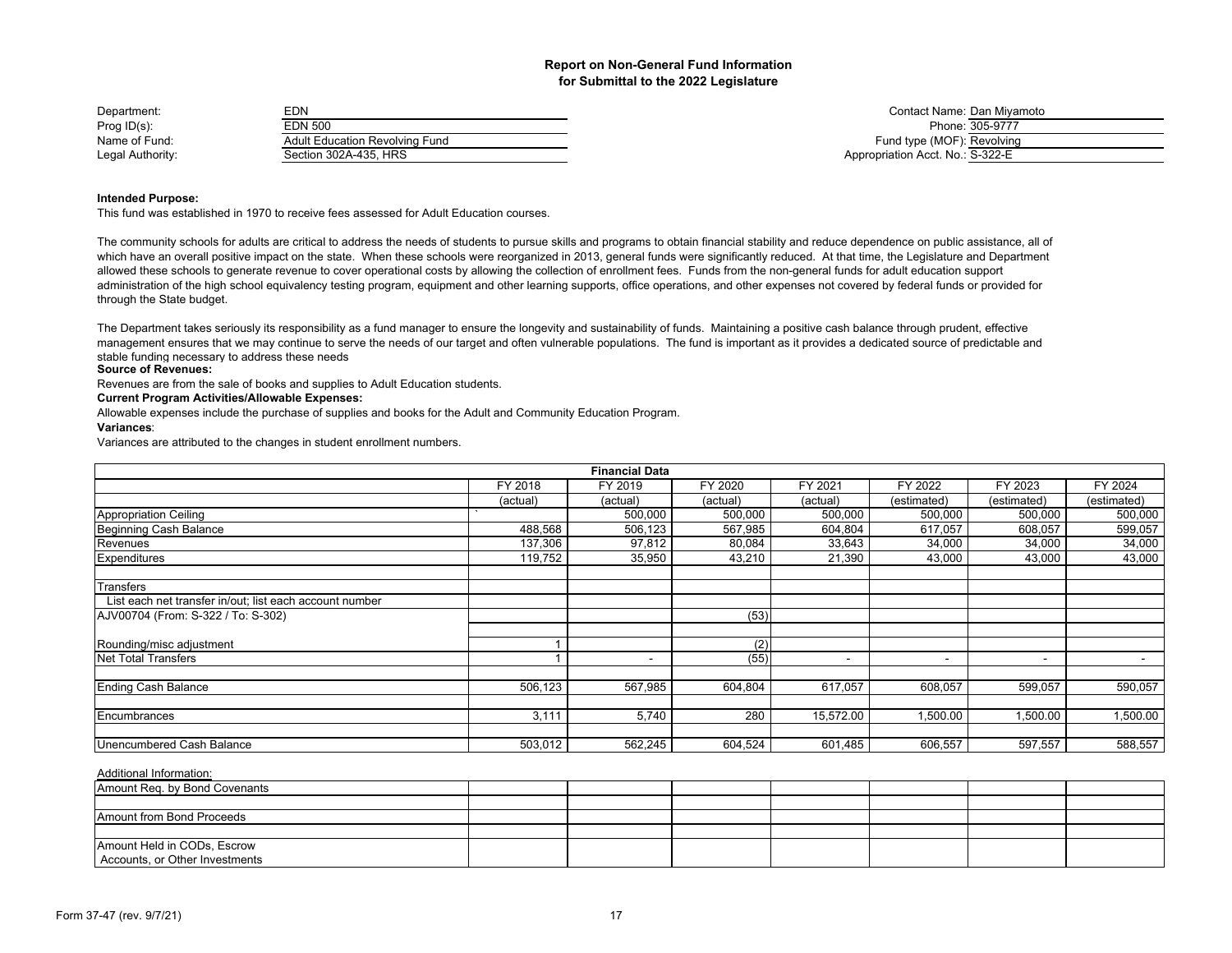| Department:      | EDN                            | Contact Name: Dan Miva           |
|------------------|--------------------------------|----------------------------------|
| Prog $ID(s)$ :   | EDN 500                        | Phone: 305-9777                  |
| Name of Fund:    | Adult Education Revolving Fund | Fund type (MOF): Revolving       |
| Legal Authority: | Section 302A-435, HRS          | Appropriation Acct. No.: S-322-E |

Contact Name: Dan Miyamoto<br>Phone: 305-9777 Fund type (MOF): Revolving Appropriation Acct. No.: S-322-E

## **Intended Purpose:**

This fund was established in 1970 to receive fees assessed for Adult Education courses.

The community schools for adults are critical to address the needs of students to pursue skills and programs to obtain financial stability and reduce dependence on public assistance, all of which have an overall positive impact on the state. When these schools were reorganized in 2013, general funds were significantly reduced. At that time, the Legislature and Department allowed these schools to generate revenue to cover operational costs by allowing the collection of enrollment fees. Funds from the non-general funds for adult education support administration of the high school equivalency testing program, equipment and other learning supports, office operations, and other expenses not covered by federal funds or provided for through the State budget.

The Department takes seriously its responsibility as a fund manager to ensure the longevity and sustainability of funds. Maintaining a positive cash balance through prudent, effective management ensures that we may continue to serve the needs of our target and often vulnerable populations. The fund is important as it provides a dedicated source of predictable and stable funding necessary to address these needs

## **Source of Revenues:**

Revenues are from the sale of books and supplies to Adult Education students.

## **Current Program Activities/Allowable Expenses:**

Allowable expenses include the purchase of supplies and books for the Adult and Community Education Program.

#### **Variances**:

Variances are attributed to the changes in student enrollment numbers.

| <b>Financial Data</b>                                   |          |          |          |                          |                          |                          |             |  |  |
|---------------------------------------------------------|----------|----------|----------|--------------------------|--------------------------|--------------------------|-------------|--|--|
|                                                         | FY 2018  | FY 2019  | FY 2020  | FY 2021                  | FY 2022                  | FY 2023                  | FY 2024     |  |  |
|                                                         | (actual) | (actual) | (actual) | (actual)                 | (estimated)              | (estimated)              | (estimated) |  |  |
| <b>Appropriation Ceiling</b>                            |          | 500,000  | 500,000  | 500,000                  | 500,000                  | 500,000                  | 500,000     |  |  |
| Beginning Cash Balance                                  | 488,568  | 506,123  | 567,985  | 604,804                  | 617,057                  | 608,057                  | 599,057     |  |  |
| Revenues                                                | 137,306  | 97,812   | 80,084   | 33,643                   | 34,000                   | 34,000                   | 34,000      |  |  |
| <b>Expenditures</b>                                     | 119,752  | 35,950   | 43,210   | 21,390                   | 43,000                   | 43,000                   | 43,000      |  |  |
| Transfers                                               |          |          |          |                          |                          |                          |             |  |  |
| List each net transfer in/out; list each account number |          |          |          |                          |                          |                          |             |  |  |
| AJV00704 (From: S-322 / To: S-302)                      |          |          | (53)     |                          |                          |                          |             |  |  |
| Rounding/misc adjustment                                |          |          | (2)      |                          |                          |                          |             |  |  |
| <b>Net Total Transfers</b>                              |          |          | (55)     | $\overline{\phantom{a}}$ | $\overline{\phantom{a}}$ | $\overline{\phantom{a}}$ | $\sim$      |  |  |
| <b>Ending Cash Balance</b>                              | 506,123  | 567,985  | 604.804  | 617.057                  | 608,057                  | 599,057                  | 590,057     |  |  |
| Encumbrances                                            | 3,111    | 5,740    | 280      | 15,572.00                | 1,500.00                 | 1,500.00                 | 1,500.00    |  |  |
| Unencumbered Cash Balance                               | 503,012  | 562,245  | 604,524  | 601,485                  | 606,557                  | 597,557                  | 588,557     |  |  |

| Amount Reg. by Bond Covenants  |  |  |  |  |
|--------------------------------|--|--|--|--|
|                                |  |  |  |  |
| Amount from Bond Proceeds      |  |  |  |  |
|                                |  |  |  |  |
| Amount Held in CODs, Escrow    |  |  |  |  |
| Accounts, or Other Investments |  |  |  |  |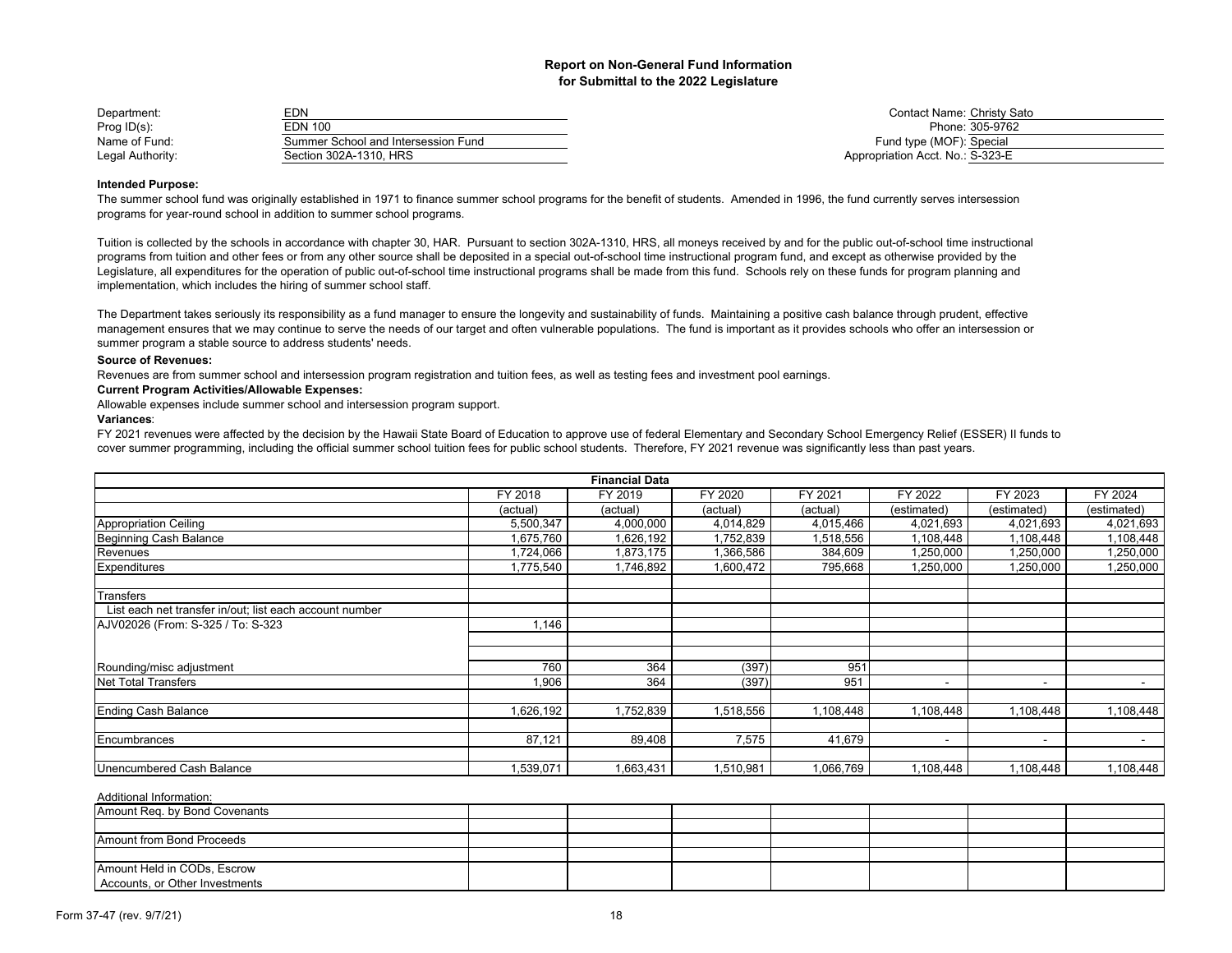| Department:      | EDN                                 | <b>Contact Name: Christy S</b>   |
|------------------|-------------------------------------|----------------------------------|
| Prog $ID(s)$ :   | EDN 100                             | Phone: 305-9762                  |
| Name of Fund:    | Summer School and Intersession Fund | Fund type (MOF): Special         |
| Legal Authority: | Section 302A-1310. HRS              | Appropriation Acct. No.: S-323-E |

Contact Name: Christy Sato<br>Phone: 305-9762 Fund type (MOF): Special Appropriation Acct. No.: S-323-E

#### **Intended Purpose:**

The summer school fund was originally established in 1971 to finance summer school programs for the benefit of students. Amended in 1996, the fund currently serves intersession programs for year-round school in addition to summer school programs.

Tuition is collected by the schools in accordance with chapter 30, HAR. Pursuant to section 302A-1310, HRS, all moneys received by and for the public out-of-school time instructional programs from tuition and other fees or from any other source shall be deposited in a special out-of-school time instructional program fund, and except as otherwise provided by the Legislature, all expenditures for the operation of public out-of-school time instructional programs shall be made from this fund. Schools rely on these funds for program planning and implementation, which includes the hiring of summer school staff.

The Department takes seriously its responsibility as a fund manager to ensure the longevity and sustainability of funds. Maintaining a positive cash balance through prudent, effective management ensures that we may continue to serve the needs of our target and often vulnerable populations. The fund is important as it provides schools who offer an intersession or summer program a stable source to address students' needs.

## **Source of Revenues:**

Revenues are from summer school and intersession program registration and tuition fees, as well as testing fees and investment pool earnings.

## **Current Program Activities/Allowable Expenses:**

Allowable expenses include summer school and intersession program support.

## **Variances**:

FY 2021 revenues were affected by the decision by the Hawaii State Board of Education to approve use of federal Elementary and Secondary School Emergency Relief (ESSER) II funds to cover summer programming, including the official summer school tuition fees for public school students. Therefore, FY 2021 revenue was significantly less than past years.

|                                                         |           | <b>Financial Data</b> |           |           |                          |                          |                |
|---------------------------------------------------------|-----------|-----------------------|-----------|-----------|--------------------------|--------------------------|----------------|
|                                                         | FY 2018   | FY 2019               | FY 2020   | FY 2021   | FY 2022                  | FY 2023                  | FY 2024        |
|                                                         | (actual)  | (actual)              | (actual)  | (actual)  | (estimated)              | (estimated)              | (estimated)    |
| <b>Appropriation Ceiling</b>                            | 5,500,347 | 4,000,000             | 4,014,829 | 4,015,466 | 4,021,693                | 4,021,693                | 4,021,693      |
| <b>Beginning Cash Balance</b>                           | .675,760  | 1,626,192             | 1,752,839 | 1,518,556 | 1,108,448                | 1,108,448                | 1,108,448      |
| Revenues                                                | ,724,066  | 1,873,175             | 1,366,586 | 384,609   | 1,250,000                | 1,250,000                | 1,250,000      |
| Expenditures                                            | ,775,540  | 1,746,892             | 1,600,472 | 795,668   | 1,250,000                | 1,250,000                | 1,250,000      |
| Transfers                                               |           |                       |           |           |                          |                          |                |
| List each net transfer in/out; list each account number |           |                       |           |           |                          |                          |                |
| AJV02026 (From: S-325 / To: S-323                       | 1,146     |                       |           |           |                          |                          |                |
|                                                         |           |                       |           |           |                          |                          |                |
| Rounding/misc adjustment                                | 760       | 364                   | (397)     | 951       |                          |                          |                |
| <b>Net Total Transfers</b>                              | 1,906     | 364                   | (397)     | 951       | ٠                        | $\overline{\phantom{a}}$ |                |
| <b>Ending Cash Balance</b>                              | .626,192  | 1,752,839             | 1,518,556 | 1,108,448 | 1,108,448                | 1,108,448                | 1,108,448      |
| Encumbrances                                            | 87,121    | 89,408                | 7,575     | 41,679    | $\overline{\phantom{a}}$ | $\blacksquare$           | $\blacksquare$ |
| Unencumbered Cash Balance                               | .539,071  | .663,431              | 1,510,981 | 1,066,769 | 1,108,448                | ,108,448                 | 1,108,448      |

| Amount Reg. by Bond Covenants  |  |  |  |  |
|--------------------------------|--|--|--|--|
|                                |  |  |  |  |
| Amount from Bond Proceeds      |  |  |  |  |
|                                |  |  |  |  |
| Amount Held in CODs, Escrow    |  |  |  |  |
| Accounts, or Other Investments |  |  |  |  |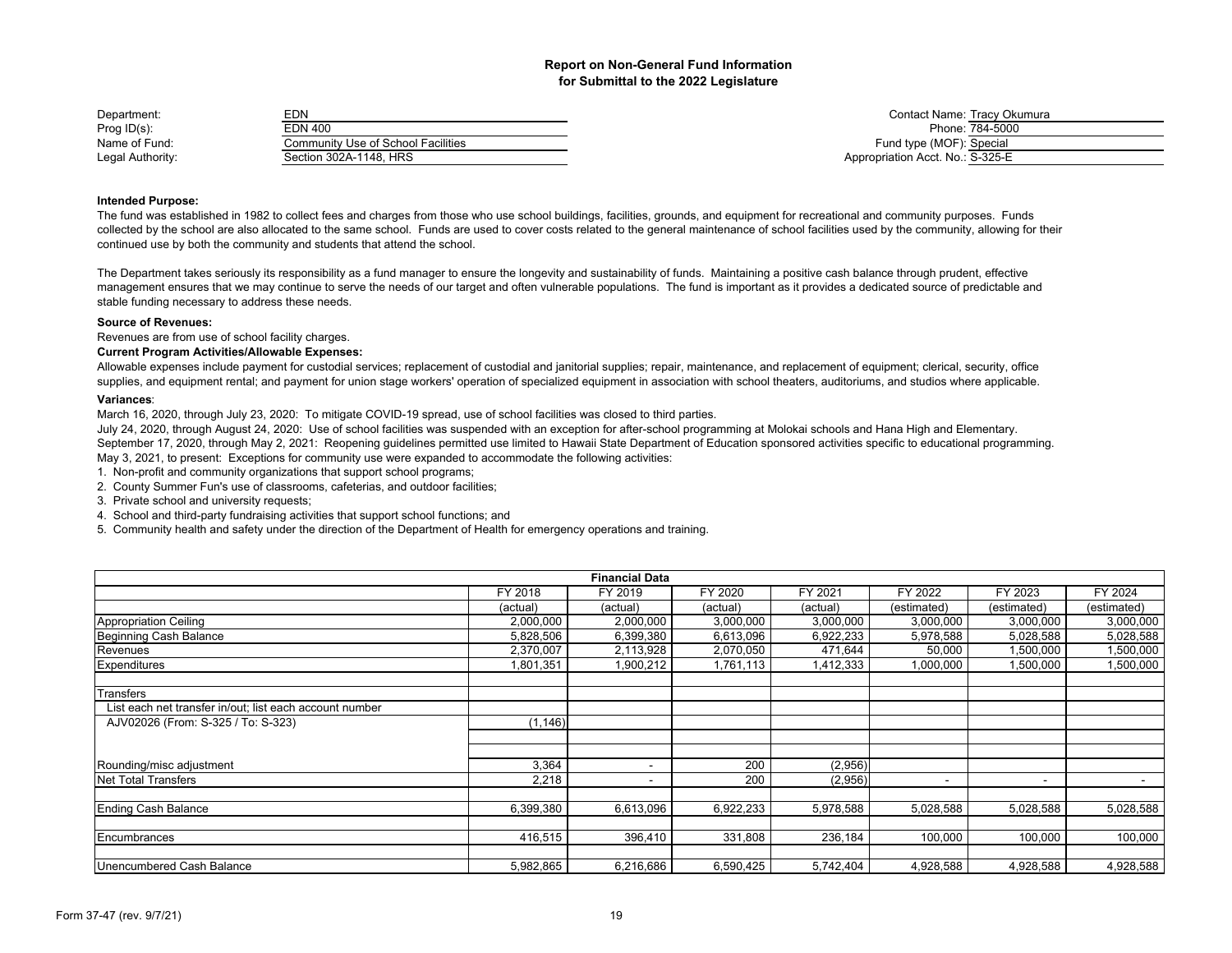| Department:      | EDN                                | Contact Name: Tracy Ok           |
|------------------|------------------------------------|----------------------------------|
| Prog $ID(s)$ :   | EDN 400                            | Phone: 784-5000                  |
| Name of Fund:    | Community Use of School Facilities | Fund type (MOF): Special         |
| Legal Authority: | Section 302A-1148. HRS             | Appropriation Acct. No.: S-325-E |

Contact Name: Tracy Okumura Fund type (MOF): Special Appropriation Acct. No.: S-325-E

## **Intended Purpose:**

The fund was established in 1982 to collect fees and charges from those who use school buildings, facilities, grounds, and equipment for recreational and community purposes. Funds collected by the school are also allocated to the same school. Funds are used to cover costs related to the general maintenance of school facilities used by the community, allowing for their continued use by both the community and students that attend the school.

The Department takes seriously its responsibility as a fund manager to ensure the longevity and sustainability of funds. Maintaining a positive cash balance through prudent, effective management ensures that we may continue to serve the needs of our target and often vulnerable populations. The fund is important as it provides a dedicated source of predictable and stable funding necessary to address these needs.

### **Source of Revenues:**

Revenues are from use of school facility charges.

## **Current Program Activities/Allowable Expenses:**

Allowable expenses include payment for custodial services; replacement of custodial and janitorial supplies; repair, maintenance, and replacement of equipment; clerical, security, office supplies, and equipment rental; and payment for union stage workers' operation of specialized equipment in association with school theaters, auditoriums, and studios where applicable.

### **Variances**:

March 16, 2020, through July 23, 2020: To mitigate COVID-19 spread, use of school facilities was closed to third parties.

July 24, 2020, through August 24, 2020: Use of school facilities was suspended with an exception for after-school programming at Molokai schools and Hana High and Elementary.

September 17, 2020, through May 2, 2021: Reopening quidelines permitted use limited to Hawaii State Department of Education sponsored activities specific to educational programming.

May 3, 2021, to present: Exceptions for community use were expanded to accommodate the following activities:

1. Non-profit and community organizations that support school programs;

2. County Summer Fun's use of classrooms, cafeterias, and outdoor facilities;

3. Private school and university requests;

4. School and third-party fundraising activities that support school functions; and

5. Community health and safety under the direction of the Department of Health for emergency operations and training.

|                                                         |           | <b>Financial Data</b> |           |           |             |                          |             |
|---------------------------------------------------------|-----------|-----------------------|-----------|-----------|-------------|--------------------------|-------------|
|                                                         | FY 2018   | FY 2019               | FY 2020   | FY 2021   | FY 2022     | FY 2023                  | FY 2024     |
|                                                         | (actual)  | (actual)              | (actual)  | (actual)  | (estimated) | (estimated)              | (estimated) |
| Appropriation Ceiling                                   | 2,000,000 | 2,000,000             | 3,000,000 | 3,000,000 | 3,000,000   | 3,000,000                | 3,000,000   |
| Beginning Cash Balance                                  | 5,828,506 | 6,399,380             | 6,613,096 | 6,922,233 | 5,978,588   | 5,028,588                | 5,028,588   |
| Revenues                                                | 2,370,007 | 2,113,928             | 2,070,050 | 471,644   | 50,000      | 1,500,000                | 1,500,000   |
| <b>Expenditures</b>                                     | 1,801,351 | 900,212               | 1,761,113 | 1,412,333 | 1,000,000   | 1,500,000                | 1,500,000   |
|                                                         |           |                       |           |           |             |                          |             |
| Transfers                                               |           |                       |           |           |             |                          |             |
| List each net transfer in/out; list each account number |           |                       |           |           |             |                          |             |
| AJV02026 (From: S-325 / To: S-323)                      | (1, 146)  |                       |           |           |             |                          |             |
|                                                         |           |                       |           |           |             |                          |             |
|                                                         |           |                       |           |           |             |                          |             |
| Rounding/misc adjustment                                | 3,364     | -                     | 200       | (2,956)   |             |                          |             |
| <b>Net Total Transfers</b>                              | 2,218     | -                     | 200       | (2,956)   | -           | $\overline{\phantom{a}}$ |             |
|                                                         |           |                       |           |           |             |                          |             |
| <b>Ending Cash Balance</b>                              | 6,399,380 | 6,613,096             | 6,922,233 | 5,978,588 | 5,028,588   | 5,028,588                | 5,028,588   |
|                                                         |           |                       |           |           |             |                          |             |
| Encumbrances                                            | 416,515   | 396,410               | 331,808   | 236,184   | 100,000     | 100,000                  | 100,000     |
|                                                         |           |                       |           |           |             |                          |             |
| Unencumbered Cash Balance                               | 5,982,865 | 6.216.686             | 6,590,425 | 5,742,404 | 4,928,588   | 4,928,588                | 4,928,588   |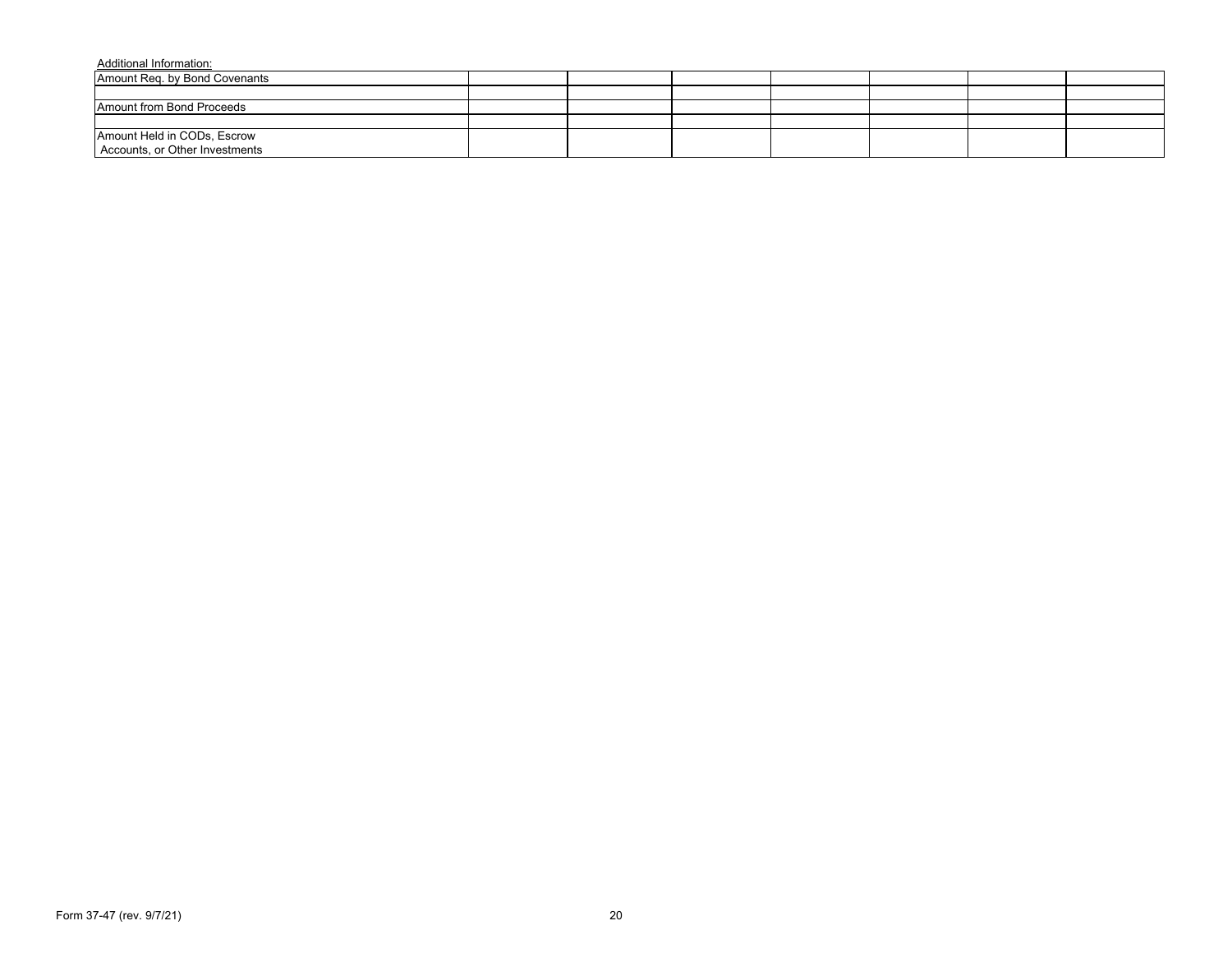| Amount Reg. by Bond Covenants                                 |  |  |  |  |
|---------------------------------------------------------------|--|--|--|--|
|                                                               |  |  |  |  |
| Amount from Bond Proceeds                                     |  |  |  |  |
|                                                               |  |  |  |  |
| Amount Held in CODs, Escrow<br>Accounts, or Other Investments |  |  |  |  |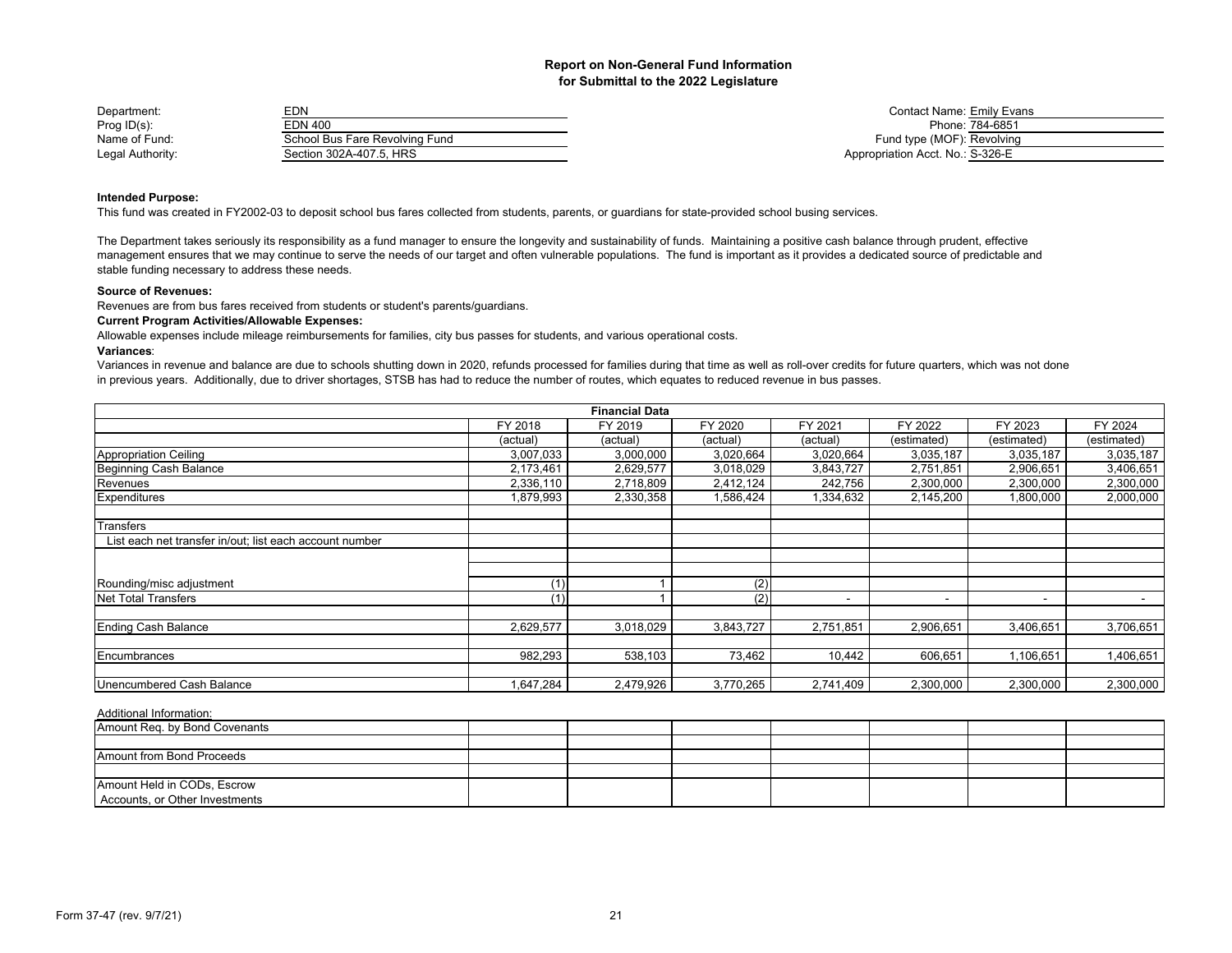| Department:      | EDN                            | <b>Contact Name: Emily Evans</b> |                 |
|------------------|--------------------------------|----------------------------------|-----------------|
| Prog $ID(s)$ :   | EDN 400                        |                                  | Phone: 784-6851 |
| Name of Fund:    | School Bus Fare Revolving Fund | Fund type (MOF): Revolving       |                 |
| Legal Authority: | Section 302A-407.5. HRS        | Appropriation Acct. No.: S-326-E |                 |

| Contact Name: Emily Evans        |                 |
|----------------------------------|-----------------|
|                                  | Phone: 784-6851 |
| Fund type (MOF): Revolving       |                 |
| Appropriation Acct. No.: S-326-E |                 |

## **Intended Purpose:**

This fund was created in FY2002-03 to deposit school bus fares collected from students, parents, or guardians for state-provided school busing services.

The Department takes seriously its responsibility as a fund manager to ensure the longevity and sustainability of funds. Maintaining a positive cash balance through prudent, effective management ensures that we may continue to serve the needs of our target and often vulnerable populations. The fund is important as it provides a dedicated source of predictable and stable funding necessary to address these needs.

## **Source of Revenues:**

Revenues are from bus fares received from students or student's parents/guardians.

## **Current Program Activities/Allowable Expenses:**

Allowable expenses include mileage reimbursements for families, city bus passes for students, and various operational costs.

#### **Variances**:

Variances in revenue and balance are due to schools shutting down in 2020, refunds processed for families during that time as well as roll-over credits for future quarters, which was not done in previous years. Additionally, due to driver shortages, STSB has had to reduce the number of routes, which equates to reduced revenue in bus passes.

|                                                         |            | <b>Financial Data</b> |           |           |             |                          |             |
|---------------------------------------------------------|------------|-----------------------|-----------|-----------|-------------|--------------------------|-------------|
|                                                         | FY 2018    | FY 2019               | FY 2020   | FY 2021   | FY 2022     | FY 2023                  | FY 2024     |
|                                                         | (actual)   | (actual)              | (actual)  | (actual)  | (estimated) | (estimated)              | (estimated) |
| <b>Appropriation Ceiling</b>                            | 3,007,033  | 3,000,000             | 3,020,664 | 3,020,664 | 3,035,187   | 3,035,187                | 3,035,187   |
| Beginning Cash Balance                                  | 2,173,461  | 2,629,577             | 3,018,029 | 3,843,727 | 2,751,851   | 2,906,651                | 3,406,651   |
| Revenues                                                | 2,336,110  | 2,718,809             | 2,412,124 | 242,756   | 2,300,000   | 2,300,000                | 2,300,000   |
| Expenditures                                            | 879,993. ا | 2,330,358             | 1,586,424 | 1,334,632 | 2,145,200   | 1,800,000                | 2,000,000   |
|                                                         |            |                       |           |           |             |                          |             |
| Transfers                                               |            |                       |           |           |             |                          |             |
| List each net transfer in/out; list each account number |            |                       |           |           |             |                          |             |
|                                                         |            |                       |           |           |             |                          |             |
|                                                         |            |                       |           |           |             |                          |             |
| Rounding/misc adjustment                                | (1)        |                       | (2)       |           |             |                          |             |
| Net Total Transfers                                     | (1)        |                       | (2)       |           | -           | $\overline{\phantom{a}}$ |             |
|                                                         |            |                       |           |           |             |                          |             |
| <b>Ending Cash Balance</b>                              | 2,629,577  | 3,018,029             | 3,843,727 | 2,751,851 | 2,906,651   | 3,406,651                | 3,706,651   |
|                                                         |            |                       |           |           |             |                          |             |
| Encumbrances                                            | 982,293    | 538,103               | 73,462    | 10,442    | 606,651     | 1,106,651                | 1,406,651   |
|                                                         |            |                       |           |           |             |                          |             |
| Unencumbered Cash Balance                               | 1,647,284  | 2,479,926             | 3,770,265 | 2,741,409 | 2,300,000   | 2,300,000                | 2,300,000   |

| Amount Req. by Bond Covenants  |  |  |  |  |
|--------------------------------|--|--|--|--|
|                                |  |  |  |  |
| Amount from Bond Proceeds      |  |  |  |  |
|                                |  |  |  |  |
| Amount Held in CODs, Escrow    |  |  |  |  |
| Accounts, or Other Investments |  |  |  |  |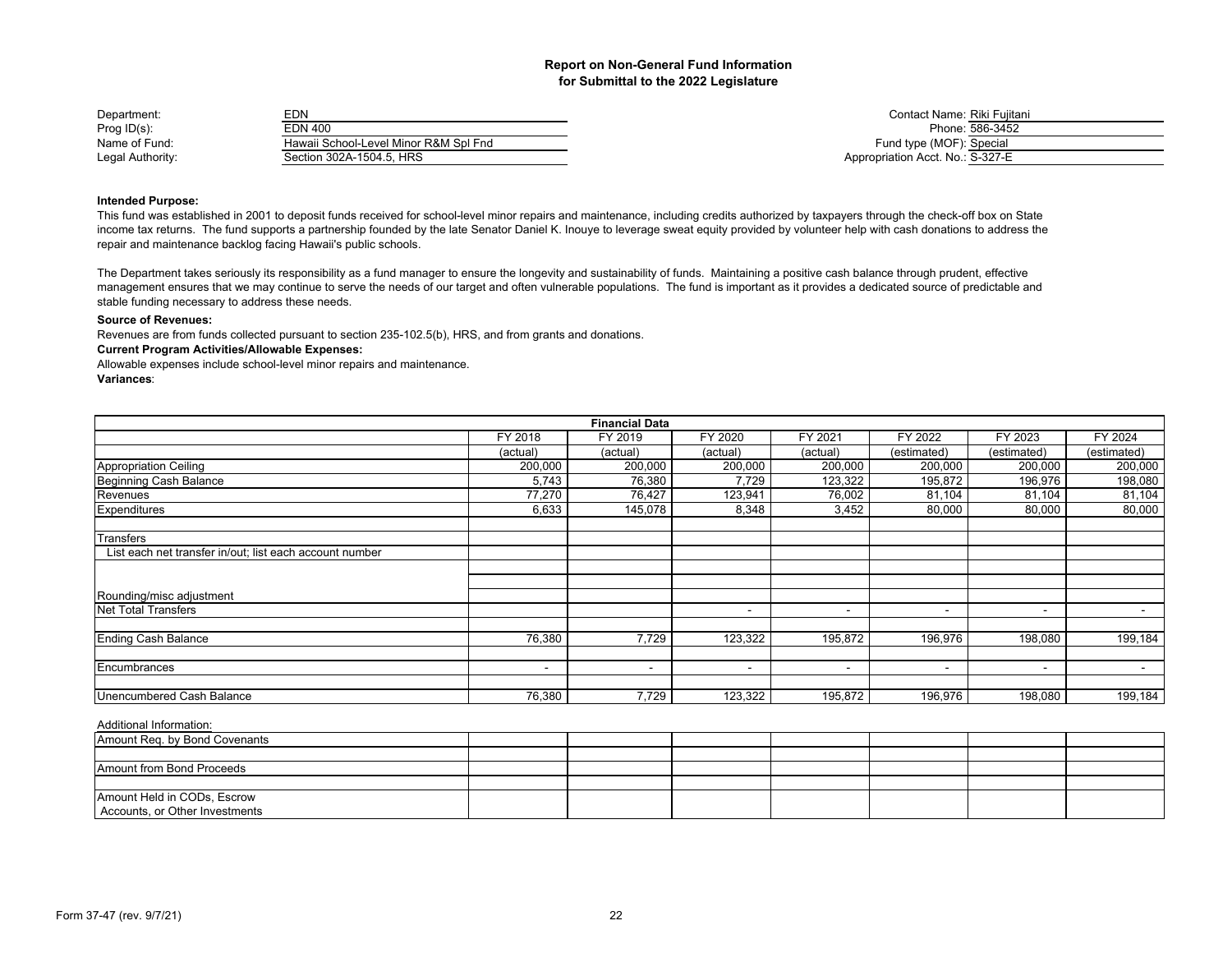| Department:      | EDN                                   |
|------------------|---------------------------------------|
| Prog $ID(s)$ :   | EDN 400                               |
| Name of Fund:    | Hawaii School-Level Minor R&M Spl Fnd |
| Legal Authority: | Section 302A-1504.5. HRS              |

Contact Name: Riki Fujitani Phone: 586-3452 Fund type (MOF): Special Appropriation Acct. No.: S-327-E

## **Intended Purpose:**

This fund was established in 2001 to deposit funds received for school-level minor repairs and maintenance, including credits authorized by taxpayers through the check-off box on State income tax returns. The fund supports a partnership founded by the late Senator Daniel K. Inouye to leverage sweat equity provided by volunteer help with cash donations to address the repair and maintenance backlog facing Hawaii's public schools.

The Department takes seriously its responsibility as a fund manager to ensure the longevity and sustainability of funds. Maintaining a positive cash balance through prudent, effective management ensures that we may continue to serve the needs of our target and often vulnerable populations. The fund is important as it provides a dedicated source of predictable and stable funding necessary to address these needs.

## **Source of Revenues:**

Revenues are from funds collected pursuant to section 235-102.5(b), HRS, and from grants and donations.

#### **Current Program Activities/Allowable Expenses:**

Allowable expenses include school-level minor repairs and maintenance.

## **Variances**:

|                                                         |          | <b>Financial Data</b> |                          |                          |                          |                          |                |
|---------------------------------------------------------|----------|-----------------------|--------------------------|--------------------------|--------------------------|--------------------------|----------------|
|                                                         | FY 2018  | FY 2019               | FY 2020                  | FY 2021                  | FY 2022                  | FY 2023                  | FY 2024        |
|                                                         | (actual) | (actual)              | (actual)                 | (actual)                 | (estimated)              | (estimated)              | (estimated)    |
| <b>Appropriation Ceiling</b>                            | 200,000  | 200,000               | 200,000                  | 200,000                  | 200,000                  | 200,000                  | 200,000        |
| Beginning Cash Balance                                  | 5,743    | 76,380                | 7,729                    | 123,322                  | 195,872                  | 196,976                  | 198,080        |
| Revenues                                                | 77,270   | 76,427                | 123,941                  | 76,002                   | 81,104                   | 81,104                   | 81,104         |
| Expenditures                                            | 6,633    | 145,078               | 8,348                    | 3,452                    | 80,000                   | 80,000                   | 80,000         |
| Transfers                                               |          |                       |                          |                          |                          |                          |                |
| List each net transfer in/out; list each account number |          |                       |                          |                          |                          |                          |                |
|                                                         |          |                       |                          |                          |                          |                          |                |
| Rounding/misc adjustment                                |          |                       |                          |                          |                          |                          |                |
| <b>Net Total Transfers</b>                              |          |                       |                          | $\overline{\phantom{a}}$ | $\overline{\phantom{a}}$ | $\overline{\phantom{a}}$ | $\blacksquare$ |
| <b>Ending Cash Balance</b>                              | 76,380   | 7,729                 | 123,322                  | 195,872                  | 196,976                  | 198,080                  | 199,184        |
|                                                         |          |                       |                          |                          |                          |                          |                |
| Encumbrances                                            |          | ۰                     | $\overline{\phantom{a}}$ | $\overline{\phantom{a}}$ | $\overline{\phantom{a}}$ | $\overline{\phantom{a}}$ | $\blacksquare$ |
| Unencumbered Cash Balance                               | 76,380   | 7,729                 | 123,322                  | 195,872                  | 196,976                  | 198,080                  | 199,184        |

| $\overline{\phantom{a}}$ , waited it is a finite that it is a |  |  |  |  |
|---------------------------------------------------------------|--|--|--|--|
| Amount Req. by Bond Covenants                                 |  |  |  |  |
|                                                               |  |  |  |  |
| Amount from Bond Proceeds                                     |  |  |  |  |
|                                                               |  |  |  |  |
| Amount Held in CODs, Escrow                                   |  |  |  |  |
| Accounts, or Other Investments                                |  |  |  |  |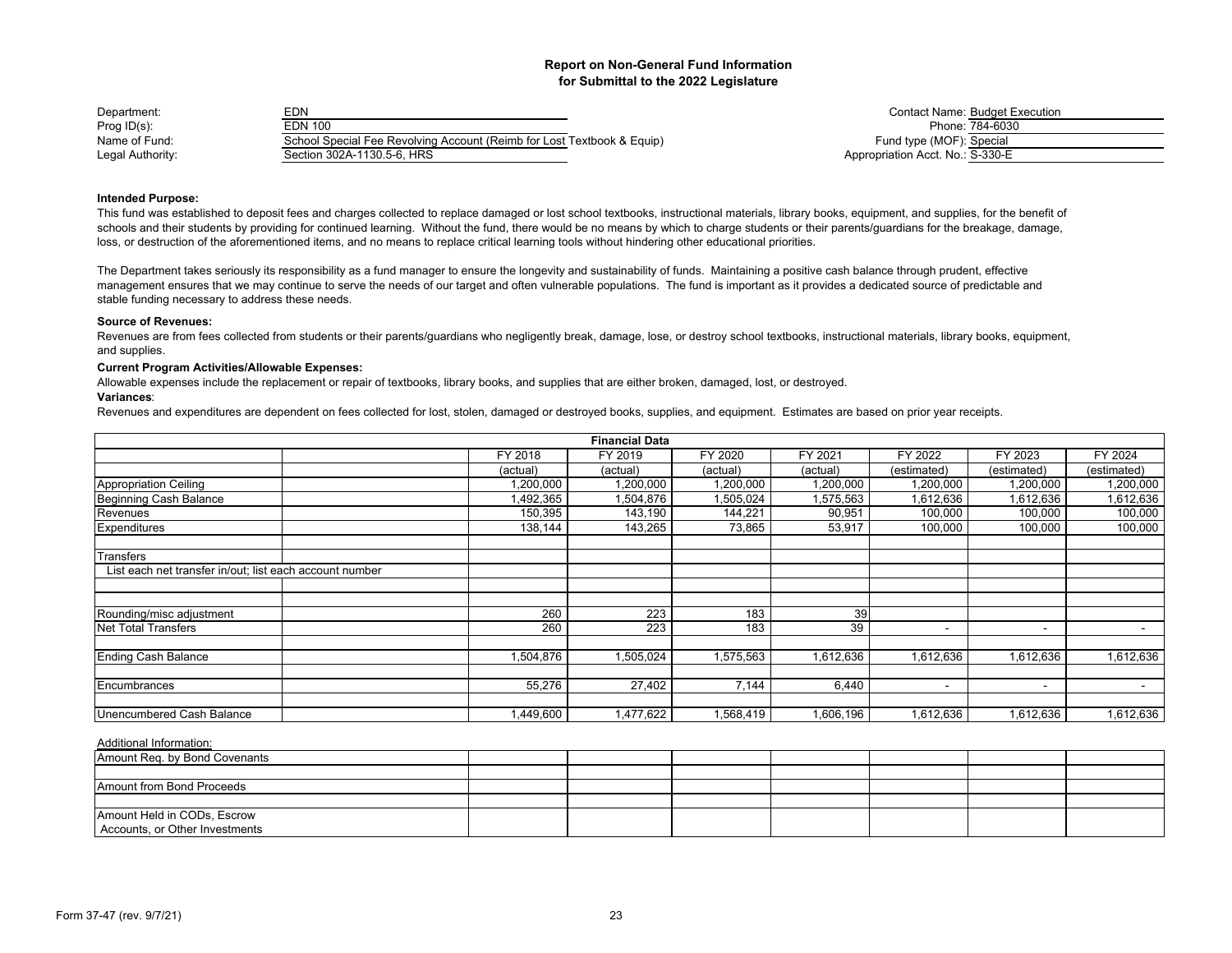| Department:      | EDN                                                                    | <b>Contact Name: Budget Execution</b> |
|------------------|------------------------------------------------------------------------|---------------------------------------|
| Prog ID(s):      | <b>EDN 100</b>                                                         | Phone: 784-6030                       |
| Name of Fund:    | School Special Fee Revolving Account (Reimb for Lost Textbook & Equip) | Fund type (MOF): Special              |
| Legal Authority: | Section 302A-1130.5-6. HRS                                             | Appropriation Acct. No.: S-330-E      |

|                                 | <b>Contact Name: Budget Execution</b> |
|---------------------------------|---------------------------------------|
|                                 | Phone: 784-6030                       |
| Fund type (MOF): Special        |                                       |
| ppropriation Acct. No.: S-330-E |                                       |

## **Intended Purpose:**

This fund was established to deposit fees and charges collected to replace damaged or lost school textbooks, instructional materials, library books, equipment, and supplies, for the benefit of schools and their students by providing for continued learning. Without the fund, there would be no means by which to charge students or their parents/guardians for the breakage, damage, loss, or destruction of the aforementioned items, and no means to replace critical learning tools without hindering other educational priorities.

The Department takes seriously its responsibility as a fund manager to ensure the longevity and sustainability of funds. Maintaining a positive cash balance through prudent, effective management ensures that we may continue to serve the needs of our target and often vulnerable populations. The fund is important as it provides a dedicated source of predictable and stable funding necessary to address these needs.

### **Source of Revenues:**

Revenues are from fees collected from students or their parents/guardians who negligently break, damage, lose, or destroy school textbooks, instructional materials, library books, equipment, and supplies.

## **Current Program Activities/Allowable Expenses:**

Allowable expenses include the replacement or repair of textbooks, library books, and supplies that are either broken, damaged, lost, or destroyed.

## **Variances**:

Revenues and expenditures are dependent on fees collected for lost, stolen, damaged or destroyed books, supplies, and equipment. Estimates are based on prior year receipts.

|                                                         |           | <b>Financial Data</b> |           |           |             |             |                          |
|---------------------------------------------------------|-----------|-----------------------|-----------|-----------|-------------|-------------|--------------------------|
|                                                         | FY 2018   | FY 2019               | FY 2020   | FY 2021   | FY 2022     | FY 2023     | FY 2024                  |
|                                                         | (actual)  | (actual)              | (actual)  | (actual)  | (estimated) | (estimated) | (estimated)              |
| Appropriation Ceiling                                   | 1,200,000 | 1,200,000             | 1,200,000 | 1,200,000 | 1,200,000   | 1,200,000   | 1,200,000                |
| Beginning Cash Balance                                  | ,492,365  | 1,504,876             | 1,505,024 | 1,575,563 | 1,612,636   | 1,612,636   | 1,612,636                |
| Revenues                                                | 150,395   | 143,190               | 144,221   | 90,951    | 100,000     | 100,000     | 100,000                  |
| Expenditures                                            | 138,144   | 143,265               | 73,865    | 53,917    | 100,000     | 100,000     | 100,000                  |
| Transfers                                               |           |                       |           |           |             |             |                          |
| List each net transfer in/out; list each account number |           |                       |           |           |             |             |                          |
|                                                         |           |                       |           |           |             |             |                          |
|                                                         |           |                       |           |           |             |             |                          |
| Rounding/misc adjustment                                | 260       | 223                   | 183       | 39        |             |             |                          |
| Net Total Transfers                                     | 260       | 223                   | 183       | 39        | <b>1</b>    | $\sim$      | $\overline{\phantom{0}}$ |
|                                                         |           |                       |           |           |             |             |                          |
| <b>Ending Cash Balance</b>                              | 1,504,876 | 1,505,024             | 1,575,563 | 1,612,636 | 1,612,636   | 1,612,636   | 1,612,636                |
|                                                         |           |                       |           |           |             |             |                          |
| Encumbrances                                            | 55,276    | 27,402                | 7,144     | 6,440     | -           | $\sim$      |                          |
| Unencumbered Cash Balance                               | ,449,600  | 1,477,622             | 1,568,419 | 1,606,196 | 1,612,636   | 1,612,636   | 1,612,636                |
|                                                         |           |                       |           |           |             |             |                          |

| Amount Req. by Bond Covenants    |  |  |  |  |
|----------------------------------|--|--|--|--|
|                                  |  |  |  |  |
| <b>Amount from Bond Proceeds</b> |  |  |  |  |
|                                  |  |  |  |  |
| Amount Held in CODs, Escrow      |  |  |  |  |
| Accounts, or Other Investments   |  |  |  |  |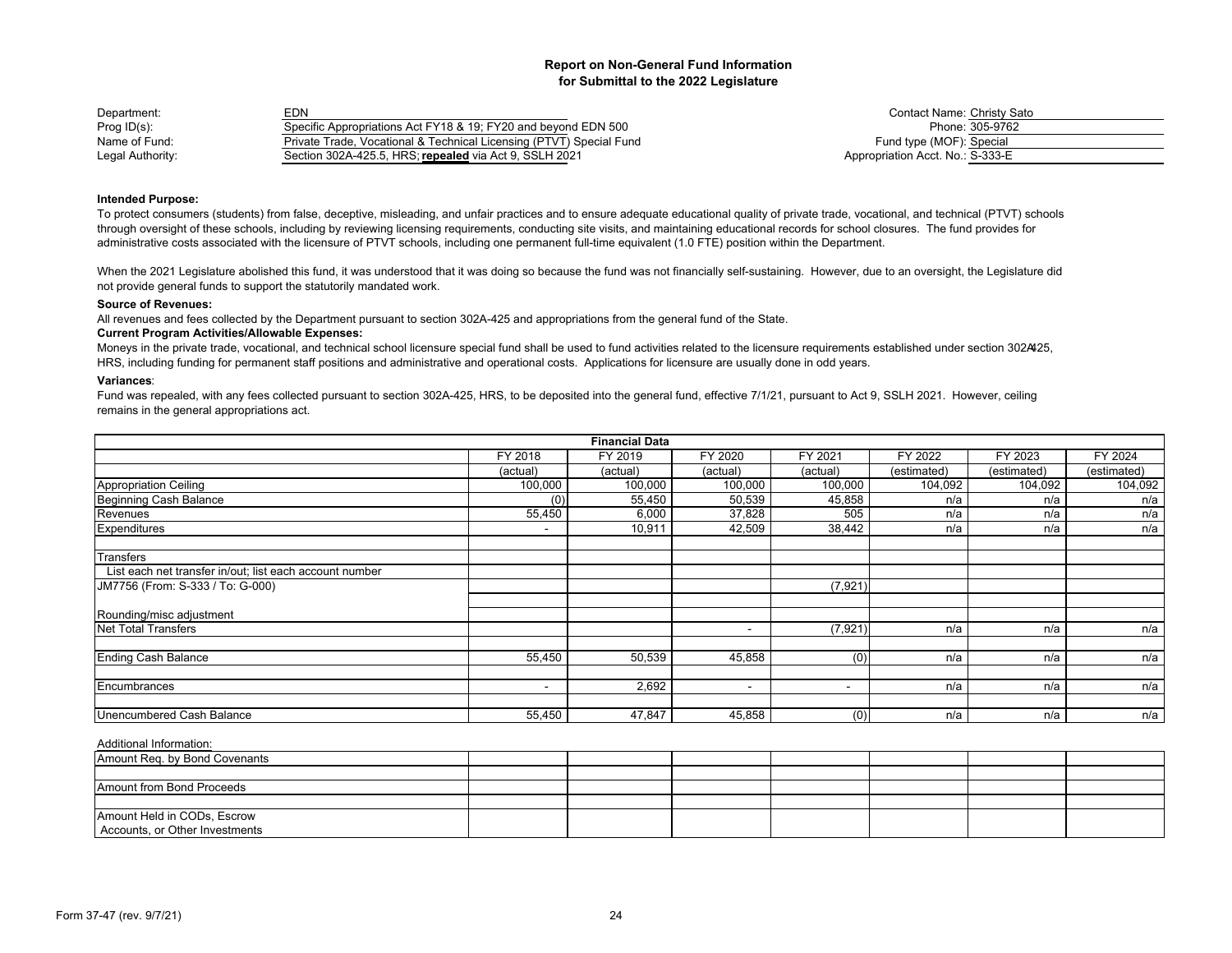| Department:      | EDN                                                                 | Contact Name: Christy Sato       |
|------------------|---------------------------------------------------------------------|----------------------------------|
| Prog ID(s):      | Specific Appropriations Act FY18 & 19; FY20 and beyond EDN 500      | Phone: 305-9762                  |
| Name of Fund:    | Private Trade, Vocational & Technical Licensing (PTVT) Special Fund | Fund type (MOF): Special         |
| Legal Authority: | Section 302A-425.5. HRS: repealed via Act 9. SSLH 2021              | Appropriation Acct. No.: S-333-E |

| Contact Name: Christy Sato       |                 |
|----------------------------------|-----------------|
|                                  | Phone: 305-9762 |
| Fund type (MOF): Special         |                 |
| Appropriation Acct. No.: S-333-E |                 |

#### **Intended Purpose:**

To protect consumers (students) from false, deceptive, misleading, and unfair practices and to ensure adequate educational quality of private trade, vocational, and technical (PTVT) schools through oversight of these schools, including by reviewing licensing requirements, conducting site visits, and maintaining educational records for school closures. The fund provides for administrative costs associated with the licensure of PTVT schools, including one permanent full-time equivalent (1.0 FTE) position within the Department.

When the 2021 Legislature abolished this fund, it was understood that it was doing so because the fund was not financially self-sustaining. However, due to an oversight, the Legislature did not provide general funds to support the statutorily mandated work.

#### **Source of Revenues:**

All revenues and fees collected by the Department pursuant to section 302A-425 and appropriations from the general fund of the State.

#### **Current Program Activities/Allowable Expenses:**

Moneys in the private trade, vocational, and technical school licensure special fund shall be used to fund activities related to the licensure requirements established under section 302425, HRS, including funding for permanent staff positions and administrative and operational costs. Applications for licensure are usually done in odd years.

#### **Variances**:

Fund was repealed, with any fees collected pursuant to section 302A-425, HRS, to be deposited into the general fund, effective 7/1/21, pursuant to Act 9, SSLH 2021. However, ceiling remains in the general appropriations act.

|                                                         |                          | <b>Financial Data</b> |          |          |             |             |             |
|---------------------------------------------------------|--------------------------|-----------------------|----------|----------|-------------|-------------|-------------|
|                                                         | FY 2018                  | FY 2019               | FY 2020  | FY 2021  | FY 2022     | FY 2023     | FY 2024     |
|                                                         | (actual)                 | (actual)              | (actual) | (actual) | (estimated) | (estimated) | (estimated) |
| Appropriation Ceiling                                   | 100,000                  | 100,000               | 100,000  | 100,000  | 104,092     | 104,092     | 104,092     |
| <b>Beginning Cash Balance</b>                           | (0)                      | 55,450                | 50,539   | 45,858   | n/a         | n/a         | n/a         |
| Revenues                                                | 55,450                   | 6,000                 | 37,828   | 505      | n/a         | n/a         | n/a         |
| Expenditures                                            |                          | 10,911                | 42,509   | 38,442   | n/a         | n/a         | n/a         |
| Transfers                                               |                          |                       |          |          |             |             |             |
| List each net transfer in/out; list each account number |                          |                       |          |          |             |             |             |
| JM7756 (From: S-333 / To: G-000)                        |                          |                       |          | (7, 921) |             |             |             |
| Rounding/misc adjustment                                |                          |                       |          |          |             |             |             |
| Net Total Transfers                                     |                          |                       | -        | (7, 921) | n/a         | n/a         | n/a         |
| <b>Ending Cash Balance</b>                              | 55,450                   | 50,539                | 45,858   | (0)      | n/a         | n/a         | n/a         |
| Encumbrances                                            | $\overline{\phantom{a}}$ | 2,692                 | -        |          | n/a         | n/a         | n/a         |
| Unencumbered Cash Balance                               | 55,450                   | 47,847                | 45,858   | (0)      | n/a         | n/a         | n/a         |

| Amount Req. by Bond Covenants  |  |  |  |  |
|--------------------------------|--|--|--|--|
|                                |  |  |  |  |
| Amount from Bond Proceeds      |  |  |  |  |
|                                |  |  |  |  |
| Amount Held in CODs, Escrow    |  |  |  |  |
| Accounts, or Other Investments |  |  |  |  |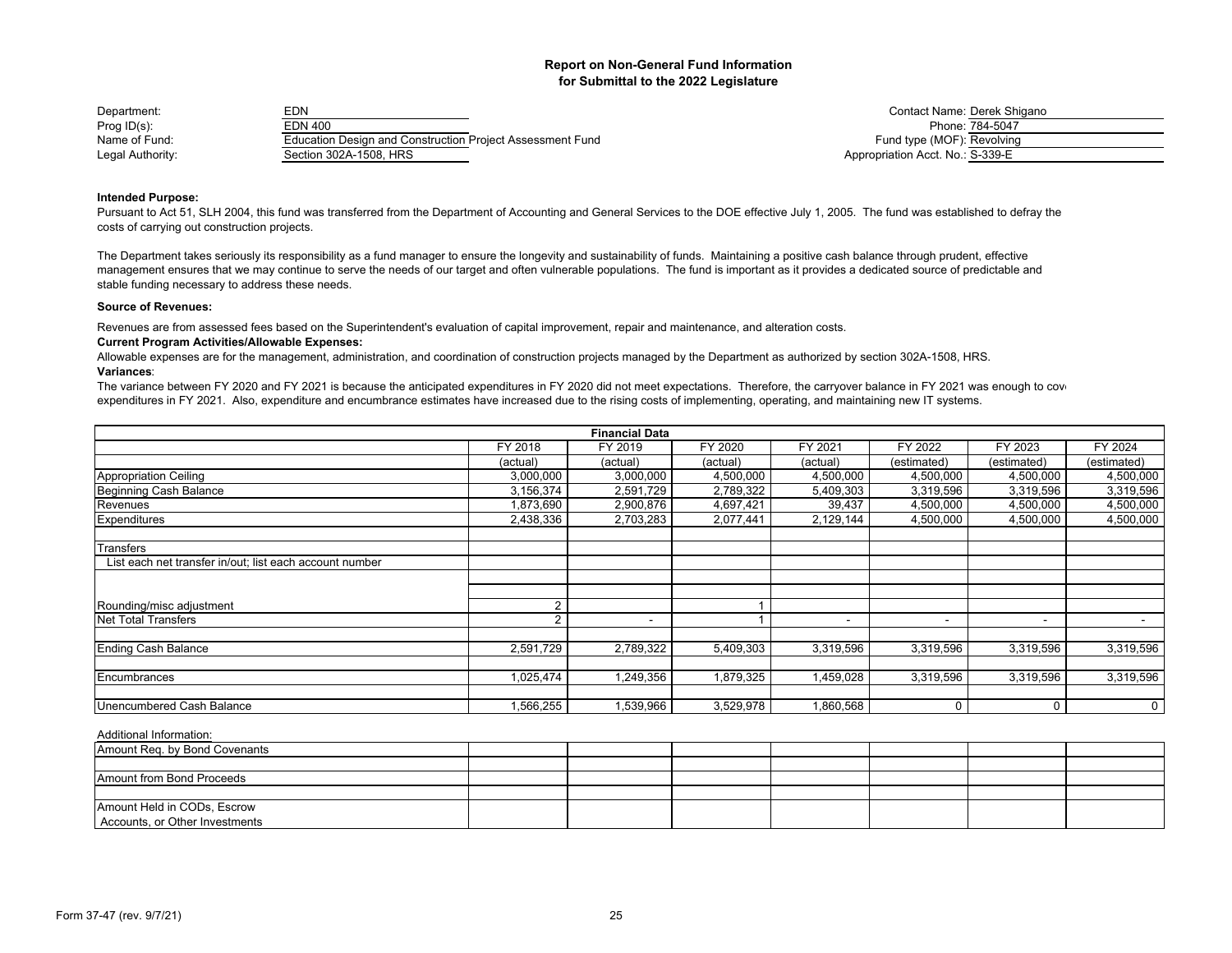| Department:      | EDN                                                              | <b>Contact Name: Derek Sh</b>    |
|------------------|------------------------------------------------------------------|----------------------------------|
| Prog $ID(s)$ :   | EDN 400                                                          | Phone: 784-5047                  |
| Name of Fund:    | <b>Education Design and Construction Project Assessment Fund</b> | Fund type (MOF): Revolving       |
| Legal Authority: | Section 302A-1508, HRS                                           | Appropriation Acct. No.: S-339-E |

Contact Name: Derek Shigano<br>Phone: 784-5047 Fund type (MOF): Revolving Appropriation Acct. No.: S-339-E

## **Intended Purpose:**

Pursuant to Act 51, SLH 2004, this fund was transferred from the Department of Accounting and General Services to the DOE effective July 1, 2005. The fund was established to defray the costs of carrying out construction projects.

The Department takes seriously its responsibility as a fund manager to ensure the longevity and sustainability of funds. Maintaining a positive cash balance through prudent, effective management ensures that we may continue to serve the needs of our target and often vulnerable populations. The fund is important as it provides a dedicated source of predictable and stable funding necessary to address these needs.

#### **Source of Revenues:**

Revenues are from assessed fees based on the Superintendent's evaluation of capital improvement, repair and maintenance, and alteration costs.

#### **Current Program Activities/Allowable Expenses:**

**Variances**:Allowable expenses are for the management, administration, and coordination of construction projects managed by the Department as authorized by section 302A-1508, HRS.

The variance between FY 2020 and FY 2021 is because the anticipated expenditures in FY 2020 did not meet expectations. Therefore, the carryover balance in FY 2021 was enough to cover expenditures in FY 2021. Also, expenditure and encumbrance estimates have increased due to the rising costs of implementing, operating, and maintaining new IT systems.

|                                                         |           | <b>Financial Data</b> |           |                          |                          |             |                |
|---------------------------------------------------------|-----------|-----------------------|-----------|--------------------------|--------------------------|-------------|----------------|
|                                                         | FY 2018   | FY 2019               | FY 2020   | FY 2021                  | FY 2022                  | FY 2023     | FY 2024        |
|                                                         | (actual)  | (actual)              | (actual)  | (actual)                 | (estimated)              | (estimated) | (estimated)    |
| Appropriation Ceiling                                   | 3,000,000 | 3,000,000             | 4,500,000 | 4,500,000                | 4,500,000                | 4,500,000   | 4,500,000      |
| Beginning Cash Balance                                  | 3,156,374 | 2,591,729             | 2,789,322 | 5,409,303                | 3,319,596                | 3,319,596   | 3,319,596      |
| Revenues                                                | 1,873,690 | 2,900,876             | 4,697,421 | 39,437                   | 4,500,000                | 4,500,000   | 4,500,000      |
| Expenditures                                            | 2,438,336 | 2,703,283             | 2,077,441 | 2,129,144                | 4,500,000                | 4,500,000   | 4,500,000      |
| Transfers                                               |           |                       |           |                          |                          |             |                |
| List each net transfer in/out; list each account number |           |                       |           |                          |                          |             |                |
|                                                         |           |                       |           |                          |                          |             |                |
|                                                         |           |                       |           |                          |                          |             |                |
| Rounding/misc adjustment                                | 2         |                       |           |                          |                          |             |                |
| Net Total Transfers                                     | 2         | -                     |           | $\overline{\phantom{a}}$ | $\overline{\phantom{a}}$ | $\sim$      | $\blacksquare$ |
|                                                         |           |                       |           |                          |                          |             |                |
| Ending Cash Balance                                     | 2,591,729 | 2,789,322             | 5,409,303 | 3,319,596                | 3,319,596                | 3,319,596   | 3,319,596      |
|                                                         |           |                       |           |                          |                          |             |                |
| Encumbrances                                            | 1,025,474 | 1,249,356             | 1,879,325 | 1,459,028                | 3,319,596                | 3,319,596   | 3,319,596      |
|                                                         |           |                       |           |                          |                          |             |                |
| Unencumbered Cash Balance                               | 566,255   | 1,539,966             | 3,529,978 | 1,860,568                | 0                        | $\Omega$    | 0              |

| Amount Req. by Bond Covenants  |  |  |  |  |
|--------------------------------|--|--|--|--|
|                                |  |  |  |  |
| Amount from Bond Proceeds      |  |  |  |  |
|                                |  |  |  |  |
| Amount Held in CODs, Escrow    |  |  |  |  |
| Accounts, or Other Investments |  |  |  |  |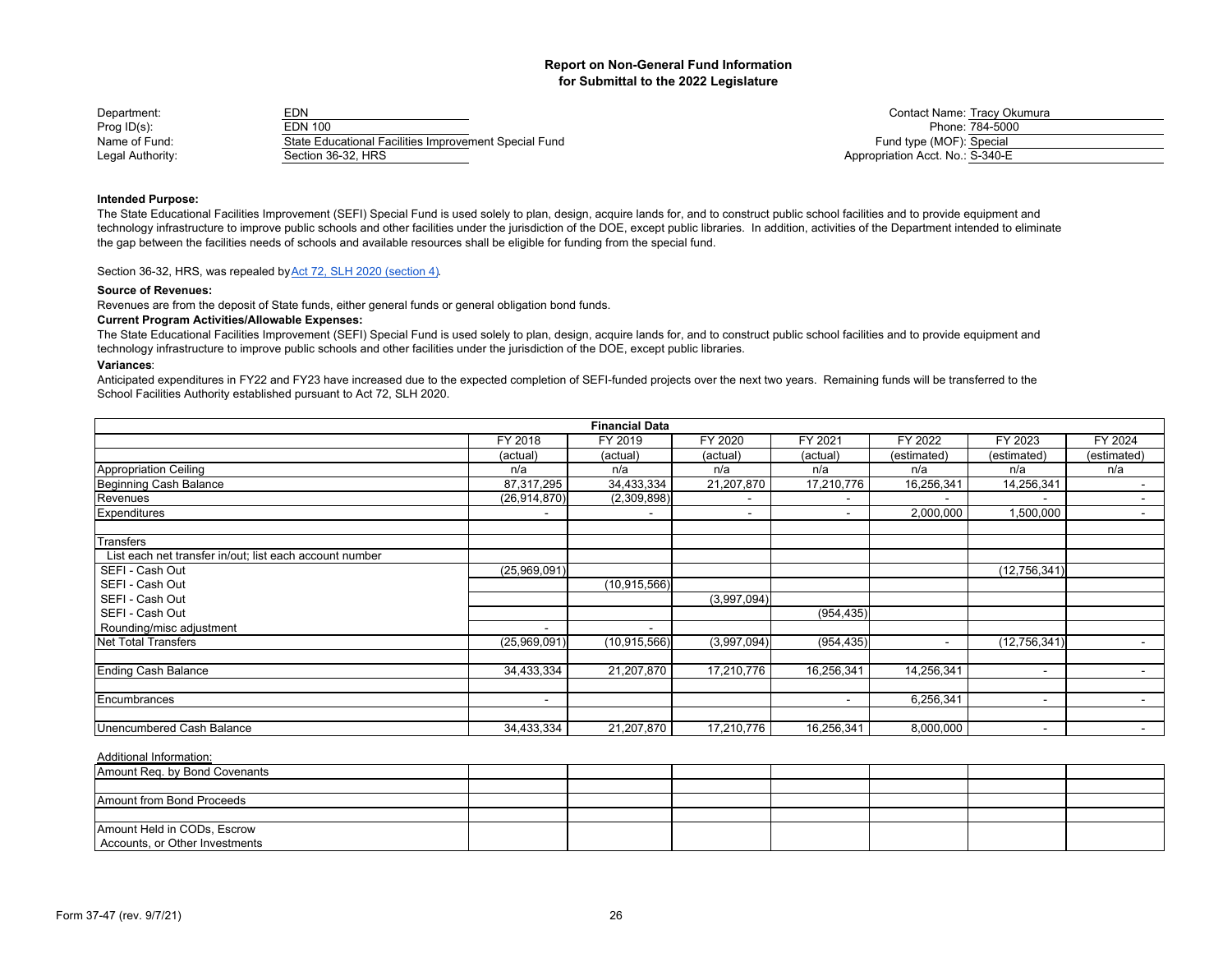| Department:      | EDN                                                   | <b>Contact Name: Tracy Ok</b>    |
|------------------|-------------------------------------------------------|----------------------------------|
| Prog ID(s):      | EDN 100                                               | Phone: 784-5000                  |
| Name of Fund:    | State Educational Facilities Improvement Special Fund | Fund type (MOF): Special         |
| Legal Authority: | Section 36-32. HRS                                    | Appropriation Acct. No.: S-340-E |

Contact Name: Tracy Okumura<br>Phone: 784-5000 name of Fund type (MOF): Special Fund type (MOF): Special Fund type (MOF): Special Fund type (MOF): Special Special Special Special Special Special Special Special Special Special Special Special Special Special Special Sp Appropriation Acct. No.: S-340-E

## **Intended Purpose:**

The State Educational Facilities Improvement (SEFI) Special Fund is used solely to plan, design, acquire lands for, and to construct public school facilities and to provide equipment and technology infrastructure to improve public schools and other facilities under the jurisdiction of the DOE, except public libraries. In addition, activities of the Department intended to eliminate the gap between the facilities needs of schools and available resources shall be eligible for funding from the special fund.

Section 36-32, HRS, was repealed by Act 72, SLH 2020 (section 4).

#### **Source of Revenues:**

Revenues are from the deposit of State funds, either general funds or general obligation bond funds.

## **Current Program Activities/Allowable Expenses:**

The State Educational Facilities Improvement (SEFI) Special Fund is used solely to plan, design, acquire lands for, and to construct public school facilities and to provide equipment and technology infrastructure to improve public schools and other facilities under the jurisdiction of the DOE, except public libraries.

#### **Variances**:

Anticipated expenditures in FY22 and FY23 have increased due to the expected completion of SEFI-funded projects over the next two years. Remaining funds will be transferred to the School Facilities Authority established pursuant to Act 72, SLH 2020.

|                                                         |                | <b>Financial Data</b> |             |                          |             |                |                          |
|---------------------------------------------------------|----------------|-----------------------|-------------|--------------------------|-------------|----------------|--------------------------|
|                                                         | FY 2018        | FY 2019               | FY 2020     | FY 2021                  | FY 2022     | FY 2023        | FY 2024                  |
|                                                         | (actual)       | (actual)              | (actual)    | (actual)                 | (estimated) | (estimated)    | (estimated)              |
| <b>Appropriation Ceiling</b>                            | n/a            | n/a                   | n/a         | n/a                      | n/a         | n/a            | n/a                      |
| Beginning Cash Balance                                  | 87,317,295     | 34,433,334            | 21,207,870  | 17,210,776               | 16,256,341  | 14,256,341     | $\blacksquare$           |
| Revenues                                                | (26, 914, 870) | (2,309,898)           |             |                          |             |                | $\overline{\phantom{a}}$ |
| <b>Expenditures</b>                                     |                |                       | -           | $\overline{\phantom{0}}$ | 2,000,000   | 1,500,000      | $\sim$                   |
|                                                         |                |                       |             |                          |             |                |                          |
| Transfers                                               |                |                       |             |                          |             |                |                          |
| List each net transfer in/out; list each account number |                |                       |             |                          |             |                |                          |
| SEFI - Cash Out                                         | (25,969,091)   |                       |             |                          |             | (12, 756, 341) |                          |
| SEFI - Cash Out                                         |                | (10, 915, 566)        |             |                          |             |                |                          |
| SEFI - Cash Out                                         |                |                       | (3,997,094) |                          |             |                |                          |
| SEFI - Cash Out                                         |                |                       |             | (954, 435)               |             |                |                          |
| Rounding/misc adjustment                                |                | ۰.                    |             |                          |             |                |                          |
| <b>Net Total Transfers</b>                              | (25,969,091)   | (10, 915, 566)        | (3,997,094) | (954, 435)               |             | (12,756,341)   |                          |
|                                                         |                |                       |             |                          |             |                |                          |
| <b>Ending Cash Balance</b>                              | 34,433,334     | 21,207,870            | 17,210,776  | 16,256,341               | 14,256,341  | $\sim$         | $\blacksquare$           |
|                                                         |                |                       |             |                          |             |                |                          |
| Encumbrances                                            | $\overline{a}$ |                       |             | $\overline{\phantom{a}}$ | 6,256,341   | $\sim$         | $\blacksquare$           |
|                                                         |                |                       |             |                          |             |                |                          |
| Unencumbered Cash Balance                               | 34,433,334     | 21,207,870            | 17,210,776  | 16,256,341               | 8,000,000   | $\sim$         | $\blacksquare$           |

| Amount Req. by Bond Covenants  |  |  |  |  |
|--------------------------------|--|--|--|--|
|                                |  |  |  |  |
| Amount from Bond Proceeds      |  |  |  |  |
|                                |  |  |  |  |
| Amount Held in CODs, Escrow    |  |  |  |  |
| Accounts, or Other Investments |  |  |  |  |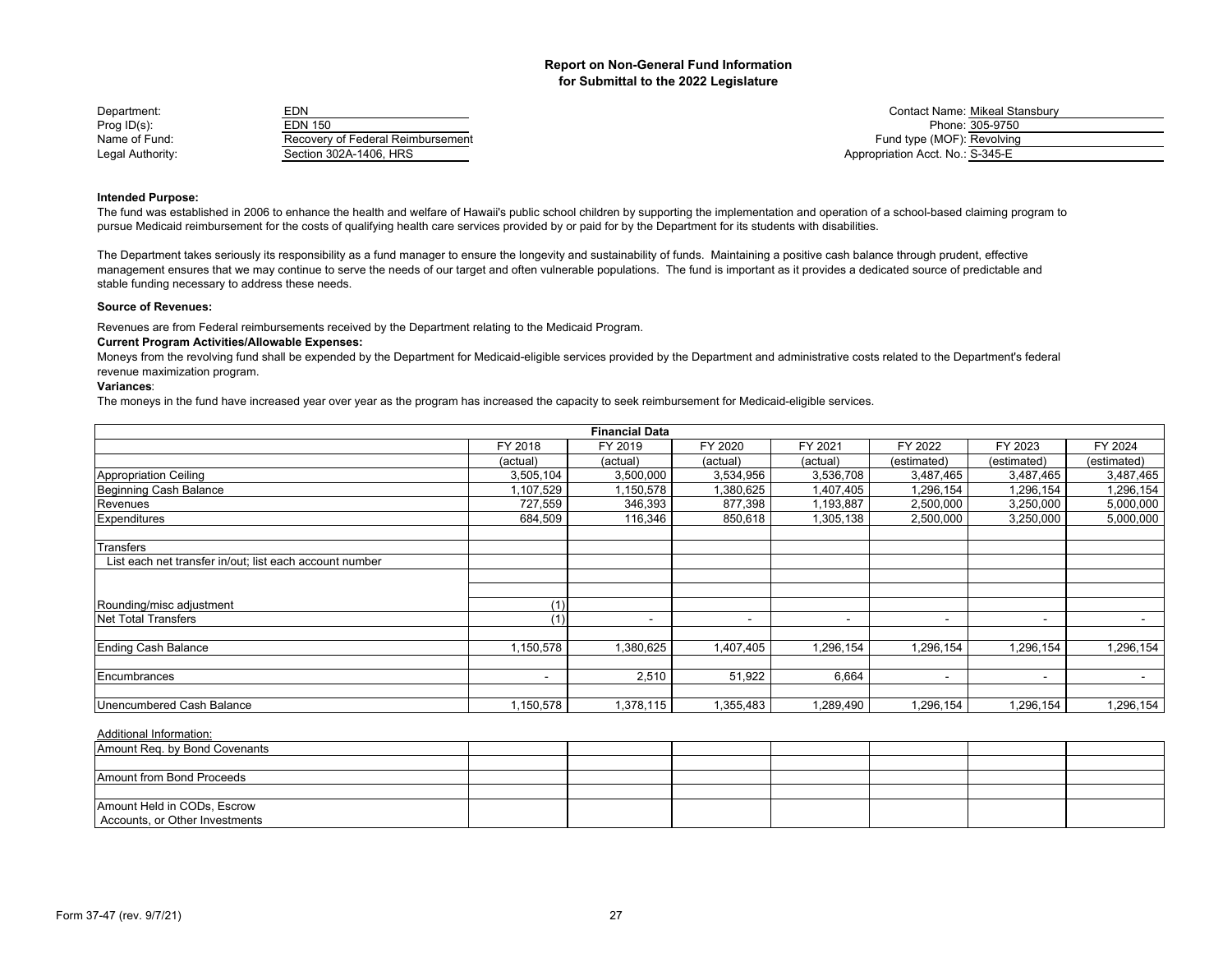| Department:      | <b>EDN</b>                        | <b>Contact Name: Mikeal Stansbury</b> |
|------------------|-----------------------------------|---------------------------------------|
| Prog ID(s):      | EDN 150                           | Phone: 305-9750                       |
| Name of Fund:    | Recovery of Federal Reimbursement | Fund type (MOF): Revolving            |
| Legal Authority: | Section 302A-1406, HRS            | Appropriation Acct. No.: S-345-E      |

## **Intended Purpose:**

The fund was established in 2006 to enhance the health and welfare of Hawaii's public school children by supporting the implementation and operation of a school-based claiming program to pursue Medicaid reimbursement for the costs of qualifying health care services provided by or paid for by the Department for its students with disabilities.

The Department takes seriously its responsibility as a fund manager to ensure the longevity and sustainability of funds. Maintaining a positive cash balance through prudent, effective management ensures that we may continue to serve the needs of our target and often vulnerable populations. The fund is important as it provides a dedicated source of predictable and stable funding necessary to address these needs.

#### **Source of Revenues:**

Revenues are from Federal reimbursements received by the Department relating to the Medicaid Program.

#### **Current Program Activities/Allowable Expenses:**

Moneys from the revolving fund shall be expended by the Department for Medicaid-eligible services provided by the Department and administrative costs related to the Department's federal revenue maximization program.

#### **Variances**:

The moneys in the fund have increased year over year as the program has increased the capacity to seek reimbursement for Medicaid-eligible services.

|                                                         |           | <b>Financial Data</b> |                          |                          |                          |             |                |
|---------------------------------------------------------|-----------|-----------------------|--------------------------|--------------------------|--------------------------|-------------|----------------|
|                                                         | FY 2018   | FY 2019               | FY 2020                  | FY 2021                  | FY 2022                  | FY 2023     | FY 2024        |
|                                                         | (actual)  | (actual)              | (actual)                 | (actual)                 | (estimated)              | (estimated) | (estimated)    |
| Appropriation Ceiling                                   | 3,505,104 | 3,500,000             | 3,534,956                | 3,536,708                | 3,487,465                | 3,487,465   | 3,487,465      |
| Beginning Cash Balance                                  | 1,107,529 | 1,150,578             | 1,380,625                | 1,407,405                | 1,296,154                | 1,296,154   | 1,296,154      |
| Revenues                                                | 727,559   | 346,393               | 877,398                  | 1,193,887                | 2,500,000                | 3,250,000   | 5,000,000      |
| Expenditures                                            | 684,509   | 116,346               | 850,618                  | 1,305,138                | 2,500,000                | 3,250,000   | 5,000,000      |
| Transfers                                               |           |                       |                          |                          |                          |             |                |
| List each net transfer in/out; list each account number |           |                       |                          |                          |                          |             |                |
|                                                         |           |                       |                          |                          |                          |             |                |
|                                                         |           |                       |                          |                          |                          |             |                |
| Rounding/misc adjustment                                | (1)       |                       |                          |                          |                          |             |                |
| Net Total Transfers                                     | (1)       | -                     | $\overline{\phantom{a}}$ | $\overline{\phantom{a}}$ | $\overline{\phantom{a}}$ | $\sim$      | $\blacksquare$ |
|                                                         |           |                       |                          |                          |                          |             |                |
| Ending Cash Balance                                     | 1,150,578 | 1,380,625             | 1,407,405                | 1,296,154                | 1,296,154                | 1,296,154   | 1,296,154      |
| Encumbrances                                            |           | 2,510                 | 51,922                   | 6,664                    | $\overline{\phantom{a}}$ | $\,$ $\,$   | $\blacksquare$ |
| Unencumbered Cash Balance                               | 1,150,578 | 1,378,115             | 1,355,483                | 1,289,490                | 1,296,154                | 1,296,154   | 1,296,154      |

| Amount Req. by Bond Covenants  |  |  |  |  |
|--------------------------------|--|--|--|--|
|                                |  |  |  |  |
| Amount from Bond Proceeds      |  |  |  |  |
|                                |  |  |  |  |
| Amount Held in CODs, Escrow    |  |  |  |  |
| Accounts, or Other Investments |  |  |  |  |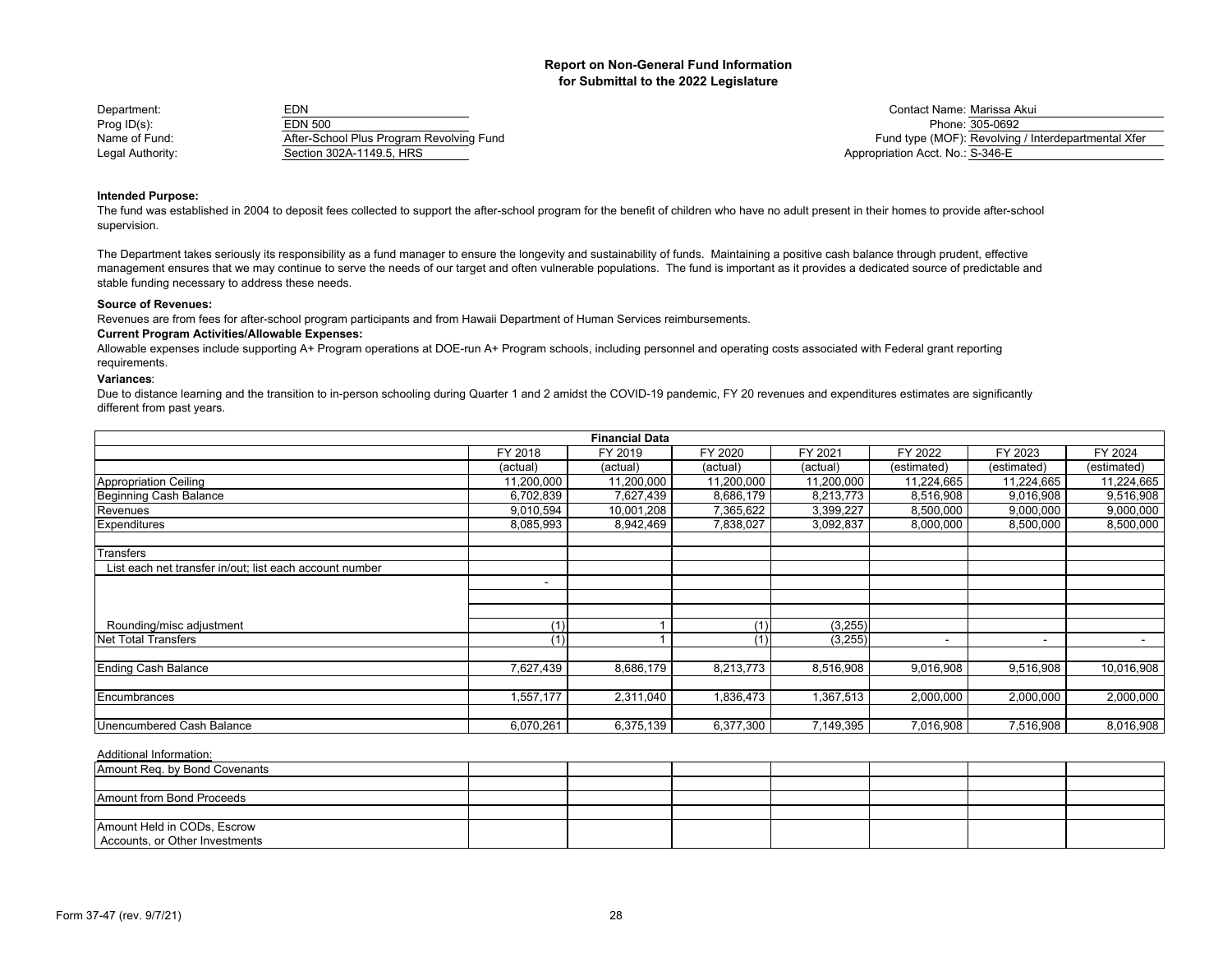| Department:      | EDN                                      | <b>Contact Name: Marissa</b>     |
|------------------|------------------------------------------|----------------------------------|
| Prog $ID(s)$ :   | EDN 500                                  | Phone: 305-069                   |
| Name of Fund:    | After-School Plus Program Revolving Fund | Fund type (MOF): Revolvir        |
| Legal Authority: | Section 302A-1149.5. HRS                 | Appropriation Acct. No.: S-346-E |

Marissa Akui Phone: 305-0692 Fund type (MOF): Revolving / Interdepartmental Xfer

## **Intended Purpose:**

The fund was established in 2004 to deposit fees collected to support the after-school program for the benefit of children who have no adult present in their homes to provide after-school supervision.

The Department takes seriously its responsibility as a fund manager to ensure the longevity and sustainability of funds. Maintaining a positive cash balance through prudent, effective management ensures that we may continue to serve the needs of our target and often vulnerable populations. The fund is important as it provides a dedicated source of predictable and stable funding necessary to address these needs.

#### **Source of Revenues:**

Revenues are from fees for after-school program participants and from Hawaii Department of Human Services reimbursements.

#### **Current Program Activities/Allowable Expenses:**

Allowable expenses include supporting A+ Program operations at DOE-run A+ Program schools, including personnel and operating costs associated with Federal grant reporting requirements.

## **Variances**:

Due to distance learning and the transition to in-person schooling during Quarter 1 and 2 amidst the COVID-19 pandemic, FY 20 revenues and expenditures estimates are significantly different from past years.

| <b>Financial Data</b>                                   |                          |            |            |            |             |                |             |  |  |
|---------------------------------------------------------|--------------------------|------------|------------|------------|-------------|----------------|-------------|--|--|
|                                                         | FY 2018                  | FY 2019    | FY 2020    | FY 2021    | FY 2022     | FY 2023        | FY 2024     |  |  |
|                                                         | (actual)                 | (actual)   | (actual)   | (actual)   | (estimated) | (estimated)    | (estimated) |  |  |
| <b>Appropriation Ceiling</b>                            | 11,200,000               | 11,200,000 | 11,200,000 | 11,200,000 | 11,224,665  | 11,224,665     | 11,224,665  |  |  |
| Beginning Cash Balance                                  | 6,702,839                | 7,627,439  | 8,686,179  | 8,213,773  | 8,516,908   | 9,016,908      | 9,516,908   |  |  |
| Revenues                                                | 9,010,594                | 10,001,208 | 7,365,622  | 3,399,227  | 8,500,000   | 9,000,000      | 9,000,000   |  |  |
| <b>Expenditures</b>                                     | 8,085,993                | 8,942,469  | 7,838,027  | 3,092,837  | 8,000,000   | 8,500,000      | 8,500,000   |  |  |
| Transfers                                               |                          |            |            |            |             |                |             |  |  |
| List each net transfer in/out; list each account number |                          |            |            |            |             |                |             |  |  |
|                                                         | $\overline{\phantom{0}}$ |            |            |            |             |                |             |  |  |
|                                                         |                          |            |            |            |             |                |             |  |  |
| Rounding/misc adjustment                                | (1)                      |            | (1)        | (3,255)    |             |                |             |  |  |
| <b>Net Total Transfers</b>                              | (1)                      |            | (1)        | (3,255)    | ۰           | $\blacksquare$ |             |  |  |
| <b>Ending Cash Balance</b>                              | 7,627,439                | 8,686,179  | 8,213,773  | 8,516,908  | 9,016,908   | 9,516,908      | 10,016,908  |  |  |
| Encumbrances                                            | 1,557,177                | 2,311,040  | 1,836,473  | 1,367,513  | 2,000,000   | 2,000,000      | 2,000,000   |  |  |
| Unencumbered Cash Balance                               | 6,070,261                | 6,375,139  | 6,377,300  | 7,149,395  | 7,016,908   | 7,516,908      | 8,016,908   |  |  |

| Amount Reg. by Bond Covenants  |  |  |  |  |
|--------------------------------|--|--|--|--|
|                                |  |  |  |  |
| Amount from Bond Proceeds      |  |  |  |  |
|                                |  |  |  |  |
| Amount Held in CODs, Escrow    |  |  |  |  |
| Accounts, or Other Investments |  |  |  |  |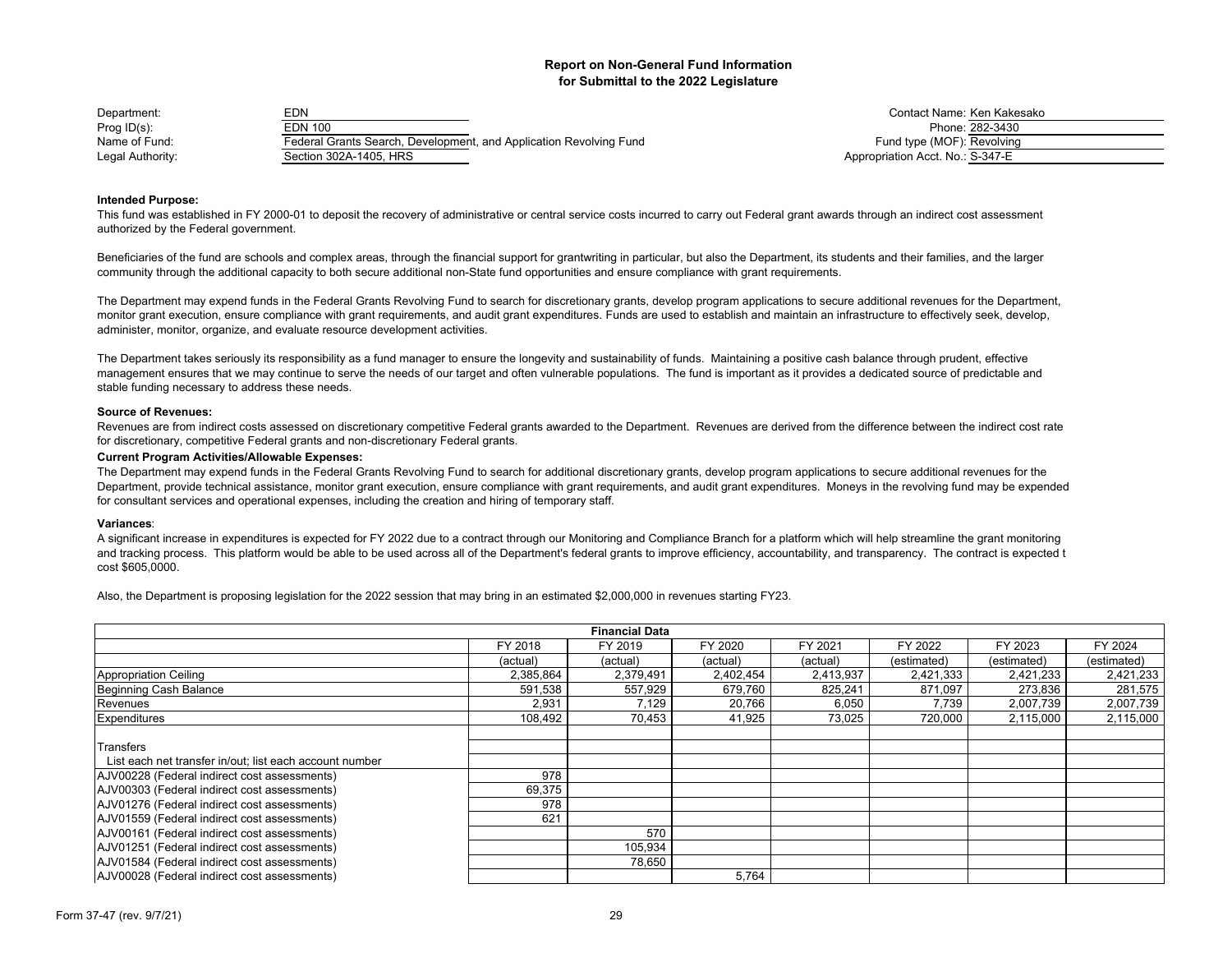| Department:      | EDN                                                                | Contact Name: Ken Kake           |
|------------------|--------------------------------------------------------------------|----------------------------------|
| Prog $ID(s)$ :   | EDN 100                                                            | Phone: 282-3430                  |
| Name of Fund:    | Federal Grants Search, Development, and Application Revolving Fund | Fund type (MOF): Revolving       |
| Legal Authority: | Section 302A-1405. HRS                                             | Appropriation Acct. No.: S-347-E |

Contact Name: Ken Kakesako name of Fund type (MOF): Revolving Search, Development, Application Revolving Fund type (MOF): Revolving Appropriation Acct. No.: S-347-E

## **Intended Purpose:**

This fund was established in FY 2000-01 to deposit the recovery of administrative or central service costs incurred to carry out Federal grant awards through an indirect cost assessment authorized by the Federal government.

Beneficiaries of the fund are schools and complex areas, through the financial support for grantwriting in particular, but also the Department, its students and their families, and the larger community through the additional capacity to both secure additional non-State fund opportunities and ensure compliance with grant requirements.

The Department may expend funds in the Federal Grants Revolving Fund to search for discretionary grants, develop program applications to secure additional revenues for the Department, monitor grant execution, ensure compliance with grant requirements, and audit grant expenditures. Funds are used to establish and maintain an infrastructure to effectively seek, develop, administer, monitor, organize, and evaluate resource development activities.

The Department takes seriously its responsibility as a fund manager to ensure the longevity and sustainability of funds. Maintaining a positive cash balance through prudent, effective management ensures that we may continue to serve the needs of our target and often vulnerable populations. The fund is important as it provides a dedicated source of predictable and stable funding necessary to address these needs.

#### **Source of Revenues:**

Revenues are from indirect costs assessed on discretionary competitive Federal grants awarded to the Department. Revenues are derived from the difference between the indirect cost rate for discretionary, competitive Federal grants and non-discretionary Federal grants.

#### **Current Program Activities/Allowable Expenses:**

The Department may expend funds in the Federal Grants Revolving Fund to search for additional discretionary grants, develop program applications to secure additional revenues for the Department, provide technical assistance, monitor grant execution, ensure compliance with grant requirements, and audit grant expenditures. Moneys in the revolving fund may be expended for consultant services and operational expenses, including the creation and hiring of temporary staff.

#### **Variances**:

A significant increase in expenditures is expected for FY 2022 due to a contract through our Monitoring and Compliance Branch for a platform which will help streamline the grant monitoring and tracking process. This platform would be able to be used across all of the Department's federal grants to improve efficiency, accountability, and transparency. The contract is expected t cost \$605,0000.

Also, the Department is proposing legislation for the 2022 session that may bring in an estimated \$2,000,000 in revenues starting FY23.

|                                                         | <b>Financial Data</b> |           |           |           |             |             |             |  |  |  |
|---------------------------------------------------------|-----------------------|-----------|-----------|-----------|-------------|-------------|-------------|--|--|--|
|                                                         | FY 2018               | FY 2019   | FY 2020   | FY 2021   | FY 2022     | FY 2023     | FY 2024     |  |  |  |
|                                                         | (actual)              | (actual)  | (actual)  | (actual)  | (estimated) | (estimated) | (estimated) |  |  |  |
| <b>Appropriation Ceiling</b>                            | 2,385,864             | 2,379,491 | 2,402,454 | 2,413,937 | 2,421,333   | 2,421,233   | 2,421,233   |  |  |  |
| Beginning Cash Balance                                  | 591,538               | 557,929   | 679,760   | 825,241   | 871,097     | 273,836     | 281,575     |  |  |  |
| Revenues                                                | 2,931                 | 7,129     | 20,766    | 6,050     | 7,739       | 2,007,739   | 2,007,739   |  |  |  |
| Expenditures                                            | 108,492               | 70,453    | 41,925    | 73,025    | 720,000     | 2,115,000   | 2,115,000   |  |  |  |
|                                                         |                       |           |           |           |             |             |             |  |  |  |
| Transfers                                               |                       |           |           |           |             |             |             |  |  |  |
| List each net transfer in/out; list each account number |                       |           |           |           |             |             |             |  |  |  |
| AJV00228 (Federal indirect cost assessments)            | 978                   |           |           |           |             |             |             |  |  |  |
| AJV00303 (Federal indirect cost assessments)            | 69,375                |           |           |           |             |             |             |  |  |  |
| AJV01276 (Federal indirect cost assessments)            | 978                   |           |           |           |             |             |             |  |  |  |
| AJV01559 (Federal indirect cost assessments)            | 621                   |           |           |           |             |             |             |  |  |  |
| AJV00161 (Federal indirect cost assessments)            |                       | 570       |           |           |             |             |             |  |  |  |
| AJV01251 (Federal indirect cost assessments)            |                       | 105,934   |           |           |             |             |             |  |  |  |
| AJV01584 (Federal indirect cost assessments)            |                       | 78,650    |           |           |             |             |             |  |  |  |
| AJV00028 (Federal indirect cost assessments)            |                       |           | 5,764     |           |             |             |             |  |  |  |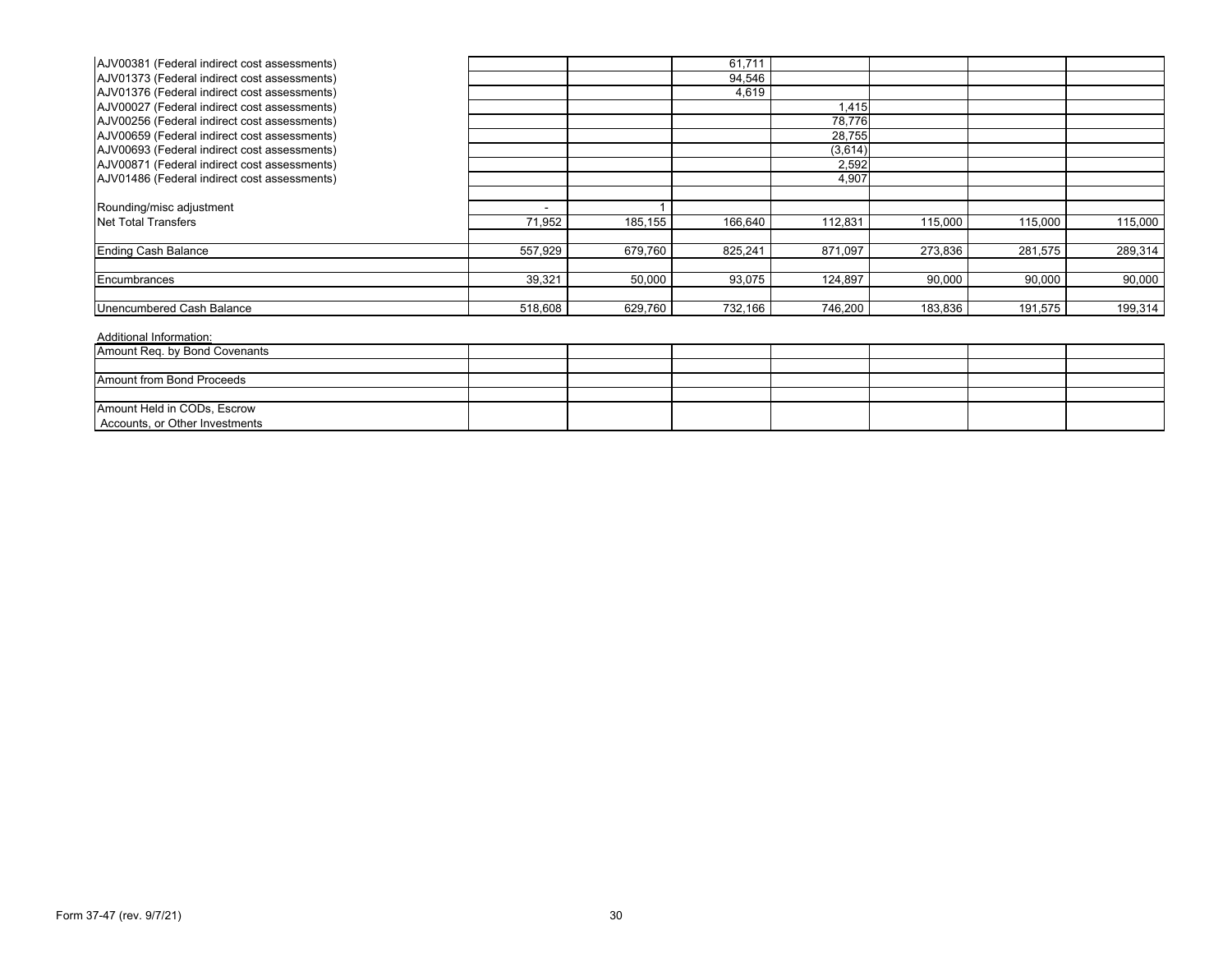| AJV00381 (Federal indirect cost assessments) |         |         | 61,711  |         |         |         |         |
|----------------------------------------------|---------|---------|---------|---------|---------|---------|---------|
| AJV01373 (Federal indirect cost assessments) |         |         | 94,546  |         |         |         |         |
| AJV01376 (Federal indirect cost assessments) |         |         | 4,619   |         |         |         |         |
| AJV00027 (Federal indirect cost assessments) |         |         |         | 1,415   |         |         |         |
| AJV00256 (Federal indirect cost assessments) |         |         |         | 78,776  |         |         |         |
| AJV00659 (Federal indirect cost assessments) |         |         |         | 28,755  |         |         |         |
| AJV00693 (Federal indirect cost assessments) |         |         |         | (3,614) |         |         |         |
| AJV00871 (Federal indirect cost assessments) |         |         |         | 2,592   |         |         |         |
| AJV01486 (Federal indirect cost assessments) |         |         |         | 4,907   |         |         |         |
|                                              |         |         |         |         |         |         |         |
| Rounding/misc adjustment                     |         |         |         |         |         |         |         |
| Net Total Transfers                          | 71,952  | 185,155 | 166,640 | 112,831 | 115,000 | 115,000 | 115,000 |
|                                              |         |         |         |         |         |         |         |
| <b>Ending Cash Balance</b>                   | 557,929 | 679,760 | 825,241 | 871,097 | 273,836 | 281,575 | 289,314 |
|                                              |         |         |         |         |         |         |         |
| <b>IEncumbrances</b>                         | 39,321  | 50,000  | 93,075  | 124,897 | 90,000  | 90,000  | 90,000  |
|                                              |         |         |         |         |         |         |         |
| Unencumbered Cash Balance                    | 518,608 | 629,760 | 732,166 | 746,200 | 183,836 | 191,575 | 199,314 |

| Amount Req. by Bond Covenants                                 |  |  |  |  |
|---------------------------------------------------------------|--|--|--|--|
|                                                               |  |  |  |  |
| Amount from Bond Proceeds                                     |  |  |  |  |
|                                                               |  |  |  |  |
| Amount Held in CODs, Escrow<br>Accounts, or Other Investments |  |  |  |  |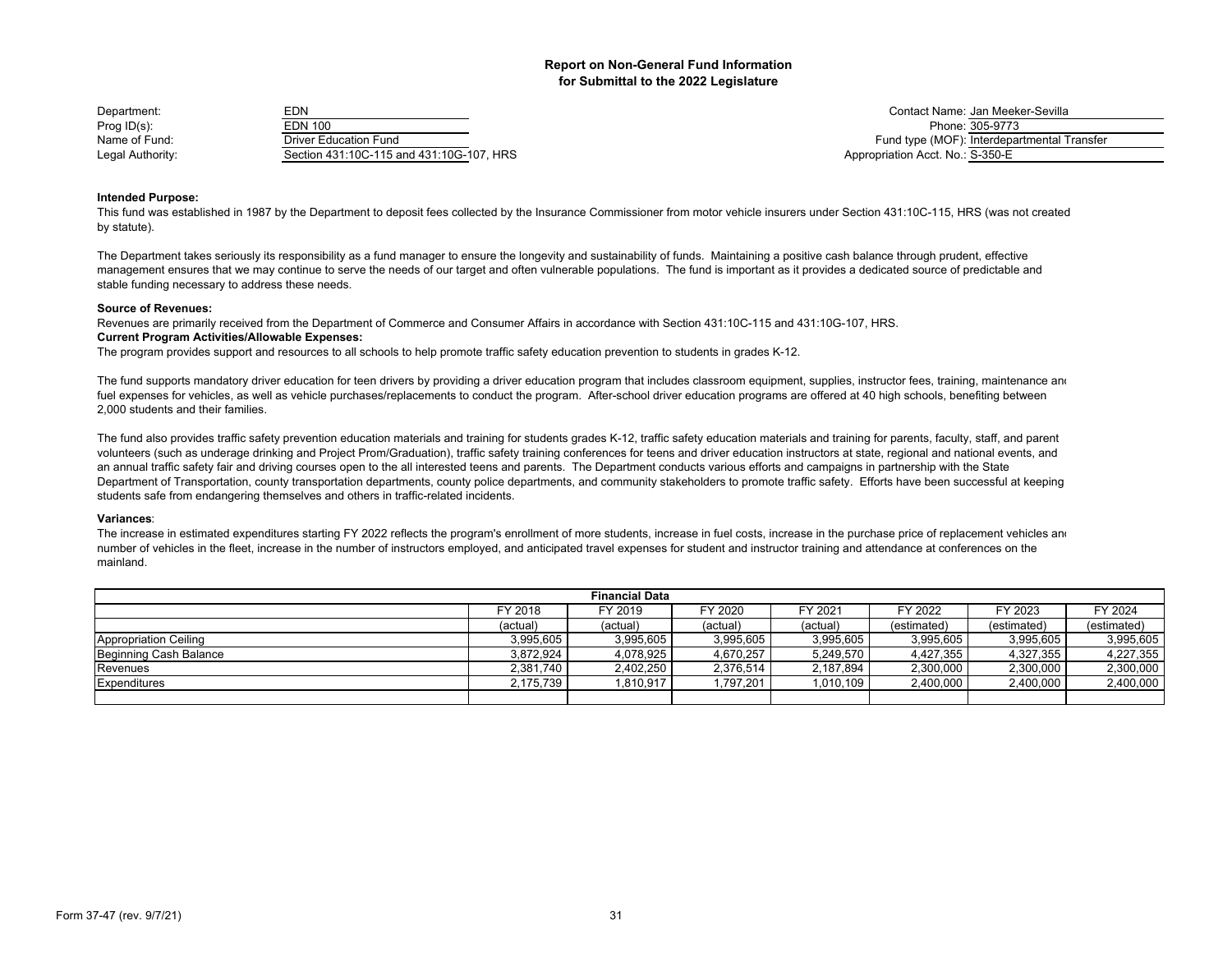| Department:      | EDN                                      | Contact Name: Jan Meel           |
|------------------|------------------------------------------|----------------------------------|
| Prog $ID(s)$ :   | EDN 100                                  | Phone: 305-9773                  |
| Name of Fund:    | Driver Education Fund                    | Fund type (MOF): Interdepa       |
| Legal Authority: | Section 431:10C-115 and 431:10G-107, HRS | Appropriation Acct. No.: S-350-E |

Contact Name: Jan Meeker-Sevilla<br>Phone: 305-9773 Fund type (MOF): Interdepartmental Transfer Appropriation Acct. No.: S-350-E

## **Intended Purpose:**

This fund was established in 1987 by the Department to deposit fees collected by the Insurance Commissioner from motor vehicle insurers under Section 431:10C-115, HRS (was not created by statute).

The Department takes seriously its responsibility as a fund manager to ensure the longevity and sustainability of funds. Maintaining a positive cash balance through prudent, effective management ensures that we may continue to serve the needs of our target and often vulnerable populations. The fund is important as it provides a dedicated source of predictable and stable funding necessary to address these needs.

#### **Source of Revenues:**

**Current Program Activities/Allowable Expenses:** Revenues are primarily received from the Department of Commerce and Consumer Affairs in accordance with Section 431:10C-115 and 431:10G-107, HRS.

The program provides support and resources to all schools to help promote traffic safety education prevention to students in grades K-12.

The fund supports mandatory driver education for teen drivers by providing a driver education program that includes classroom equipment, supplies, instructor fees, training, maintenance and fuel expenses for vehicles, as well as vehicle purchases/replacements to conduct the program. After-school driver education programs are offered at 40 high schools, benefiting between 2,000 students and their families.

The fund also provides traffic safety prevention education materials and training for students grades K-12, traffic safety education materials and training for parents, faculty, staff, and parent volunteers (such as underage drinking and Project Prom/Graduation), traffic safety training conferences for teens and driver education instructors at state, regional and national events, and an annual traffic safety fair and driving courses open to the all interested teens and parents. The Department conducts various efforts and campaigns in partnership with the State Department of Transportation, county transportation departments, county police departments, and community stakeholders to promote traffic safety. Efforts have been successful at keeping students safe from endangering themselves and others in traffic-related incidents.

## **Variances**:

The increase in estimated expenditures starting FY 2022 reflects the program's enrollment of more students, increase in fuel costs, increase in the purchase price of replacement vehicles and number of vehicles in the fleet, increase in the number of instructors employed, and anticipated travel expenses for student and instructor training and attendance at conferences on the mainland.

| <b>Financial Data</b>        |           |           |           |           |             |             |             |
|------------------------------|-----------|-----------|-----------|-----------|-------------|-------------|-------------|
|                              | FY 2018   | FY 2019   | FY 2020   | FY 2021   | FY 2022     | FY 2023     | FY 2024     |
|                              | (actual)  | (actual)  | (actual)  | (actual)  | (estimated) | (estimated) | (estimated) |
| <b>Appropriation Ceiling</b> | 3.995.605 | 3,995,605 | 3.995.605 | 3.995.605 | 3.995.605   | 3,995,605   | 3,995,605   |
| Beginning Cash Balance       | 3,872,924 | 4,078,925 | 4,670,257 | 5,249,570 | 4,427,355   | 4,327,355   | 4,227,355   |
| Revenues                     | 2.381.740 | 2.402.250 | 2.376.514 | 2.187.894 | 2.300.000   | 2.300.000   | 2,300,000   |
| Expenditures                 | 2,175,739 | .810,917  | .797,201  | 1,010,109 | 2,400,000   | 2,400,000   | 2,400,000   |
|                              |           |           |           |           |             |             |             |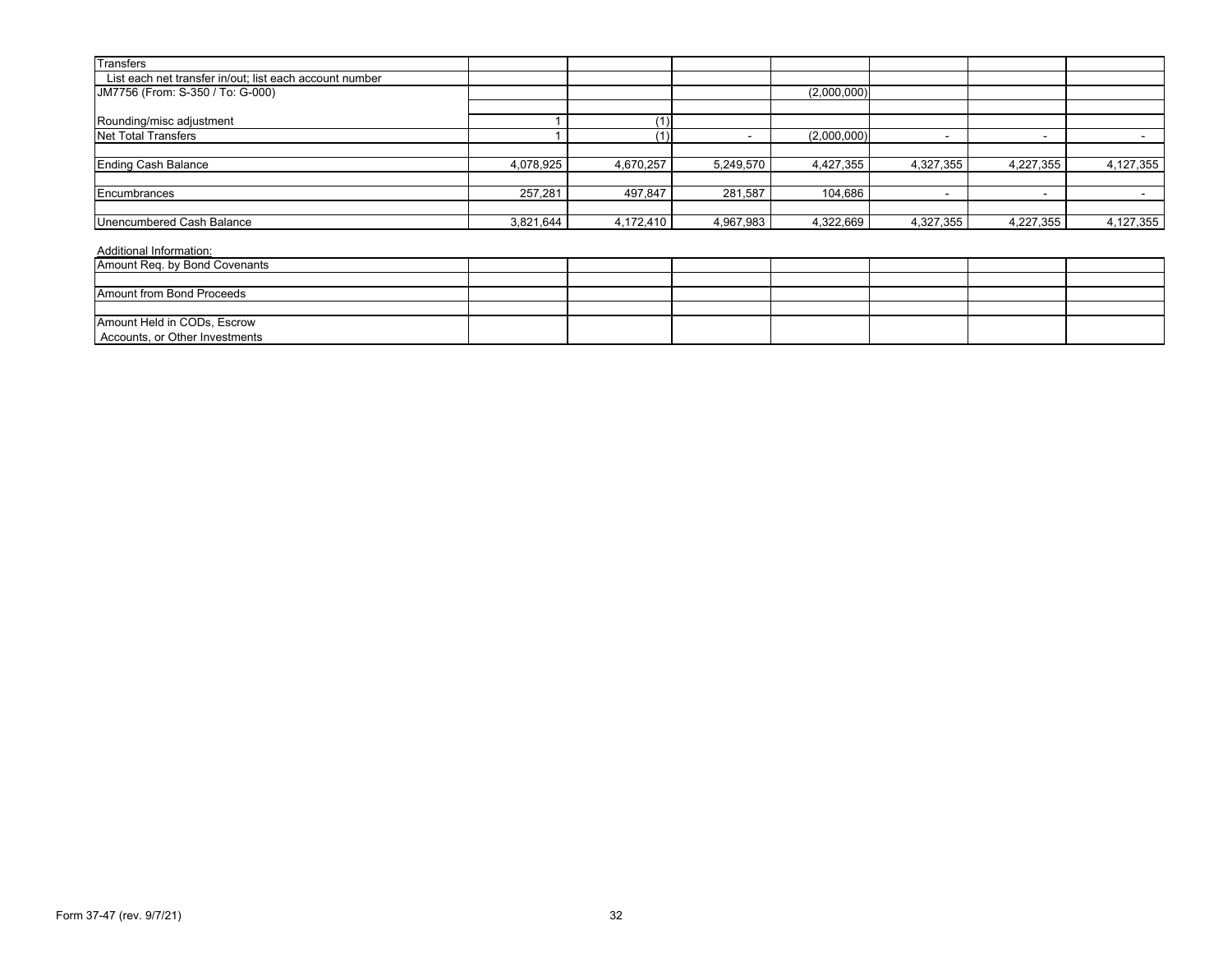| <b>Transfers</b>                                        |           |           |           |             |           |                          |           |
|---------------------------------------------------------|-----------|-----------|-----------|-------------|-----------|--------------------------|-----------|
| List each net transfer in/out; list each account number |           |           |           |             |           |                          |           |
| JM7756 (From: S-350 / To: G-000)                        |           |           |           | (2,000,000) |           |                          |           |
|                                                         |           |           |           |             |           |                          |           |
| Rounding/misc adjustment                                |           |           |           |             |           |                          |           |
| Net Total Transfers                                     |           |           |           | (2,000,000) |           |                          |           |
|                                                         |           |           |           |             |           |                          |           |
| <b>Ending Cash Balance</b>                              | 4,078,925 | 4,670,257 | 5,249,570 | 4,427,355   | 4,327,355 | 4,227,355                | 4,127,355 |
| Encumbrances                                            | 257,281   | 497,847   | 281,587   | 104,686     |           | $\overline{\phantom{0}}$ |           |
|                                                         |           |           |           |             |           |                          |           |
| Unencumbered Cash Balance                               | 3,821,644 | 4,172,410 | 4,967,983 | 4,322,669   | 4,327,355 | 4,227,355                | 4,127,355 |
| Additional Information:                                 |           |           |           |             |           |                          |           |

| Amount Req. by Bond Covenants  |  |  |  |  |
|--------------------------------|--|--|--|--|
|                                |  |  |  |  |
| Amount from Bond Proceeds      |  |  |  |  |
|                                |  |  |  |  |
| Amount Held in CODs, Escrow    |  |  |  |  |
| Accounts, or Other Investments |  |  |  |  |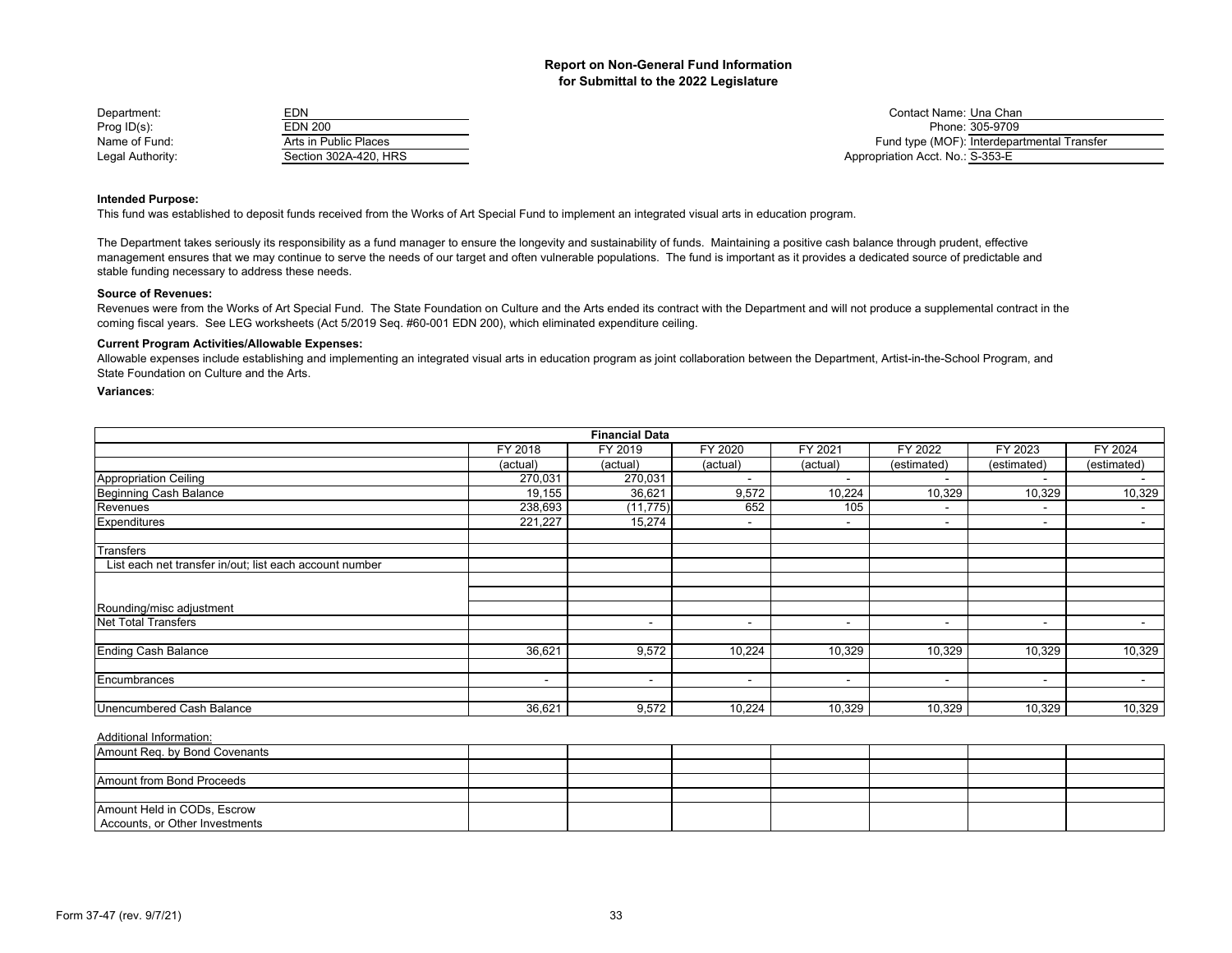| Department:      | EDN                   | Contact Name: Una Chan                      |
|------------------|-----------------------|---------------------------------------------|
| Prog $ID(s)$ :   | <b>EDN 200</b>        | Phone: 305-9709                             |
| Name of Fund:    | Arts in Public Places | Fund type (MOF): Interdepartmental Transfer |
| Legal Authority: | Section 302A-420, HRS | Appropriation Acct. No.: S-353-E            |

#### **Intended Purpose:**

This fund was established to deposit funds received from the Works of Art Special Fund to implement an integrated visual arts in education program.

The Department takes seriously its responsibility as a fund manager to ensure the longevity and sustainability of funds. Maintaining a positive cash balance through prudent, effective management ensures that we may continue to serve the needs of our target and often vulnerable populations. The fund is important as it provides a dedicated source of predictable and stable funding necessary to address these needs.

#### **Source of Revenues:**

Revenues were from the Works of Art Special Fund. The State Foundation on Culture and the Arts ended its contract with the Department and will not produce a supplemental contract in the coming fiscal years. See LEG worksheets (Act 5/2019 Seq. #60-001 EDN 200), which eliminated expenditure ceiling.

## **Current Program Activities/Allowable Expenses:**

Allowable expenses include establishing and implementing an integrated visual arts in education program as joint collaboration between the Department, Artist-in-the-School Program, and State Foundation on Culture and the Arts.

#### **Variances**:

|                                                         |          | <b>Financial Data</b>    |                          |                          |                          |                          |             |
|---------------------------------------------------------|----------|--------------------------|--------------------------|--------------------------|--------------------------|--------------------------|-------------|
|                                                         | FY 2018  | FY 2019                  | FY 2020                  | FY 2021                  | FY 2022                  | FY 2023                  | FY 2024     |
|                                                         | (actual) | (actual)                 | (actual)                 | (actual)                 | (estimated)              | (estimated)              | (estimated) |
| <b>Appropriation Ceiling</b>                            | 270,031  | 270,031                  |                          | $\overline{\phantom{a}}$ | $\blacksquare$           | $\overline{\phantom{a}}$ |             |
| Beginning Cash Balance                                  | 19,155   | 36,621                   | 9,572                    | 10,224                   | 10,329                   | 10,329                   | 10,329      |
| Revenues                                                | 238,693  | (11, 775)                | 652                      | 105                      |                          | $\overline{\phantom{a}}$ | $\sim$      |
| Expenditures                                            | 221,227  | 15,274                   | $\overline{\phantom{0}}$ | $\,$                     | $\overline{\phantom{a}}$ | $\blacksquare$           | $\sim$      |
| Transfers                                               |          |                          |                          |                          |                          |                          |             |
| List each net transfer in/out; list each account number |          |                          |                          |                          |                          |                          |             |
|                                                         |          |                          |                          |                          |                          |                          |             |
| Rounding/misc adjustment                                |          |                          |                          |                          |                          |                          |             |
| <b>Net Total Transfers</b>                              |          | $\overline{\phantom{0}}$ | $\overline{\phantom{a}}$ | $\,$                     | $\overline{\phantom{a}}$ | $\overline{\phantom{a}}$ |             |
| <b>Ending Cash Balance</b>                              | 36,621   | 9,572                    | 10,224                   | 10,329                   | 10,329                   | 10,329                   | 10,329      |
| Encumbrances                                            | $\sim$   | $\sim$                   | $\overline{\phantom{a}}$ | $\overline{\phantom{a}}$ | $\blacksquare$           | $\blacksquare$           | $\sim$      |
| Unencumbered Cash Balance                               | 36,621   | 9,572                    | 10,224                   | 10,329                   | 10,329                   | 10,329                   | 10,329      |

| Amount Req. by Bond Covenants  |  |  |  |  |
|--------------------------------|--|--|--|--|
|                                |  |  |  |  |
| Amount from Bond Proceeds      |  |  |  |  |
|                                |  |  |  |  |
| Amount Held in CODs, Escrow    |  |  |  |  |
| Accounts, or Other Investments |  |  |  |  |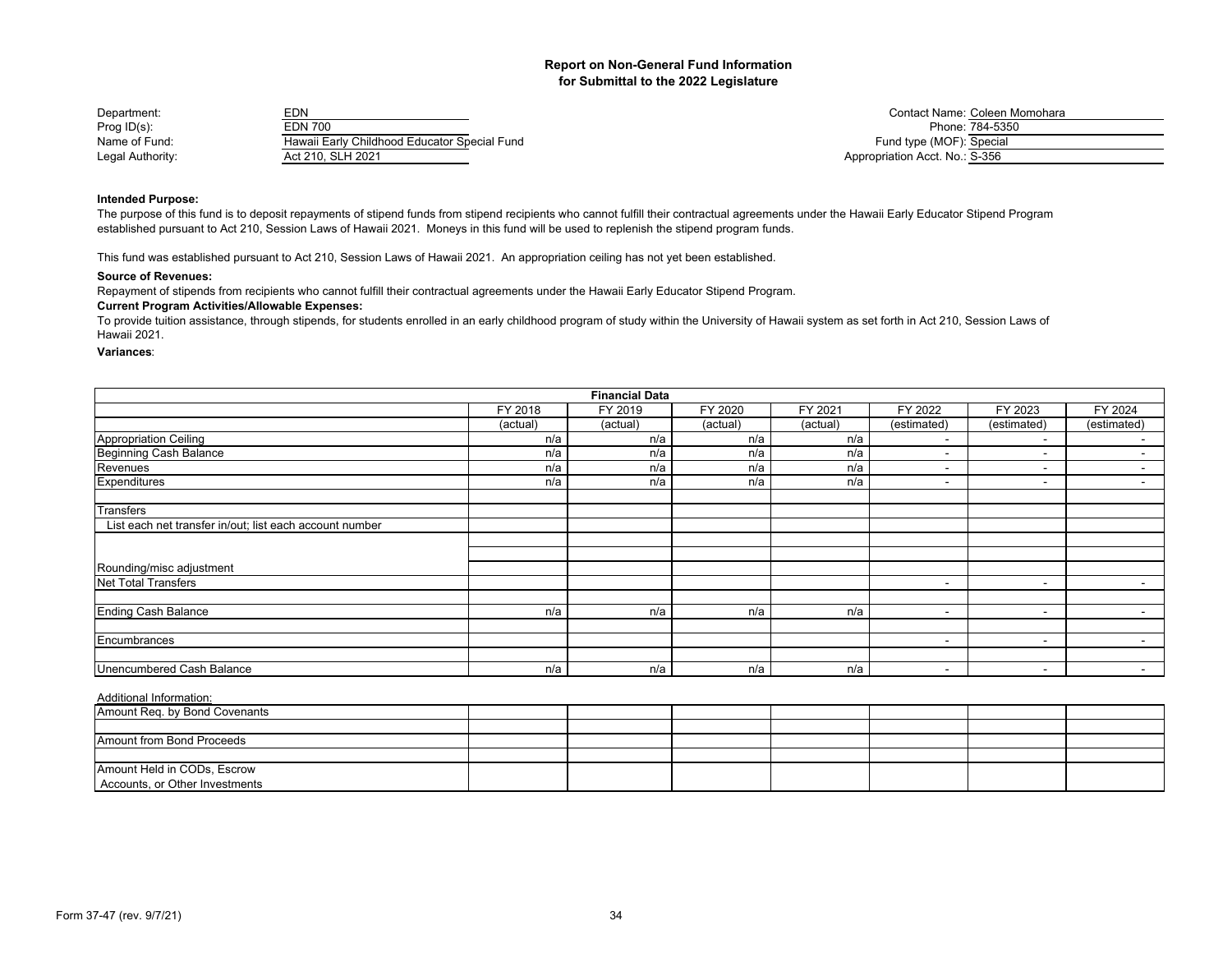| Department:      | EDN                                          | Contact Name: Coleen M         |
|------------------|----------------------------------------------|--------------------------------|
| Prog $ID(s)$ :   | <b>EDN 700</b>                               | Phone: 784-5350                |
| Name of Fund:    | Hawaii Early Childhood Educator Special Fund | Fund type (MOF): Special       |
| Legal Authority: | Act 210, SLH 2021                            | Appropriation Acct. No.: S-356 |

Contact Name: Coleen Momohara<br>Phone: 784-5350 Fund type (MOF): Special Appropriation Acct. No.: S-356

## **Intended Purpose:**

The purpose of this fund is to deposit repayments of stipend funds from stipend recipients who cannot fulfill their contractual agreements under the Hawaii Early Educator Stipend Program established pursuant to Act 210, Session Laws of Hawaii 2021. Moneys in this fund will be used to replenish the stipend program funds.

This fund was established pursuant to Act 210, Session Laws of Hawaii 2021. An appropriation ceiling has not yet been established.

#### **Source of Revenues:**

Repayment of stipends from recipients who cannot fulfill their contractual agreements under the Hawaii Early Educator Stipend Program.

## **Current Program Activities/Allowable Expenses:**

To provide tuition assistance, through stipends, for students enrolled in an early childhood program of study within the University of Hawaii system as set forth in Act 210, Session Laws of Hawaii 2021.

#### **Variances**:

|                                                         |          | <b>Financial Data</b> |          |          |                          |                          |                          |
|---------------------------------------------------------|----------|-----------------------|----------|----------|--------------------------|--------------------------|--------------------------|
|                                                         | FY 2018  | FY 2019               | FY 2020  | FY 2021  | FY 2022                  | FY 2023                  | FY 2024                  |
|                                                         | (actual) | (actual)              | (actual) | (actual) | (estimated)              | (estimated)              | (estimated)              |
| <b>Appropriation Ceiling</b>                            | n/a      | n/a                   | n/a      | n/a      | $\overline{\phantom{0}}$ | $\sim$                   | $\overline{\phantom{0}}$ |
| <b>Beginning Cash Balance</b>                           | n/a      | n/a                   | n/a      | n/a      | $\overline{\phantom{a}}$ | $\sim$                   | $\sim$                   |
| Revenues                                                | n/a      | n/a                   | n/a      | n/a      | $\overline{\phantom{0}}$ | $\sim$                   | $\overline{\phantom{0}}$ |
| Expenditures                                            | n/a      | n/a                   | n/a      | n/a      | $\overline{\phantom{0}}$ | $\sim$                   | $\sim$                   |
| Transfers                                               |          |                       |          |          |                          |                          |                          |
| List each net transfer in/out; list each account number |          |                       |          |          |                          |                          |                          |
|                                                         |          |                       |          |          |                          |                          |                          |
|                                                         |          |                       |          |          |                          |                          |                          |
| Rounding/misc adjustment                                |          |                       |          |          |                          |                          |                          |
| <b>Net Total Transfers</b>                              |          |                       |          |          | $\overline{\phantom{0}}$ | $\sim$                   | $\overline{\phantom{a}}$ |
|                                                         |          |                       |          |          |                          |                          |                          |
| <b>Ending Cash Balance</b>                              | n/a      | n/a                   | n/a      | n/a      | $\overline{\phantom{0}}$ | $\sim$                   | $\blacksquare$           |
|                                                         |          |                       |          |          |                          |                          |                          |
| Encumbrances                                            |          |                       |          |          | $\overline{\phantom{a}}$ | $\sim$                   | $\overline{\phantom{a}}$ |
|                                                         |          |                       |          |          |                          |                          |                          |
| Unencumbered Cash Balance                               | n/a      | n/a                   | n/a      | n/a      | ٠                        | $\overline{\phantom{a}}$ | $\sim$                   |

| Amount Req. by Bond Covenants  |  |  |  |  |
|--------------------------------|--|--|--|--|
|                                |  |  |  |  |
| Amount from Bond Proceeds      |  |  |  |  |
|                                |  |  |  |  |
| Amount Held in CODs, Escrow    |  |  |  |  |
| Accounts, or Other Investments |  |  |  |  |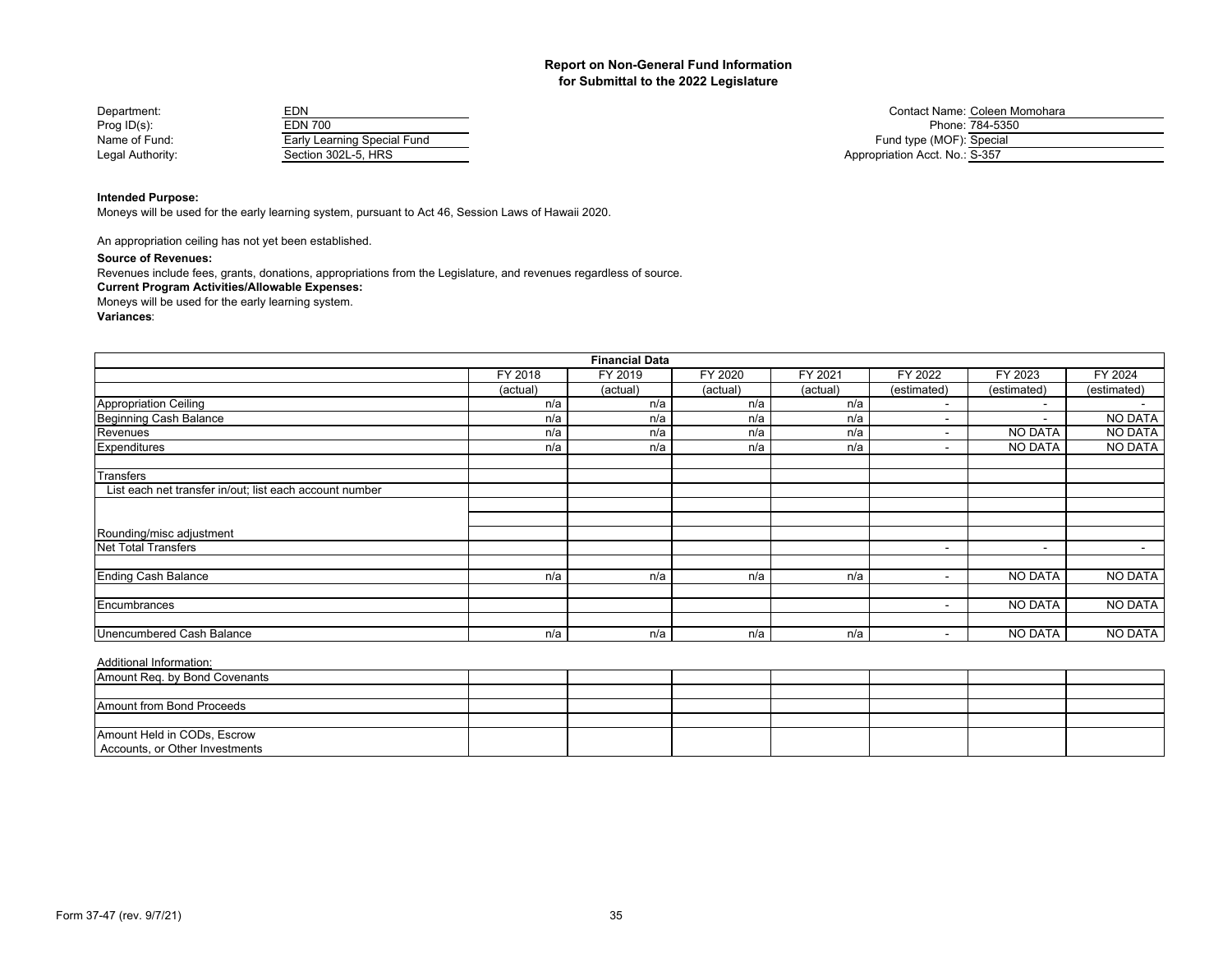| Department:      | EDN                         | Contact Name: Coleen M         |
|------------------|-----------------------------|--------------------------------|
| Prog $ID(s)$ :   | EDN 700                     | Phone: 784-5350                |
| Name of Fund:    | Early Learning Special Fund | Fund type (MOF): Special       |
| Legal Authority: | Section 302L-5. HRS         | Appropriation Acct. No.: S-357 |
|                  |                             |                                |

Contact Name: Coleen Momohara Fund type (MOF): Special Appropriation Acct. No.: S-357

## **Intended Purpose:**

Moneys will be used for the early learning system, pursuant to Act 46, Session Laws of Hawaii 2020.

An appropriation ceiling has not yet been established.

#### **Source of Revenues:**

Revenues include fees, grants, donations, appropriations from the Legislature, and revenues regardless of source.

## **Current Program Activities/Allowable Expenses:**

Moneys will be used for the early learning system.

**Variances**:

|                                                         | <b>Financial Data</b> |          |          |          |                          |                          |                          |
|---------------------------------------------------------|-----------------------|----------|----------|----------|--------------------------|--------------------------|--------------------------|
|                                                         | FY 2018               | FY 2019  | FY 2020  | FY 2021  | FY 2022                  | FY 2023                  | FY 2024                  |
|                                                         | (actual)              | (actual) | (actual) | (actual) | (estimated)              | (estimated)              | (estimated)              |
| <b>Appropriation Ceiling</b>                            | n/a                   | n/a      | n/a      | n/a      |                          | $\sim$                   |                          |
| Beginning Cash Balance                                  | n/a                   | n/a      | n/a      | n/a      | $\overline{\phantom{0}}$ | $\sim$                   | <b>NO DATA</b>           |
| Revenues                                                | n/a                   | n/a      | n/a      | n/a      |                          | NO DATA                  | <b>NO DATA</b>           |
| Expenditures                                            | n/a                   | n/a      | n/a      | n/a      |                          | NO DATA                  | <b>NO DATA</b>           |
| Transfers                                               |                       |          |          |          |                          |                          |                          |
| List each net transfer in/out; list each account number |                       |          |          |          |                          |                          |                          |
|                                                         |                       |          |          |          |                          |                          |                          |
|                                                         |                       |          |          |          |                          |                          |                          |
| Rounding/misc adjustment                                |                       |          |          |          |                          |                          |                          |
| <b>Net Total Transfers</b>                              |                       |          |          |          | $\overline{\phantom{0}}$ | $\overline{\phantom{a}}$ | $\overline{\phantom{0}}$ |
|                                                         |                       |          |          |          |                          |                          |                          |
| <b>Ending Cash Balance</b>                              | n/a                   | n/a      | n/a      | n/a      | $\overline{\phantom{0}}$ | <b>NO DATA</b>           | <b>NO DATA</b>           |
|                                                         |                       |          |          |          |                          |                          |                          |
| Encumbrances                                            |                       |          |          |          |                          | <b>NO DATA</b>           | <b>NO DATA</b>           |
|                                                         |                       |          |          |          |                          |                          |                          |
| Unencumbered Cash Balance                               | n/a                   | n/a      | n/a      | n/a      | $\overline{\phantom{a}}$ | NO DATA                  | <b>NO DATA</b>           |

| Amount Reg. by Bond Covenants  |  |  |  |  |
|--------------------------------|--|--|--|--|
|                                |  |  |  |  |
| Amount from Bond Proceeds      |  |  |  |  |
|                                |  |  |  |  |
| Amount Held in CODs, Escrow    |  |  |  |  |
| Accounts, or Other Investments |  |  |  |  |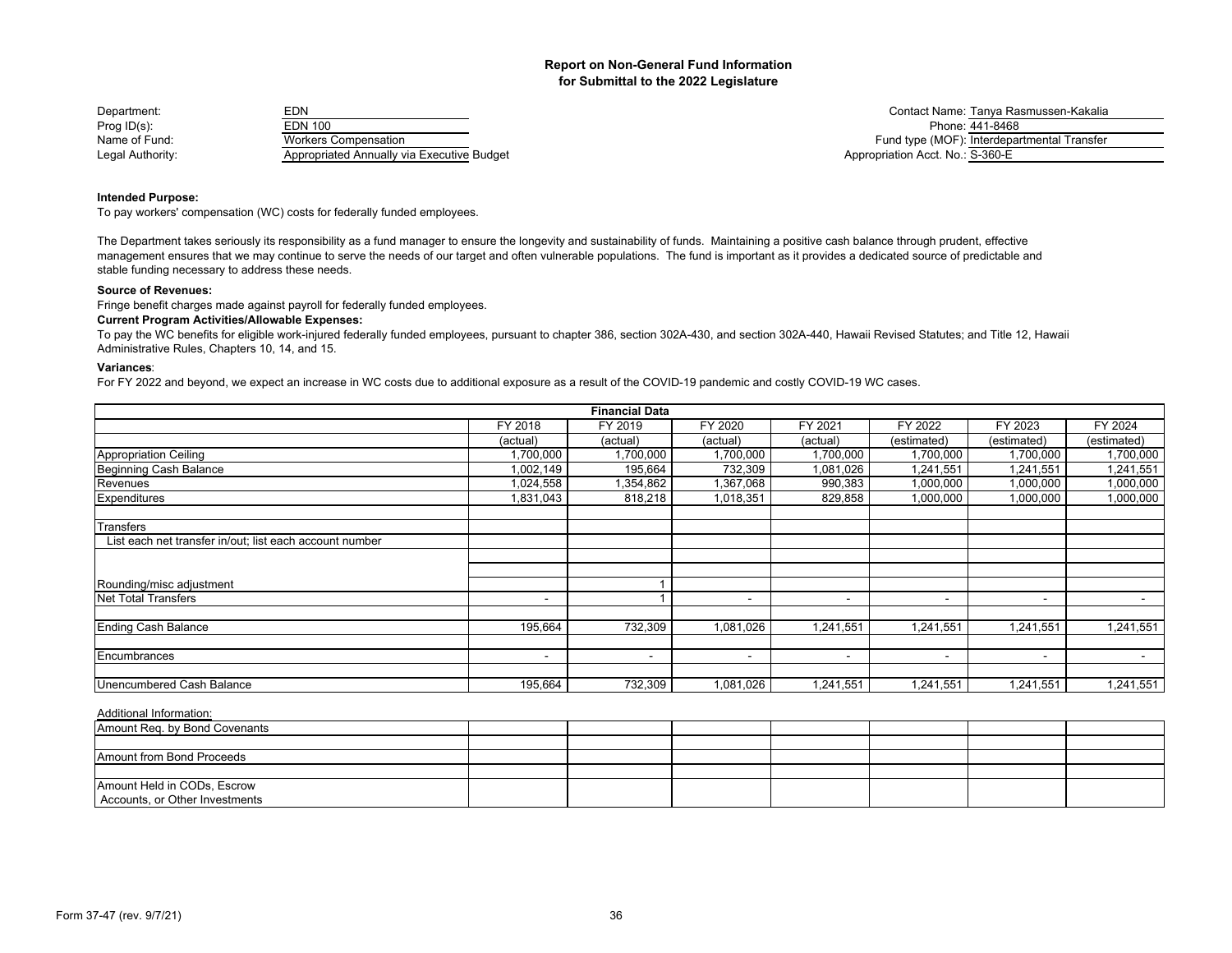| Department:      | EDN                                        | Contact Name: Tanya Ra           |
|------------------|--------------------------------------------|----------------------------------|
| Prog $ID(s)$ :   | EDN 100                                    | Phone: 441-8468                  |
| Name of Fund:    | Workers Compensation_                      | Fund type (MOF): Interdepa       |
| Legal Authority: | Appropriated Annually via Executive Budget | Appropriation Acct. No.: S-360-E |

Contact Name: Tanya Rasmussen-Kakalia<br>Phone: 441-8468 Fund type (MOF): Interdepartmental Transfer Legal Authority: Appropriation Acct. No.: S-360-E

## **Intended Purpose:**

To pay workers' compensation (WC) costs for federally funded employees.

The Department takes seriously its responsibility as a fund manager to ensure the longevity and sustainability of funds. Maintaining a positive cash balance through prudent, effective management ensures that we may continue to serve the needs of our target and often vulnerable populations. The fund is important as it provides a dedicated source of predictable and stable funding necessary to address these needs.

#### **Source of Revenues:**

Fringe benefit charges made against payroll for federally funded employees.

## **Current Program Activities/Allowable Expenses:**

To pay the WC benefits for eligible work-injured federally funded employees, pursuant to chapter 386, section 302A-430, and section 302A-440, Hawaii Revised Statutes; and Title 12, Hawaii Administrative Rules, Chapters 10, 14, and 15.

## **Variances**:

For FY 2022 and beyond, we expect an increase in WC costs due to additional exposure as a result of the COVID-19 pandemic and costly COVID-19 WC cases.

|                                                         |           | <b>Financial Data</b> |           |                          |                          |                          |                |
|---------------------------------------------------------|-----------|-----------------------|-----------|--------------------------|--------------------------|--------------------------|----------------|
|                                                         | FY 2018   | FY 2019               | FY 2020   | FY 2021                  | FY 2022                  | FY 2023                  | FY 2024        |
|                                                         | (actual)  | (actual)              | (actual)  | (actual)                 | (estimated)              | (estimated)              | (estimated)    |
| <b>Appropriation Ceiling</b>                            | ,700,000  | 1,700,000             | 1,700,000 | 1,700,000                | ,700,000                 | 1,700,000                | 1,700,000      |
| Beginning Cash Balance                                  | 1,002,149 | 195,664               | 732,309   | 1,081,026                | 1,241,551                | 1,241,551                | 1,241,551      |
| Revenues                                                | 1,024,558 | 1,354,862             | 1,367,068 | 990,383                  | 1,000,000                | 1,000,000                | 1,000,000      |
| Expenditures                                            | 1,831,043 | 818,218               | 1,018,351 | 829,858                  | 1,000,000                | 1,000,000                | 1,000,000      |
|                                                         |           |                       |           |                          |                          |                          |                |
| Transfers                                               |           |                       |           |                          |                          |                          |                |
| List each net transfer in/out; list each account number |           |                       |           |                          |                          |                          |                |
|                                                         |           |                       |           |                          |                          |                          |                |
|                                                         |           |                       |           |                          |                          |                          |                |
| Rounding/misc adjustment                                |           |                       |           |                          |                          |                          |                |
| <b>Net Total Transfers</b>                              |           |                       |           | $\overline{\phantom{0}}$ | $\overline{\phantom{0}}$ | ۰                        |                |
|                                                         |           |                       |           |                          |                          |                          |                |
| <b>Ending Cash Balance</b>                              | 195,664   | 732,309               | 1,081,026 | 1,241,551                | 1,241,551                | 1,241,551                | 1,241,551      |
|                                                         |           |                       |           |                          |                          |                          |                |
| Encumbrances                                            |           |                       |           | $\overline{\phantom{a}}$ | $\,$ $\,$                | $\overline{\phantom{a}}$ | $\blacksquare$ |
|                                                         |           |                       |           |                          |                          |                          |                |
| Unencumbered Cash Balance                               | 195,664   | 732,309               | 1,081,026 | 1,241,551                | ,241,551                 | 1,241,551                | 1,241,551      |

| Amount Req. by Bond Covenants    |  |  |  |  |
|----------------------------------|--|--|--|--|
|                                  |  |  |  |  |
| <b>Amount from Bond Proceeds</b> |  |  |  |  |
|                                  |  |  |  |  |
| Amount Held in CODs, Escrow      |  |  |  |  |
| Accounts, or Other Investments   |  |  |  |  |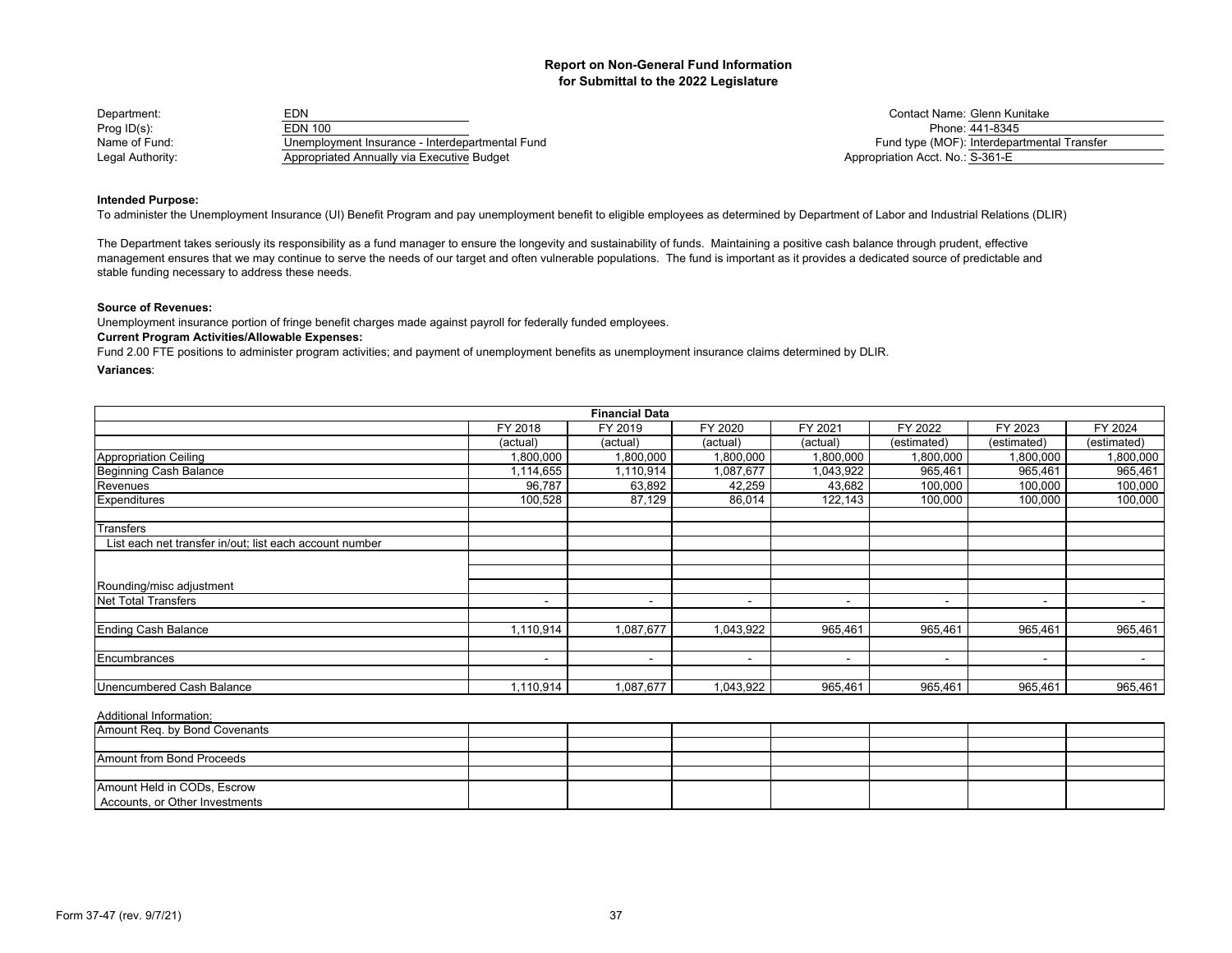| Department:      | EDN                                             | Contact Name: Glenn Ku           |
|------------------|-------------------------------------------------|----------------------------------|
| Prog $ID(s)$ :   | EDN 100                                         | Phone: 441-8345                  |
| Name of Fund:    | Unemployment Insurance - Interdepartmental Fund | Fund type (MOF): Interdepa       |
| Legal Authority: | Appropriated Annually via Executive Budget      | Appropriation Acct. No.: S-361-E |

Contact Name: Glenn Kunitake<br>Phone: 441-8345 Name of Tame of Tame of Tame of Tame of Tame - Interdepartmental Transfer - Interdepartmental Transfer Appropriation Acct. No.: S-361-E

## **Intended Purpose:**

To administer the Unemployment Insurance (UI) Benefit Program and pay unemployment benefit to eligible employees as determined by Department of Labor and Industrial Relations (DLIR)

The Department takes seriously its responsibility as a fund manager to ensure the longevity and sustainability of funds. Maintaining a positive cash balance through prudent, effective management ensures that we may continue to serve the needs of our target and often vulnerable populations. The fund is important as it provides a dedicated source of predictable and stable funding necessary to address these needs.

#### **Source of Revenues:**

Unemployment insurance portion of fringe benefit charges made against payroll for federally funded employees.

## **Current Program Activities/Allowable Expenses:**

Fund 2.00 FTE positions to administer program activities; and payment of unemployment benefits as unemployment insurance claims determined by DLIR.

## **Variances**:

|                                                         |                          | <b>Financial Data</b> |           |                          |                          |                          |                          |
|---------------------------------------------------------|--------------------------|-----------------------|-----------|--------------------------|--------------------------|--------------------------|--------------------------|
|                                                         | FY 2018                  | FY 2019               | FY 2020   | FY 2021                  | FY 2022                  | FY 2023                  | FY 2024                  |
|                                                         | (actual)                 | (actual)              | (actual)  | (actual)                 | (estimated)              | (estimated)              | (estimated)              |
| Appropriation Ceiling                                   | 1,800,000                | 1,800,000             | 1,800,000 | 1,800,000                | 1,800,000                | 1,800,000                | 1,800,000                |
| Beginning Cash Balance                                  | 1,114,655                | 1,110,914             | 1,087,677 | 1,043,922                | 965,461                  | 965,461                  | 965,461                  |
| Revenues                                                | 96,787                   | 63,892                | 42,259    | 43,682                   | 100,000                  | 100,000                  | 100,000                  |
| Expenditures                                            | 100,528                  | 87,129                | 86,014    | 122,143                  | 100,000                  | 100,000                  | 100,000                  |
| <b>Transfers</b>                                        |                          |                       |           |                          |                          |                          |                          |
| List each net transfer in/out; list each account number |                          |                       |           |                          |                          |                          |                          |
|                                                         |                          |                       |           |                          |                          |                          |                          |
| Rounding/misc adjustment                                |                          |                       |           |                          |                          |                          |                          |
| <b>Net Total Transfers</b>                              | $\overline{\phantom{0}}$ | -                     |           | $\overline{\phantom{a}}$ | $\overline{\phantom{a}}$ | $\overline{\phantom{a}}$ | $\overline{\phantom{a}}$ |
| <b>Ending Cash Balance</b>                              | 1,110,914                | 1,087,677             | 1,043,922 | 965,461                  | 965,461                  | 965,461                  | 965,461                  |
| Encumbrances                                            | $\overline{\phantom{0}}$ |                       |           | -                        | $\overline{\phantom{a}}$ | $\blacksquare$           |                          |
| Unencumbered Cash Balance                               | 1,110,914                | 1,087,677             | 1,043,922 | 965,461                  | 965,461                  | 965,461                  | 965,461                  |

| Amount Reg. by Bond Covenants  |  |  |  |  |
|--------------------------------|--|--|--|--|
|                                |  |  |  |  |
| Amount from Bond Proceeds      |  |  |  |  |
|                                |  |  |  |  |
| Amount Held in CODs, Escrow    |  |  |  |  |
| Accounts, or Other Investments |  |  |  |  |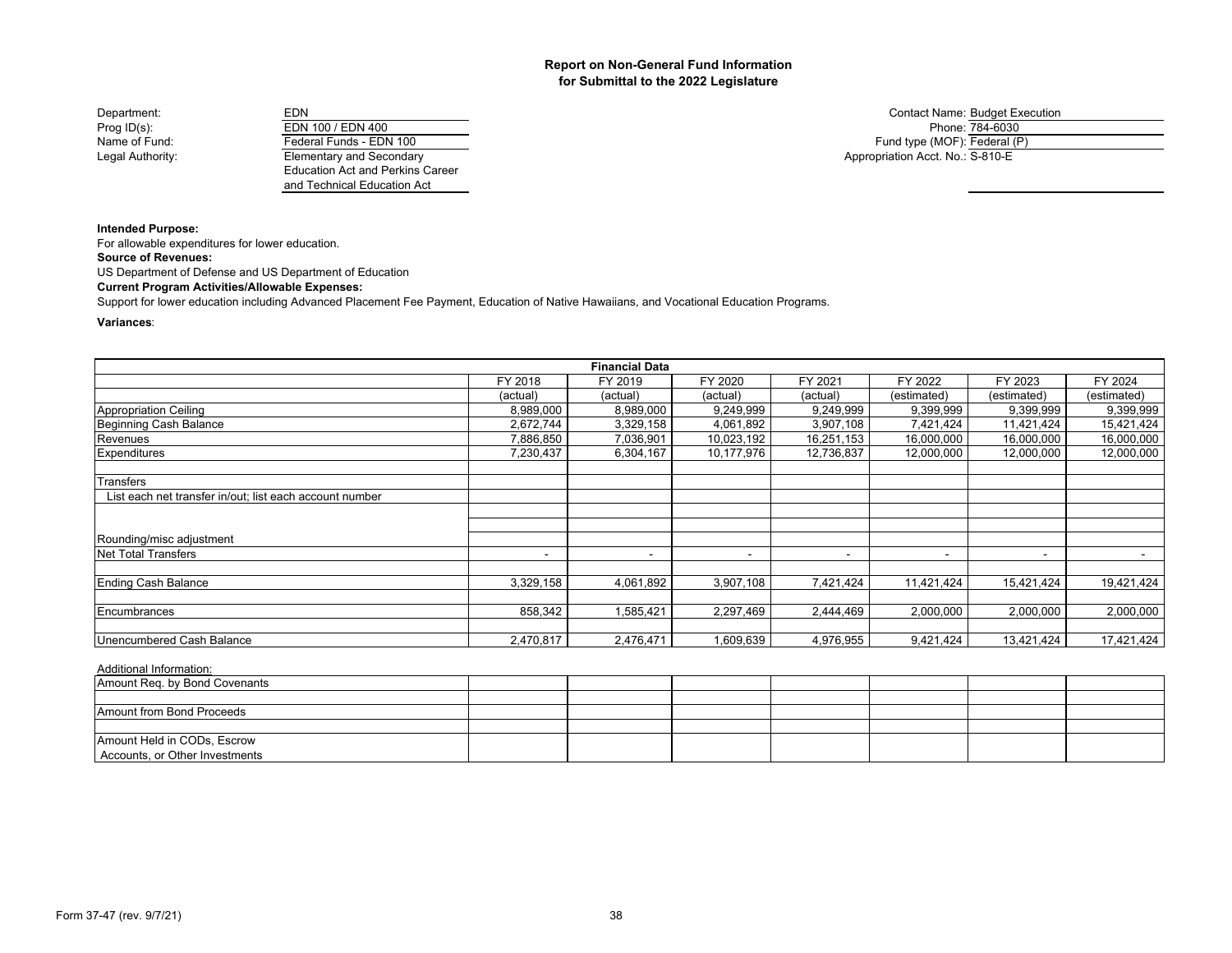Department: EDN EDN EDN EDN Contact Name: Budget Execution Prog ID(s): Prop EDN 100 / EDN 400<br>
Phone: The EDN 100 / EDN 400<br>
Pederal Funds - EDN 100 Legal Authority: Elementary and Secondary

Education Act and Perkins Career and Technical Education Act

Fund type (MOF): Federal (P) Appropriation Acct. No.: S-810-E

**Intended Purpose:**

For allowable expenditures for lower education.

**Source of Revenues:**

US Department of Defense and US Department of Education

**Current Program Activities/Allowable Expenses:**

Support for lower education including Advanced Placement Fee Payment, Education of Native Hawaiians, and Vocational Education Programs.

#### **Variances**:

|                                                         |           | <b>Financial Data</b> |            |                          |                          |                |             |
|---------------------------------------------------------|-----------|-----------------------|------------|--------------------------|--------------------------|----------------|-------------|
|                                                         | FY 2018   | FY 2019               | FY 2020    | FY 2021                  | FY 2022                  | FY 2023        | FY 2024     |
|                                                         | (actual)  | (actual)              | (actual)   | (actual)                 | (estimated)              | (estimated)    | (estimated) |
| Appropriation Ceiling                                   | 8,989,000 | 8,989,000             | 9,249,999  | 9,249,999                | 9,399,999                | 9,399,999      | 9,399,999   |
| Beginning Cash Balance                                  | 2,672,744 | 3,329,158             | 4,061,892  | 3,907,108                | 7,421,424                | 11,421,424     | 15,421,424  |
| Revenues                                                | 7,886,850 | 7,036,901             | 10,023,192 | 16,251,153               | 16,000,000               | 16,000,000     | 16,000,000  |
| <b>Expenditures</b>                                     | 7,230,437 | 6,304,167             | 10,177,976 | 12,736,837               | 12,000,000               | 12,000,000     | 12,000,000  |
| Transfers                                               |           |                       |            |                          |                          |                |             |
| List each net transfer in/out; list each account number |           |                       |            |                          |                          |                |             |
|                                                         |           |                       |            |                          |                          |                |             |
| Rounding/misc adjustment                                |           |                       |            |                          |                          |                |             |
| <b>Net Total Transfers</b>                              | $\,$      |                       | -          | $\overline{\phantom{a}}$ | $\overline{\phantom{a}}$ | $\blacksquare$ | $\sim$      |
| Ending Cash Balance                                     | 3,329,158 | 4,061,892             | 3,907,108  | 7,421,424                | 11,421,424               | 15,421,424     | 19,421,424  |
| Encumbrances                                            | 858,342   | ,585,421              | 2,297,469  | 2,444,469                | 2,000,000                | 2,000,000      | 2,000,000   |
| Unencumbered Cash Balance                               | 2,470,817 | 2,476,471             | 1,609,639  | 4,976,955                | 9,421,424                | 13,421,424     | 17,421,424  |

| Amount Req. by Bond Covenants  |  |  |  |  |
|--------------------------------|--|--|--|--|
|                                |  |  |  |  |
| Amount from Bond Proceeds      |  |  |  |  |
|                                |  |  |  |  |
| Amount Held in CODs, Escrow    |  |  |  |  |
| Accounts, or Other Investments |  |  |  |  |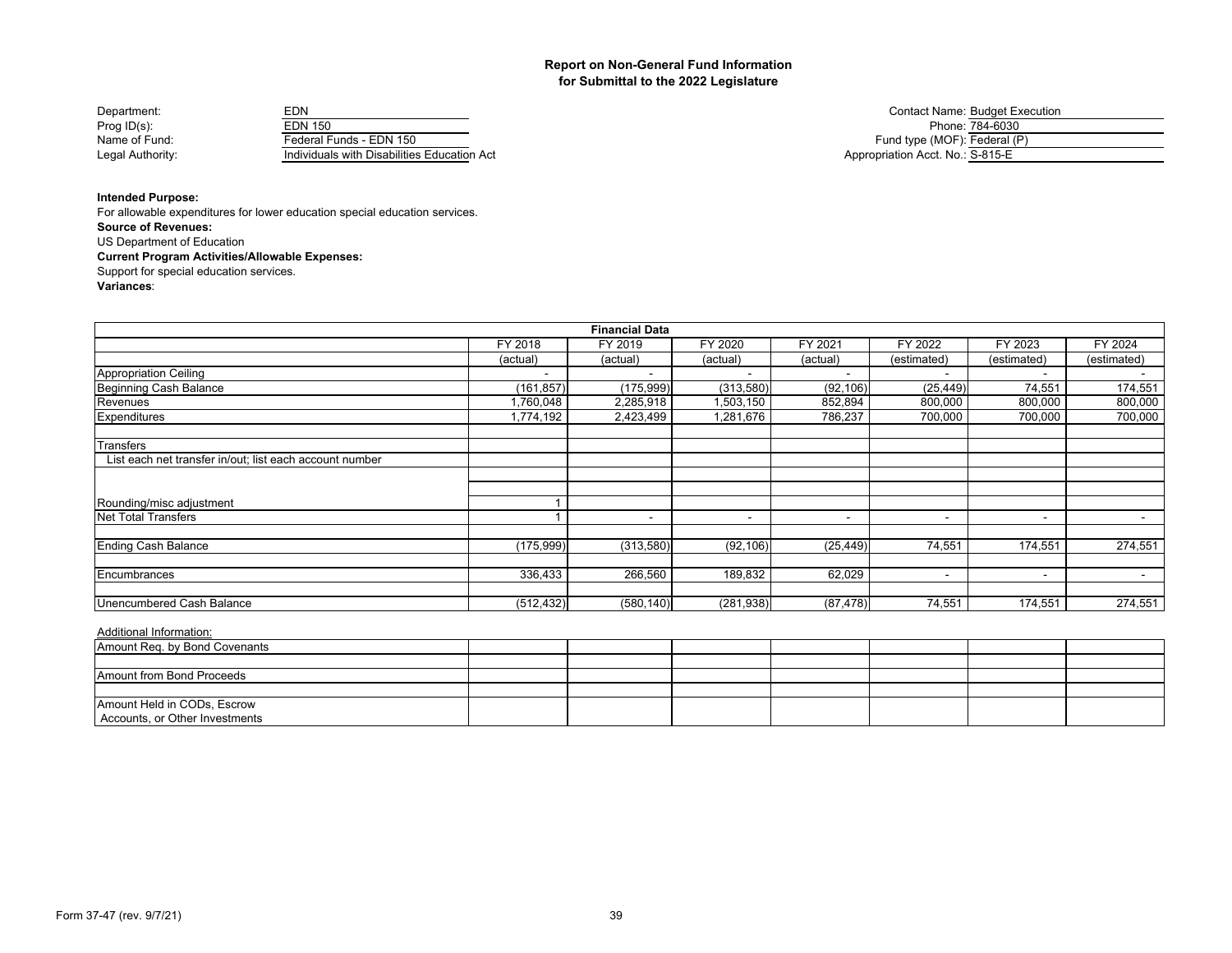| Department:      | EDN                                         | <b>Contact Name: Budget E</b>    |
|------------------|---------------------------------------------|----------------------------------|
| Prog $ID(s)$ :   | EDN 150                                     | Phone: 784-6030                  |
| Name of Fund:    | Federal Funds - EDN 150                     | Fund type (MOF): Federal (       |
| Legal Authority: | Individuals with Disabilities Education Act | Appropriation Acct. No.: S-815-E |

Contact Name: Budget Execution<br>Phone: 784-6030 Fund type (MOF): Federal (P) Appropriation Acct. No.: S-815-E

## **Intended Purpose:**

**Source of Revenues: Current Program Activities/Allowable Expenses:** For allowable expenditures for lower education special education services. US Department of Education Support for special education services.

**Variances**:

|                                                         |            | <b>Financial Data</b> |                          |                          |                          |                          |                          |
|---------------------------------------------------------|------------|-----------------------|--------------------------|--------------------------|--------------------------|--------------------------|--------------------------|
|                                                         | FY 2018    | FY 2019               | FY 2020                  | FY 2021                  | FY 2022                  | FY 2023                  | FY 2024                  |
|                                                         | (actual)   | (actual)              | (actual)                 | (actual)                 | (estimated)              | (estimated)              | (estimated)              |
| Appropriation Ceiling                                   |            |                       |                          |                          |                          |                          |                          |
| Beginning Cash Balance                                  | (161, 857) | (175, 999)            | (313,580)                | (92, 106)                | (25, 449)                | 74,551                   | 174,551                  |
| Revenues                                                | 1,760,048  | 2,285,918             | 1,503,150                | 852,894                  | 800,000                  | 800,000                  | 800,000                  |
| <b>Expenditures</b>                                     | 1,774,192  | 2,423,499             | 1,281,676                | 786,237                  | 700,000                  | 700,000                  | 700,000                  |
| Transfers                                               |            |                       |                          |                          |                          |                          |                          |
| List each net transfer in/out; list each account number |            |                       |                          |                          |                          |                          |                          |
|                                                         |            |                       |                          |                          |                          |                          |                          |
| Rounding/misc adjustment                                |            |                       |                          |                          |                          |                          |                          |
| Net Total Transfers                                     |            | $\,$                  | $\overline{\phantom{a}}$ | $\overline{\phantom{a}}$ |                          | $\overline{\phantom{a}}$ | $\,$ $\,$                |
| <b>Ending Cash Balance</b>                              | (175, 999) | (313,580)             | (92, 106)                | (25, 449)                | 74,551                   | 174,551                  | 274,551                  |
| Encumbrances                                            | 336,433    | 266,560               | 189,832                  | 62,029                   | $\overline{\phantom{0}}$ | $\overline{\phantom{a}}$ | $\overline{\phantom{0}}$ |
| Unencumbered Cash Balance                               | (512, 432) | (580, 140)            | (281, 938)               | (87, 478)                | 74,551                   | 174,551                  | 274,551                  |

| Amount Reg. by Bond Covenants  |  |  |  |  |
|--------------------------------|--|--|--|--|
|                                |  |  |  |  |
| Amount from Bond Proceeds      |  |  |  |  |
|                                |  |  |  |  |
| Amount Held in CODs, Escrow    |  |  |  |  |
| Accounts, or Other Investments |  |  |  |  |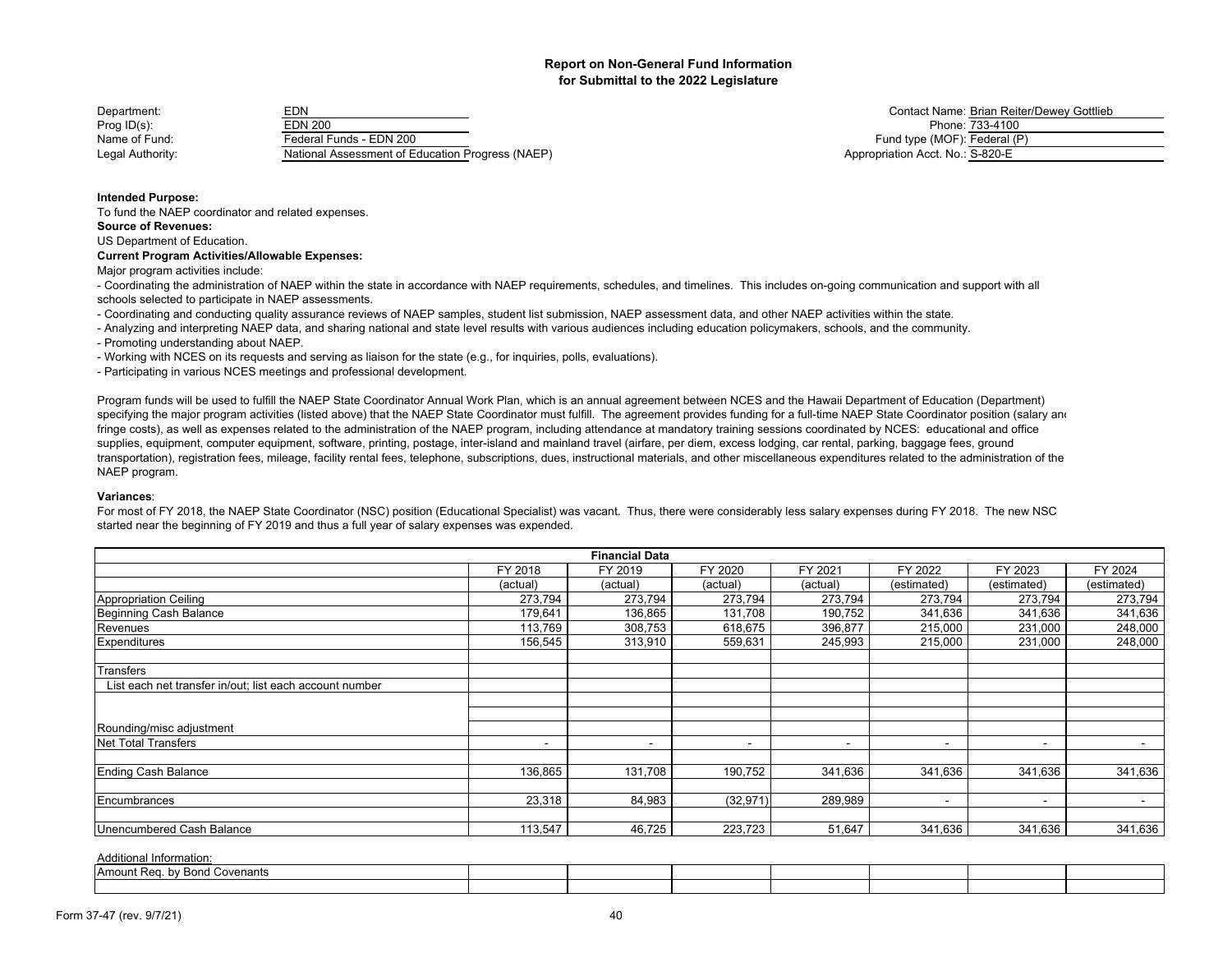| Department:      | EDN                                              | Contact Name: Brian Rei          |
|------------------|--------------------------------------------------|----------------------------------|
| Prog ID(s):      | EDN 200                                          | Phone: 733-4100                  |
| Name of Fund:    | Federal Funds - EDN 200                          | Fund type (MOF): Federal (       |
| Legal Authority: | National Assessment of Education Progress (NAEP) | Appropriation Acct. No.: S-820-E |

Contact Name: Brian Reiter/Dewey Gottlieb Fund type (MOF): Federal (P) Appropriation Acct. No.: S-820-E

#### **Intended Purpose:**

To fund the NAEP coordinator and related expenses.

## **Source of Revenues:**

US Department of Education.

#### **Current Program Activities/Allowable Expenses:**

Major program activities include:

- Coordinating the administration of NAEP within the state in accordance with NAEP requirements, schedules, and timelines. This includes on-going communication and support with all schools selected to participate in NAEP assessments.

- Coordinating and conducting quality assurance reviews of NAEP samples, student list submission, NAEP assessment data, and other NAEP activities within the state.

- Analyzing and interpreting NAEP data, and sharing national and state level results with various audiences including education policymakers, schools, and the community.

- Promoting understanding about NAEP.

- Working with NCES on its requests and serving as liaison for the state (e.g., for inquiries, polls, evaluations).

- Participating in various NCES meetings and professional development.

Program funds will be used to fulfill the NAEP State Coordinator Annual Work Plan, which is an annual agreement between NCES and the Hawaii Department of Education (Department) specifying the major program activities (listed above) that the NAEP State Coordinator must fulfill. The agreement provides funding for a full-time NAEP State Coordinator position (salary and fringe costs), as well as expenses related to the administration of the NAEP program, including attendance at mandatory training sessions coordinated by NCES: educational and office supplies, equipment, computer equipment, software, printing, postage, inter-island and mainland travel (airfare, per diem, excess lodging, car rental, parking, baggage fees, ground transportation), registration fees, mileage, facility rental fees, telephone, subscriptions, dues, instructional materials, and other miscellaneous expenditures related to the administration of the NAEP program.

#### **Variances**:

For most of FY 2018, the NAEP State Coordinator (NSC) position (Educational Specialist) was vacant. Thus, there were considerably less salary expenses during FY 2018. The new NSC started near the beginning of FY 2019 and thus a full year of salary expenses was expended.

|                                                         |                          | <b>Financial Data</b> |                          |                          |             |                          |                          |
|---------------------------------------------------------|--------------------------|-----------------------|--------------------------|--------------------------|-------------|--------------------------|--------------------------|
|                                                         | FY 2018                  | FY 2019               | FY 2020                  | FY 2021                  | FY 2022     | FY 2023                  | FY 2024                  |
|                                                         | (actual)                 | (actual)              | (actual)                 | (actual)                 | (estimated) | (estimated)              | (estimated)              |
| Appropriation Ceiling                                   | 273,794                  | 273,794               | 273,794                  | 273,794                  | 273,794     | 273,794                  | 273,794                  |
| Beginning Cash Balance                                  | 179,641                  | 136,865               | 131,708                  | 190,752                  | 341,636     | 341,636                  | 341,636                  |
| Revenues                                                | 113,769                  | 308,753               | 618,675                  | 396,877                  | 215,000     | 231,000                  | 248,000                  |
| Expenditures                                            | 156,545                  | 313,910               | 559,631                  | 245,993                  | 215,000     | 231,000                  | 248,000                  |
| Transfers                                               |                          |                       |                          |                          |             |                          |                          |
| List each net transfer in/out; list each account number |                          |                       |                          |                          |             |                          |                          |
|                                                         |                          |                       |                          |                          |             |                          |                          |
| Rounding/misc adjustment                                |                          |                       |                          |                          |             |                          |                          |
| Net Total Transfers                                     | $\overline{\phantom{a}}$ | ۰                     | $\overline{\phantom{a}}$ | $\overline{\phantom{a}}$ | -           | $\sim$                   | $\blacksquare$           |
| <b>Ending Cash Balance</b>                              | 136,865                  | 131,708               | 190,752                  | 341,636                  | 341,636     | 341,636                  | 341,636                  |
| Encumbrances                                            | 23,318                   | 84,983                | (32, 971)                | 289,989                  | <b>1</b>    | $\overline{\phantom{0}}$ | $\overline{\phantom{0}}$ |
| Unencumbered Cash Balance                               | 113,547                  | 46,725                | 223,723                  | 51,647                   | 341,636     | 341,636                  | 341,636                  |

| . by Bond Covenants<br>- IAmount Rea. |  |  |  |  |
|---------------------------------------|--|--|--|--|
|                                       |  |  |  |  |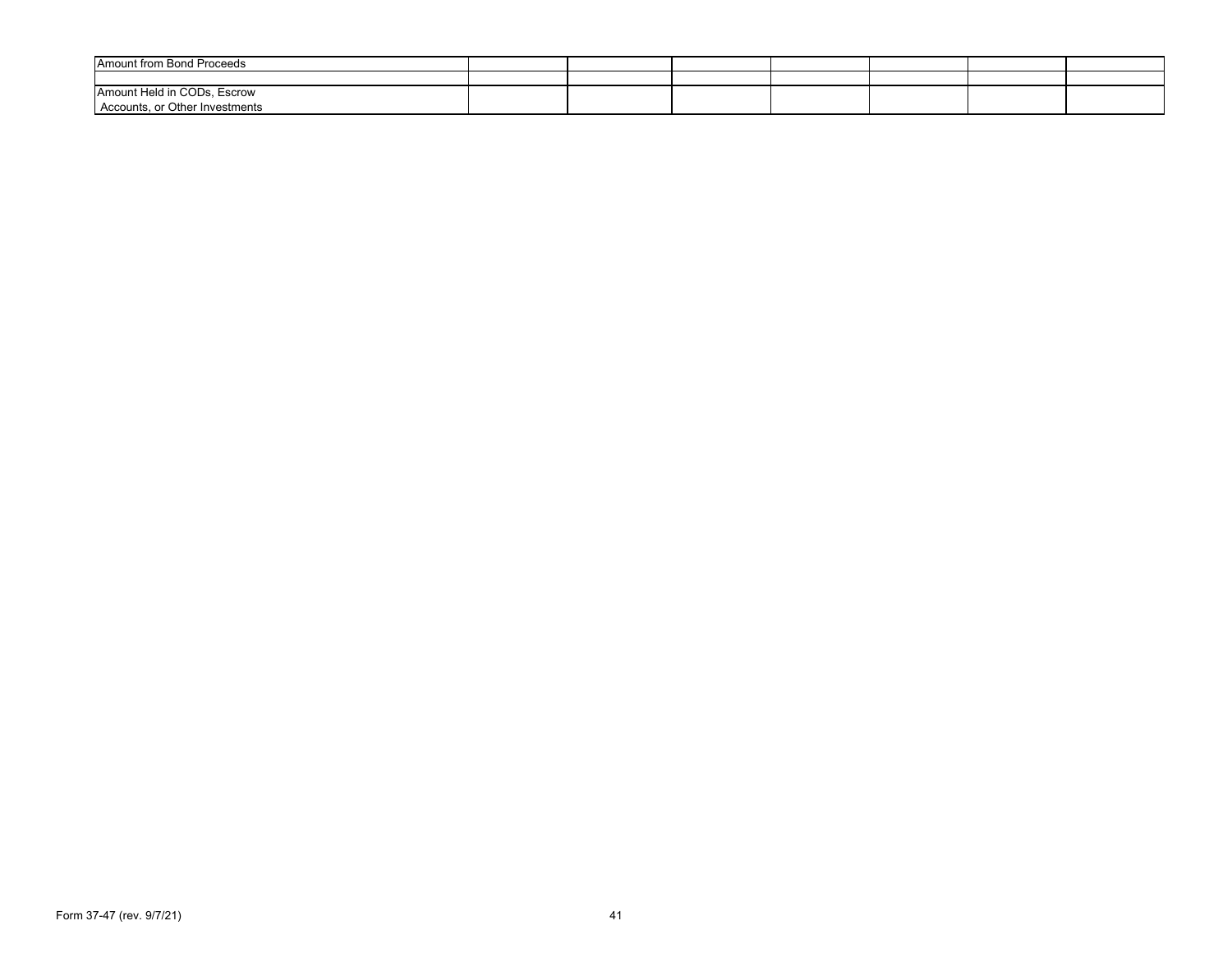| <b>Amount from Bond Proceeds</b>                              |  |  |  |  |
|---------------------------------------------------------------|--|--|--|--|
|                                                               |  |  |  |  |
| Amount Held in CODs, Escrow<br>Accounts, or Other Investments |  |  |  |  |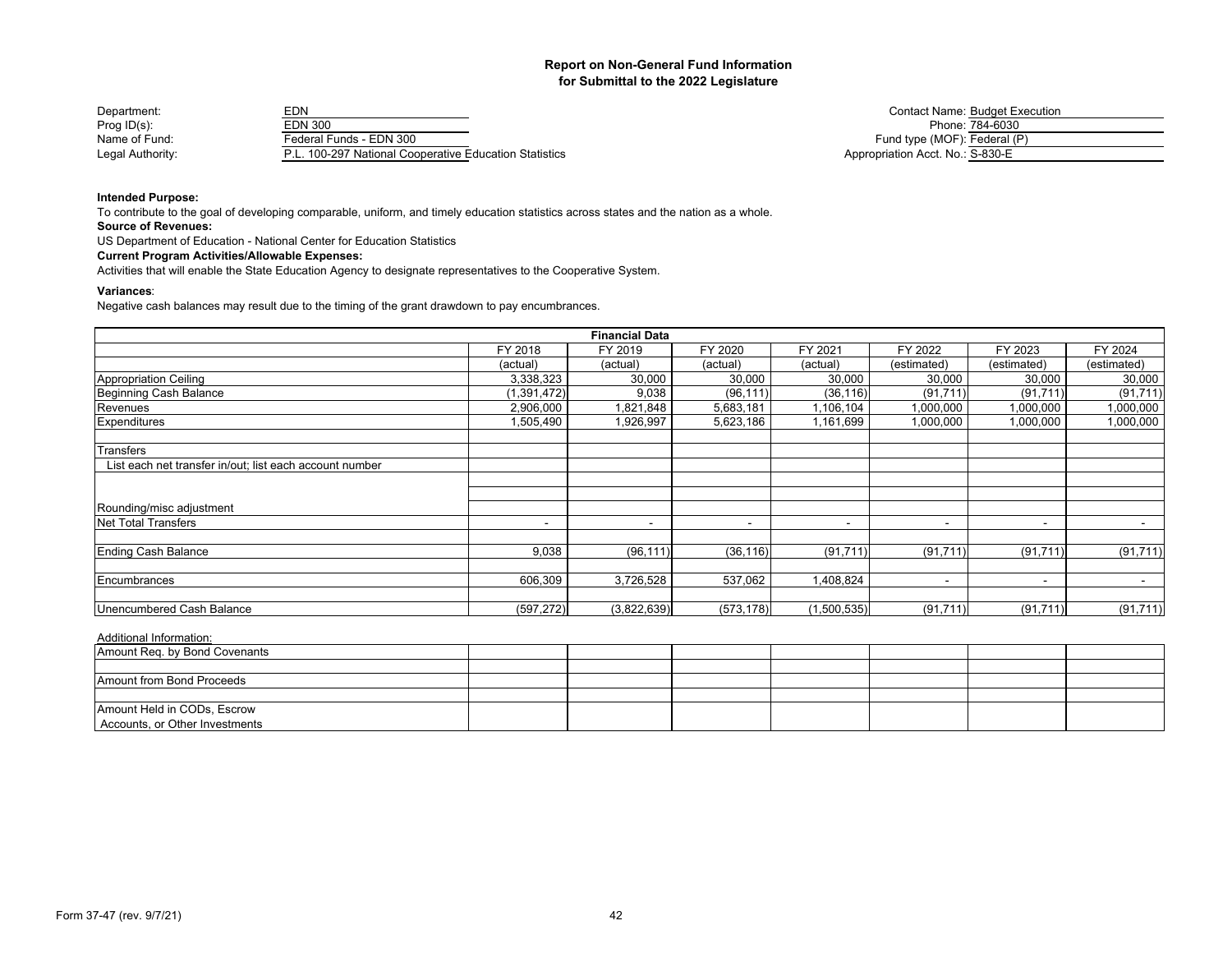| Department:      | ΞDΝ                                               | Contact Name: Budget E           |
|------------------|---------------------------------------------------|----------------------------------|
| Prog $ID(s)$ :   | EDN 300                                           | Phone: 784-6030                  |
| Name of Fund:    | Federal Funds - EDN 300                           | Fund type (MOF): Federal (       |
| Legal Authority: | 100-297 National Cooperative Education Statistics | Appropriation Acct. No.: S-830-E |

Contact Name: Budget Execution Fund type (MOF): Federal (P) Appropriation Acct. No.: S-830-E

## **Intended Purpose:**

To contribute to the goal of developing comparable, uniform, and timely education statistics across states and the nation as a whole.

**Source of Revenues:**

US Department of Education - National Center for Education Statistics

## **Current Program Activities/Allowable Expenses:**

Activities that will enable the State Education Agency to designate representatives to the Cooperative System.

#### **Variances**:

Negative cash balances may result due to the timing of the grant drawdown to pay encumbrances.

|                                                         |                          | <b>Financial Data</b> |            |             |                          |                          |             |
|---------------------------------------------------------|--------------------------|-----------------------|------------|-------------|--------------------------|--------------------------|-------------|
|                                                         | FY 2018                  | FY 2019               | FY 2020    | FY 2021     | FY 2022                  | FY 2023                  | FY 2024     |
|                                                         | (actual)                 | (actual)              | (actual)   | (actual)    | (estimated)              | (estimated)              | (estimated) |
| <b>Appropriation Ceiling</b>                            | 3,338,323                | 30,000                | 30,000     | 30,000      | 30,000                   | 30,000                   | 30,000      |
| Beginning Cash Balance                                  | (1,391,472)              | 9,038                 | (96, 111)  | (36, 116)   | (91, 711)                | (91, 711)                | (91, 711)   |
| Revenues                                                | 2,906,000                | 821,848               | 5,683,181  | 1,106,104   | 1,000,000                | 1,000,000                | 1,000,000   |
| Expenditures                                            | 1,505,490                | 1,926,997             | 5,623,186  | 1,161,699   | 1,000,000                | 1,000,000                | 1,000,000   |
| Transfers                                               |                          |                       |            |             |                          |                          |             |
| List each net transfer in/out; list each account number |                          |                       |            |             |                          |                          |             |
|                                                         |                          |                       |            |             |                          |                          |             |
| Rounding/misc adjustment                                |                          |                       |            |             |                          |                          |             |
| Net Total Transfers                                     | $\overline{\phantom{a}}$ | $\sim$                |            | -           | $\overline{\phantom{0}}$ | $\overline{\phantom{a}}$ |             |
| <b>Ending Cash Balance</b>                              | 9,038                    | (96, 111)             | (36, 116)  | (91, 711)   | (91, 711)                | (91, 711)                | (91, 711)   |
| Encumbrances                                            | 606,309                  | 3,726,528             | 537,062    | 1,408,824   | $\blacksquare$           | $\overline{\phantom{a}}$ |             |
|                                                         |                          |                       |            |             |                          |                          |             |
| Unencumbered Cash Balance                               | (597, 272)               | (3,822,639)           | (573, 178) | (1,500,535) | (91, 711)                | (91, 711)                | (91, 711)   |

| Amount Req. by Bond Covenants  |  |  |  |  |
|--------------------------------|--|--|--|--|
|                                |  |  |  |  |
| Amount from Bond Proceeds      |  |  |  |  |
|                                |  |  |  |  |
| Amount Held in CODs, Escrow    |  |  |  |  |
| Accounts, or Other Investments |  |  |  |  |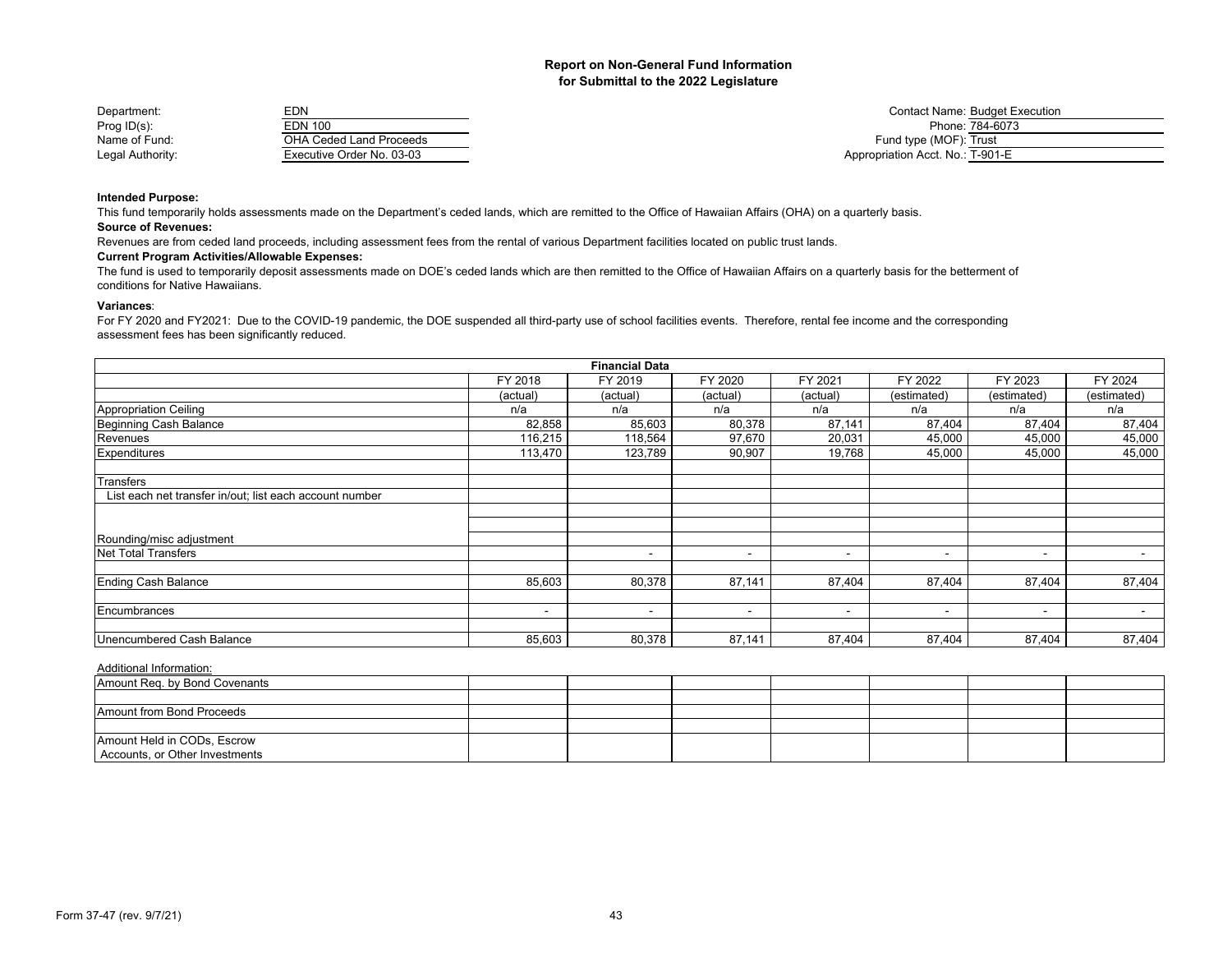| Department:      | <b>EDN</b>                |                                  | <b>Contact Name: Budget Execution</b> |
|------------------|---------------------------|----------------------------------|---------------------------------------|
| Prog $ID(s)$ :   | <b>EDN 100</b>            |                                  | Phone: 784-6073                       |
| Name of Fund:    | OHA Ceded Land Proceeds   | Fund type (MOF): Trust           |                                       |
| Legal Authority: | Executive Order No. 03-03 | Appropriation Acct. No.: T-901-E |                                       |

## **Intended Purpose:**

**Source of Revenues:** This fund temporarily holds assessments made on the Department's ceded lands, which are remitted to the Office of Hawaiian Affairs (OHA) on a quarterly basis.

Revenues are from ceded land proceeds, including assessment fees from the rental of various Department facilities located on public trust lands.

## **Current Program Activities/Allowable Expenses:**

The fund is used to temporarily deposit assessments made on DOE's ceded lands which are then remitted to the Office of Hawaiian Affairs on a quarterly basis for the betterment of conditions for Native Hawaiians.

#### **Variances**:

For FY 2020 and FY2021: Due to the COVID-19 pandemic, the DOE suspended all third-party use of school facilities events. Therefore, rental fee income and the corresponding assessment fees has been significantly reduced.

|                                                         |          | <b>Financial Data</b>    |                          |                          |                          |                |                          |
|---------------------------------------------------------|----------|--------------------------|--------------------------|--------------------------|--------------------------|----------------|--------------------------|
|                                                         | FY 2018  | FY 2019                  | FY 2020                  | FY 2021                  | FY 2022                  | FY 2023        | FY 2024                  |
|                                                         | (actual) | (actual)                 | (actual)                 | (actual)                 | (estimated)              | (estimated)    | (estimated)              |
| Appropriation Ceiling                                   | n/a      | n/a                      | n/a                      | n/a                      | n/a                      | n/a            | n/a                      |
| Beginning Cash Balance                                  | 82,858   | 85,603                   | 80,378                   | 87,141                   | 87,404                   | 87,404         | 87,404                   |
| Revenues                                                | 116,215  | 118,564                  | 97,670                   | 20,031                   | 45,000                   | 45,000         | 45,000                   |
| Expenditures                                            | 113,470  | 123,789                  | 90,907                   | 19,768                   | 45,000                   | 45,000         | 45,000                   |
| <b>Transfers</b>                                        |          |                          |                          |                          |                          |                |                          |
| List each net transfer in/out; list each account number |          |                          |                          |                          |                          |                |                          |
|                                                         |          |                          |                          |                          |                          |                |                          |
| Rounding/misc adjustment                                |          |                          |                          |                          |                          |                |                          |
| Net Total Transfers                                     |          | $\overline{\phantom{a}}$ | $\overline{\phantom{0}}$ | $\,$                     | $\overline{\phantom{0}}$ | $\sim$         | $\overline{\phantom{a}}$ |
| <b>Ending Cash Balance</b>                              | 85,603   | 80,378                   | 87,141                   | 87,404                   | 87,404                   | 87,404         | 87,404                   |
| Encumbrances                                            | -        | $\tilde{\phantom{a}}$    | $\overline{\phantom{a}}$ | $\overline{\phantom{a}}$ | $\,$ $\,$                | $\blacksquare$ | $\sim$                   |
|                                                         |          |                          |                          |                          |                          |                |                          |
| Unencumbered Cash Balance                               | 85,603   | 80,378                   | 87,141                   | 87,404                   | 87,404                   | 87,404         | 87,404                   |

| Amount Reg. by Bond Covenants  |  |  |  |  |
|--------------------------------|--|--|--|--|
|                                |  |  |  |  |
| Amount from Bond Proceeds      |  |  |  |  |
|                                |  |  |  |  |
| Amount Held in CODs, Escrow    |  |  |  |  |
| Accounts, or Other Investments |  |  |  |  |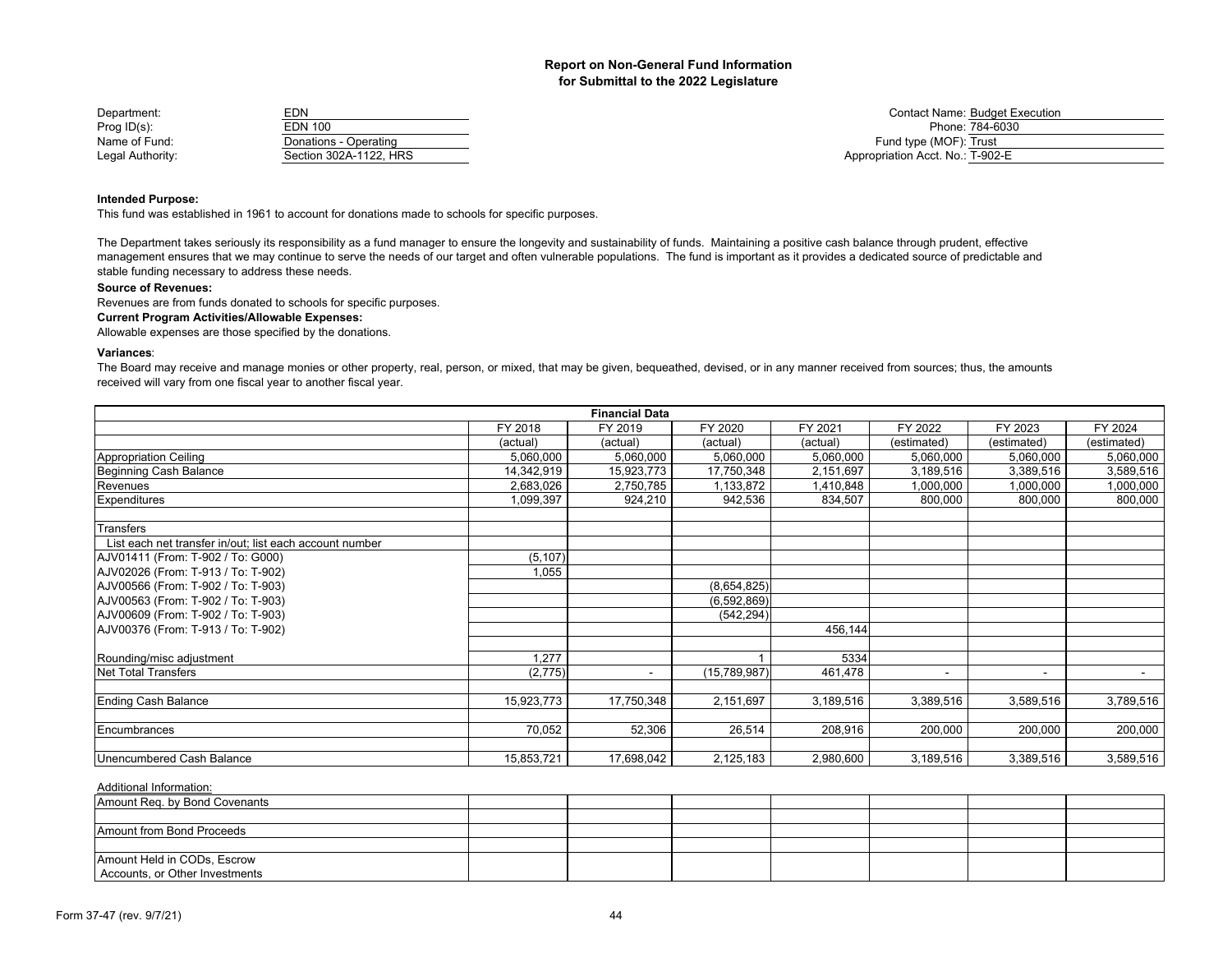| Department:      | EDN                    | <b>Contact Name: Budget E</b>    |
|------------------|------------------------|----------------------------------|
| Prog $ID(s)$ :   | EDN 100                | Phone: 784-6030                  |
| Name of Fund:    | Donations - Operating  | Fund type (MOF): Trust           |
| Legal Authority: | Section 302A-1122. HRS | Appropriation Acct. No.: T-902-E |

Contact Name: Budget Execution<br>Phone: 784-6030 Fund type (MOF): Trust Appropriation Acct. No.: T-902-E

## **Intended Purpose:**

This fund was established in 1961 to account for donations made to schools for specific purposes.

The Department takes seriously its responsibility as a fund manager to ensure the longevity and sustainability of funds. Maintaining a positive cash balance through prudent, effective management ensures that we may continue to serve the needs of our target and often vulnerable populations. The fund is important as it provides a dedicated source of predictable and stable funding necessary to address these needs.

## **Source of Revenues:**

Revenues are from funds donated to schools for specific purposes.

## **Current Program Activities/Allowable Expenses:**

Allowable expenses are those specified by the donations.

## **Variances**:

The Board may receive and manage monies or other property, real, person, or mixed, that may be given, bequeathed, devised, or in any manner received from sources; thus, the amounts received will vary from one fiscal year to another fiscal year.

|                                                         |            | <b>Financial Data</b> |              |           |                |                          |             |
|---------------------------------------------------------|------------|-----------------------|--------------|-----------|----------------|--------------------------|-------------|
|                                                         | FY 2018    | FY 2019               | FY 2020      | FY 2021   | FY 2022        | FY 2023                  | FY 2024     |
|                                                         | (actual)   | (actual)              | (actual)     | (actual)  | (estimated)    | (estimated)              | (estimated) |
| Appropriation Ceiling                                   | 5,060,000  | 5,060,000             | 5,060,000    | 5,060,000 | 5,060,000      | 5,060,000                | 5,060,000   |
| <b>Beginning Cash Balance</b>                           | 14,342,919 | 15,923,773            | 17,750,348   | 2,151,697 | 3,189,516      | 3,389,516                | 3,589,516   |
| Revenues                                                | 2,683,026  | 2,750,785             | 1,133,872    | 1,410,848 | 1,000,000      | 1,000,000                | 1,000,000   |
| <b>Expenditures</b>                                     | 1,099,397  | 924,210               | 942,536      | 834,507   | 800,000        | 800,000                  | 800,000     |
| Transfers                                               |            |                       |              |           |                |                          |             |
| List each net transfer in/out; list each account number |            |                       |              |           |                |                          |             |
| AJV01411 (From: T-902 / To: G000)                       | (5, 107)   |                       |              |           |                |                          |             |
| AJV02026 (From: T-913 / To: T-902)                      | 1,055      |                       |              |           |                |                          |             |
| AJV00566 (From: T-902 / To: T-903)                      |            |                       | (8,654,825)  |           |                |                          |             |
| AJV00563 (From: T-902 / To: T-903)                      |            |                       | (6,592,869)  |           |                |                          |             |
| AJV00609 (From: T-902 / To: T-903)                      |            |                       | (542, 294)   |           |                |                          |             |
| AJV00376 (From: T-913 / To: T-902)                      |            |                       |              | 456,144   |                |                          |             |
| Rounding/misc adjustment                                | 1,277      |                       |              | 5334      |                |                          |             |
| <b>Net Total Transfers</b>                              | (2,775)    | ۰                     | (15,789,987) | 461,478   | $\blacksquare$ | $\overline{\phantom{a}}$ |             |
| <b>Ending Cash Balance</b>                              | 15,923,773 | 17,750,348            | 2,151,697    | 3,189,516 | 3,389,516      | 3,589,516                | 3,789,516   |
| Encumbrances                                            | 70,052     | 52,306                | 26,514       | 208,916   | 200,000        | 200,000                  | 200,000     |
| Unencumbered Cash Balance                               | 15,853,721 | 17,698,042            | 2,125,183    | 2,980,600 | 3,189,516      | 3,389,516                | 3,589,516   |

| Amount Reg. by Bond Covenants  |  |  |  |  |
|--------------------------------|--|--|--|--|
|                                |  |  |  |  |
| Amount from Bond Proceeds      |  |  |  |  |
|                                |  |  |  |  |
| Amount Held in CODs, Escrow    |  |  |  |  |
| Accounts, or Other Investments |  |  |  |  |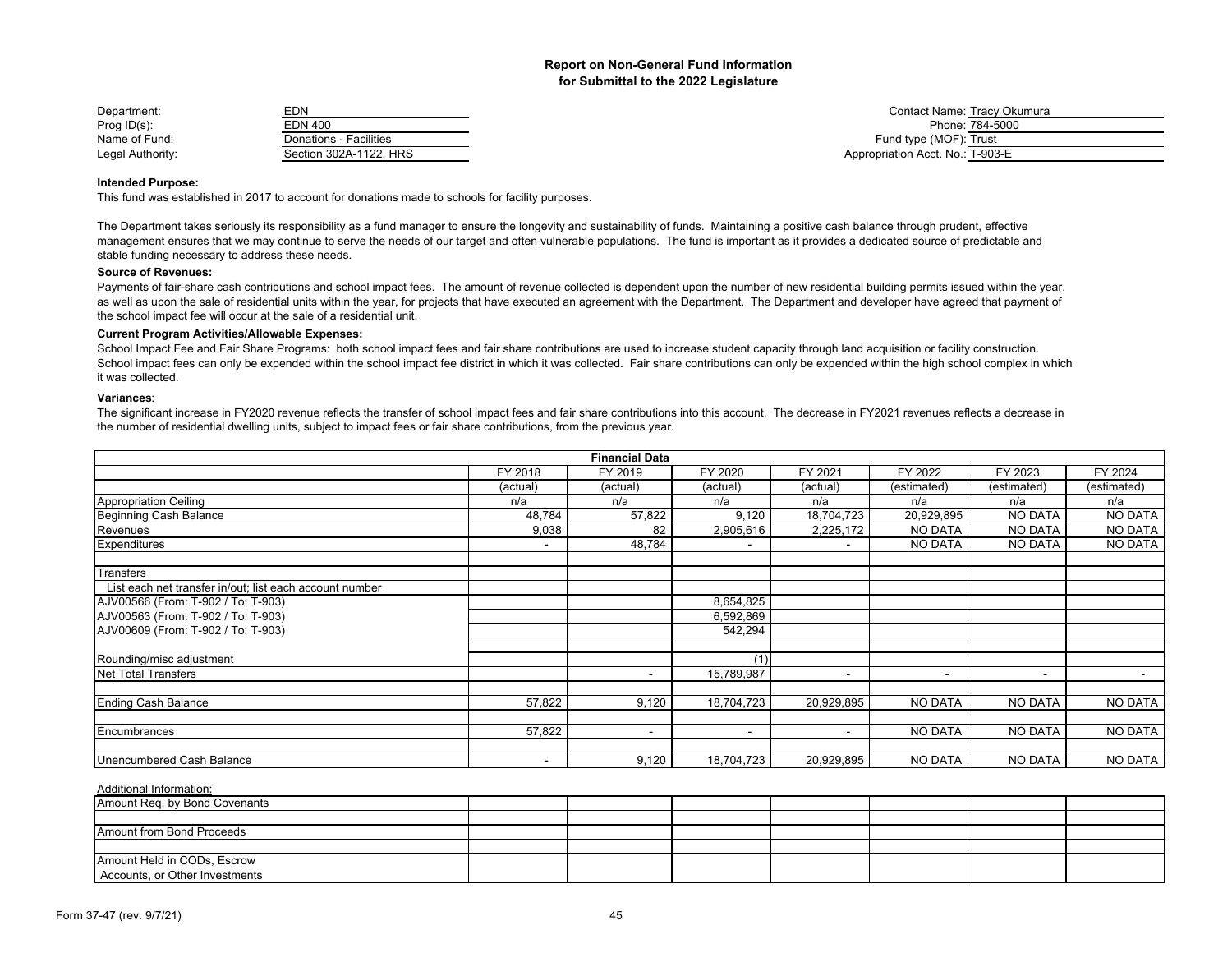| Department:      | EDN                    | <b>Contact Name: Tracy Okumura</b> |
|------------------|------------------------|------------------------------------|
| Prog $ID(s)$ :   | EDN 400                | Phone: 784-5000                    |
| Name of Fund:    | Donations - Facilities | Fund type (MOF): Trust             |
| Legal Authority: | Section 302A-1122, HRS | Appropriation Acct. No.: T-903-E   |

#### **Intended Purpose:**

This fund was established in 2017 to account for donations made to schools for facility purposes.

The Department takes seriously its responsibility as a fund manager to ensure the longevity and sustainability of funds. Maintaining a positive cash balance through prudent, effective management ensures that we may continue to serve the needs of our target and often vulnerable populations. The fund is important as it provides a dedicated source of predictable and stable funding necessary to address these needs.

#### **Source of Revenues:**

Payments of fair-share cash contributions and school impact fees. The amount of revenue collected is dependent upon the number of new residential building permits issued within the year, as well as upon the sale of residential units within the year, for projects that have executed an agreement with the Department. The Department and developer have agreed that payment of the school impact fee will occur at the sale of a residential unit.

#### **Current Program Activities/Allowable Expenses:**

School Impact Fee and Fair Share Programs: both school impact fees and fair share contributions are used to increase student capacity through land acquisition or facility construction. School impact fees can only be expended within the school impact fee district in which it was collected. Fair share contributions can only be expended within the high school complex in which it was collected.

#### **Variances**:

The significant increase in FY2020 revenue reflects the transfer of school impact fees and fair share contributions into this account. The decrease in FY2021 revenues reflects a decrease in the number of residential dwelling units, subject to impact fees or fair share contributions, from the previous year.

|                                                         |                          | <b>Financial Data</b>    |                          |                          |                          |                |             |
|---------------------------------------------------------|--------------------------|--------------------------|--------------------------|--------------------------|--------------------------|----------------|-------------|
|                                                         | FY 2018                  | FY 2019                  | FY 2020                  | FY 2021                  | FY 2022                  | FY 2023        | FY 2024     |
|                                                         | (actual)                 | (actual)                 | (actual)                 | (actual)                 | (estimated)              | (estimated)    | (estimated) |
| <b>Appropriation Ceiling</b>                            | n/a                      | n/a                      | n/a                      | n/a                      | n/a                      | n/a            | n/a         |
| Beginning Cash Balance                                  | 48,784                   | 57,822                   | 9,120                    | 18,704,723               | 20,929,895               | NO DATA        | NO DATA     |
| Revenues                                                | 9,038                    | 82                       | 2,905,616                | 2,225,172                | NO DATA                  | <b>NO DATA</b> | NO DATA     |
| Expenditures                                            | $\overline{\phantom{a}}$ | 48,784                   | $\overline{\phantom{a}}$ |                          | <b>NO DATA</b>           | <b>NO DATA</b> | NO DATA     |
| Transfers                                               |                          |                          |                          |                          |                          |                |             |
| List each net transfer in/out; list each account number |                          |                          |                          |                          |                          |                |             |
| AJV00566 (From: T-902 / To: T-903)                      |                          |                          | 8,654,825                |                          |                          |                |             |
| AJV00563 (From: T-902 / To: T-903)                      |                          |                          | 6,592,869                |                          |                          |                |             |
| AJV00609 (From: T-902 / To: T-903)                      |                          |                          | 542,294                  |                          |                          |                |             |
| Rounding/misc adjustment                                |                          |                          | (1)                      |                          |                          |                |             |
| <b>Net Total Transfers</b>                              |                          | $\overline{\phantom{0}}$ | 15,789,987               | $\overline{\phantom{a}}$ | $\overline{\phantom{a}}$ | $\sim$         | $\sim$      |
|                                                         |                          |                          |                          |                          |                          |                |             |
| <b>Ending Cash Balance</b>                              | 57,822                   | 9,120                    | 18,704,723               | 20,929,895               | NO DATA                  | <b>NO DATA</b> | NO DATA     |
| Encumbrances                                            | 57,822                   |                          | $\overline{\phantom{a}}$ |                          | <b>NO DATA</b>           | <b>NO DATA</b> | NO DATA     |
| Unencumbered Cash Balance                               |                          | 9,120                    | 18,704,723               | 20,929,895               | NO DATA                  | <b>NO DATA</b> | NO DATA     |

| Amount Req. by Bond Covenants  |  |  |  |  |
|--------------------------------|--|--|--|--|
|                                |  |  |  |  |
| Amount from Bond Proceeds      |  |  |  |  |
|                                |  |  |  |  |
| Amount Held in CODs, Escrow    |  |  |  |  |
| Accounts, or Other Investments |  |  |  |  |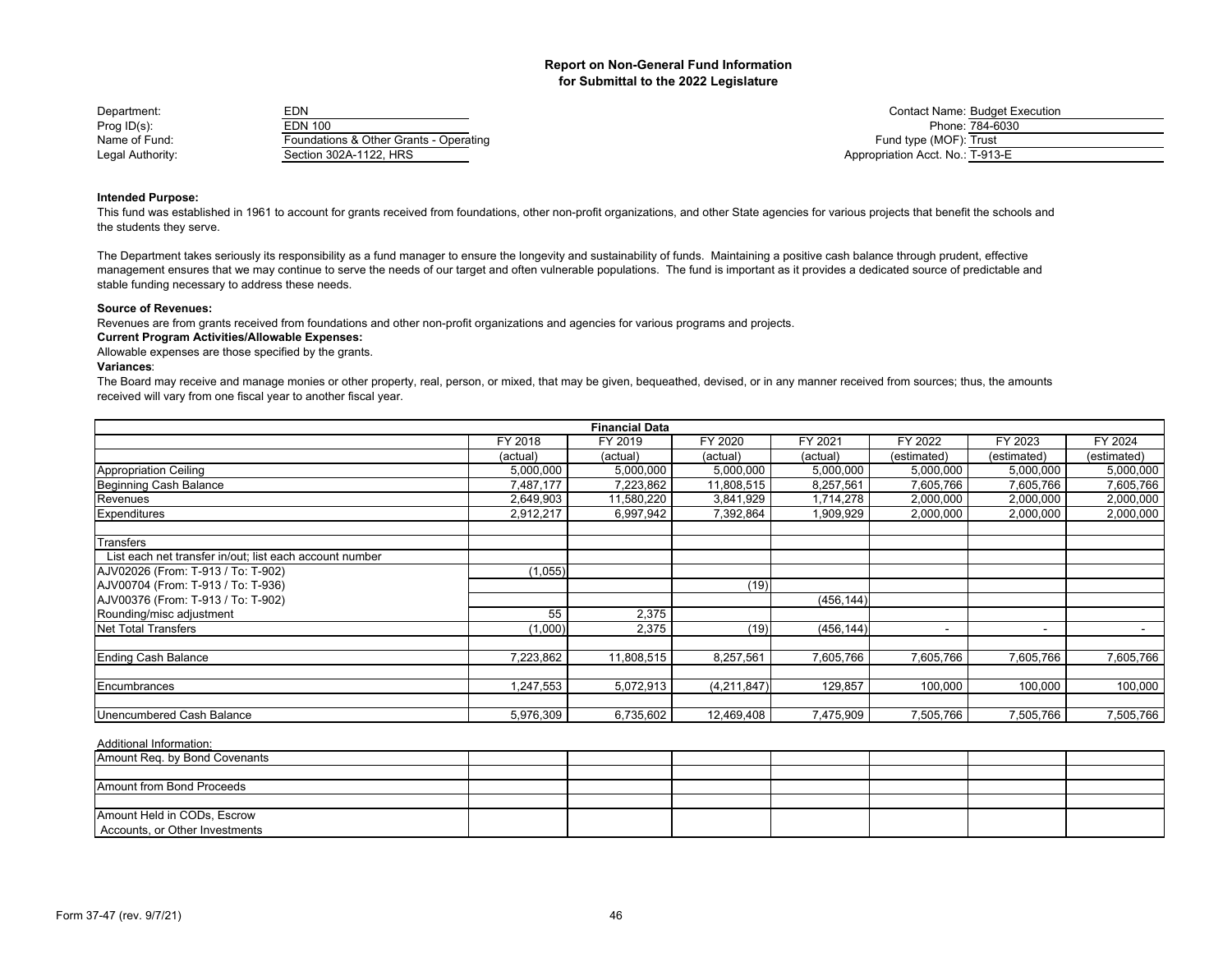| Department:      | EDN                                    | <b>Contact Name: Budget E</b>    |
|------------------|----------------------------------------|----------------------------------|
| Prog $ID(s)$ :   | EDN 100                                | Phone: 784-6030                  |
| Name of Fund:    | Foundations & Other Grants - Operating | Fund type (MOF): Trust           |
| Legal Authority: | Section 302A-1122. HRS                 | Appropriation Acct. No.: T-913-E |

Contact Name: Budget Execution<br>Phone: 784-6030 Fund type (MOF): Trust Appropriation Acct. No.: T-913-E

## **Intended Purpose:**

This fund was established in 1961 to account for grants received from foundations, other non-profit organizations, and other State agencies for various projects that benefit the schools and the students they serve.

The Department takes seriously its responsibility as a fund manager to ensure the longevity and sustainability of funds. Maintaining a positive cash balance through prudent, effective management ensures that we may continue to serve the needs of our target and often vulnerable populations. The fund is important as it provides a dedicated source of predictable and stable funding necessary to address these needs.

### **Source of Revenues:**

Revenues are from grants received from foundations and other non-profit organizations and agencies for various programs and projects.

## **Current Program Activities/Allowable Expenses:**

Allowable expenses are those specified by the grants.

## **Variances**:

The Board may receive and manage monies or other property, real, person, or mixed, that may be given, bequeathed, devised, or in any manner received from sources; thus, the amounts received will vary from one fiscal year to another fiscal year.

|                                                         |           | <b>Financial Data</b> |             |            |                |                          |             |
|---------------------------------------------------------|-----------|-----------------------|-------------|------------|----------------|--------------------------|-------------|
|                                                         | FY 2018   | FY 2019               | FY 2020     | FY 2021    | FY 2022        | FY 2023                  | FY 2024     |
|                                                         | (actual)  | (actual)              | (actual)    | (actual)   | (estimated)    | (estimated)              | (estimated) |
| Appropriation Ceiling                                   | 5,000,000 | 5,000,000             | 5,000,000   | 5,000,000  | 5,000,000      | 5,000,000                | 5,000,000   |
| Beginning Cash Balance                                  | 7.487.177 | 7,223,862             | 11,808,515  | 8,257,561  | 7,605,766      | 7,605,766                | 7,605,766   |
| Revenues                                                | 2,649,903 | 11,580,220            | 3,841,929   | 1,714,278  | 2,000,000      | 2,000,000                | 2,000,000   |
| Expenditures                                            | 2,912,217 | 6,997,942             | 7,392,864   | 1,909,929  | 2,000,000      | 2,000,000                | 2,000,000   |
| Transfers                                               |           |                       |             |            |                |                          |             |
| List each net transfer in/out; list each account number |           |                       |             |            |                |                          |             |
| AJV02026 (From: T-913 / To: T-902)                      | (1,055)   |                       |             |            |                |                          |             |
| AJV00704 (From: T-913 / To: T-936)                      |           |                       | (19)        |            |                |                          |             |
| AJV00376 (From: T-913 / To: T-902)                      |           |                       |             | (456, 144) |                |                          |             |
| Rounding/misc adjustment                                | 55        | 2,375                 |             |            |                |                          |             |
| <b>Net Total Transfers</b>                              | (1,000)   | 2,375                 | (19)        | (456, 144) | $\blacksquare$ | $\overline{\phantom{a}}$ |             |
|                                                         |           |                       |             |            |                |                          |             |
| Ending Cash Balance                                     | 7,223,862 | 11,808,515            | 8,257,561   | 7,605,766  | 7,605,766      | 7,605,766                | 7,605,766   |
| Encumbrances                                            | 1,247,553 | 5,072,913             | (4,211,847) | 129,857    | 100,000        | 100,000                  | 100,000     |
|                                                         |           |                       |             |            |                |                          |             |
| Unencumbered Cash Balance                               | 5,976,309 | 6,735,602             | 12,469,408  | 7,475,909  | 7,505,766      | 7,505,766                | 7,505,766   |

| Amount Req. by Bond Covenants  |  |  |  |  |
|--------------------------------|--|--|--|--|
|                                |  |  |  |  |
| Amount from Bond Proceeds      |  |  |  |  |
|                                |  |  |  |  |
| Amount Held in CODs, Escrow    |  |  |  |  |
| Accounts, or Other Investments |  |  |  |  |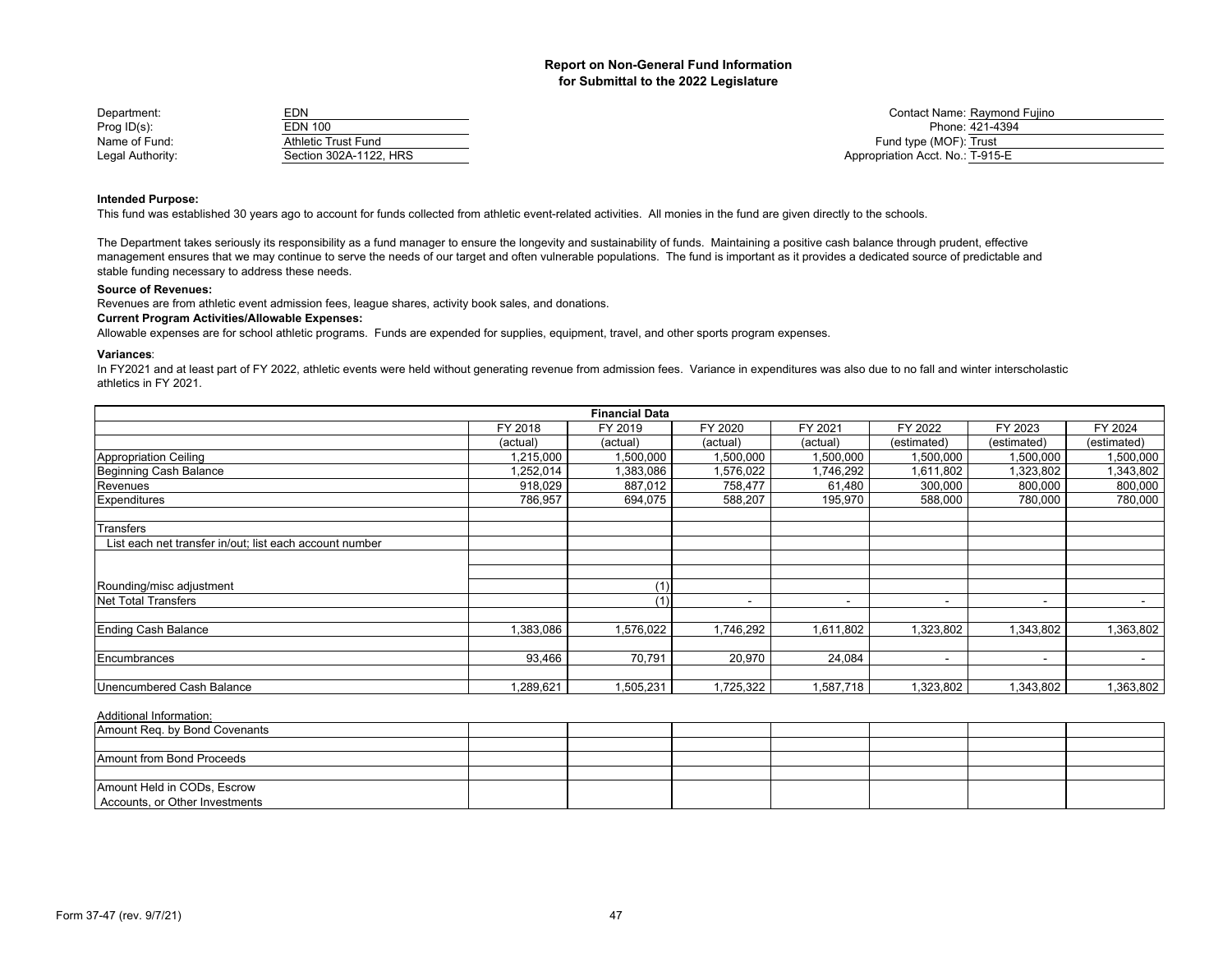| Department:      | EDN                        | Contact Name: Raymond Fujino     |
|------------------|----------------------------|----------------------------------|
| Prog $ID(s)$ :   | EDN 100                    | Phone: 421-4394                  |
| Name of Fund:    | <b>Athletic Trust Fund</b> | Fund type (MOF): Trust           |
| Legal Authority: | Section 302A-1122. HRS     | Appropriation Acct. No.: T-915-E |

## **Intended Purpose:**

This fund was established 30 years ago to account for funds collected from athletic event-related activities. All monies in the fund are given directly to the schools.

The Department takes seriously its responsibility as a fund manager to ensure the longevity and sustainability of funds. Maintaining a positive cash balance through prudent, effective management ensures that we may continue to serve the needs of our target and often vulnerable populations. The fund is important as it provides a dedicated source of predictable and stable funding necessary to address these needs.

#### **Source of Revenues:**

Revenues are from athletic event admission fees, league shares, activity book sales, and donations.

## **Current Program Activities/Allowable Expenses:**

Allowable expenses are for school athletic programs. Funds are expended for supplies, equipment, travel, and other sports program expenses.

#### **Variances**:

In FY2021 and at least part of FY 2022, athletic events were held without generating revenue from admission fees. Variance in expenditures was also due to no fall and winter interscholastic athletics in FY 2021.

|                                                         |           | <b>Financial Data</b> |           |                          |                          |                          |                |
|---------------------------------------------------------|-----------|-----------------------|-----------|--------------------------|--------------------------|--------------------------|----------------|
|                                                         | FY 2018   | FY 2019               | FY 2020   | FY 2021                  | FY 2022                  | FY 2023                  | FY 2024        |
|                                                         | (actual)  | (actual)              | (actual)  | (actual)                 | (estimated)              | (estimated)              | (estimated)    |
| <b>Appropriation Ceiling</b>                            | 1,215,000 | 1,500,000             | 1,500,000 | 1,500,000                | 1,500,000                | 1,500,000                | 1,500,000      |
| Beginning Cash Balance                                  | .252,014  | 1,383,086             | 1,576,022 | 1,746,292                | 1,611,802                | 1,323,802                | 1,343,802      |
| Revenues                                                | 918,029   | 887,012               | 758,477   | 61,480                   | 300,000                  | 800,000                  | 800,000        |
| Expenditures                                            | 786,957   | 694,075               | 588,207   | 195,970                  | 588,000                  | 780,000                  | 780,000        |
| Transfers                                               |           |                       |           |                          |                          |                          |                |
| List each net transfer in/out; list each account number |           |                       |           |                          |                          |                          |                |
|                                                         |           |                       |           |                          |                          |                          |                |
|                                                         |           |                       |           |                          |                          |                          |                |
| Rounding/misc adjustment                                |           | (1)                   |           |                          |                          |                          |                |
| <b>Net Total Transfers</b>                              |           | (1)                   |           | $\overline{\phantom{a}}$ | $\overline{\phantom{0}}$ | $\overline{\phantom{a}}$ |                |
| <b>Ending Cash Balance</b>                              | 1,383,086 | 1,576,022             | 1,746,292 | 1,611,802                | 323,802                  | 1,343,802                | 1,363,802      |
|                                                         |           |                       |           |                          |                          |                          |                |
| Encumbrances                                            | 93,466    | 70,791                | 20,970    | 24,084                   | $\overline{\phantom{a}}$ | $\overline{\phantom{a}}$ | $\blacksquare$ |
|                                                         |           |                       |           |                          |                          |                          |                |
| Unencumbered Cash Balance                               | ,289,621  | 1,505,231             | 1,725,322 | 1,587,718                | 1,323,802                | 1,343,802                | 1,363,802      |

| Amount Req. by Bond Covenants  |  |  |  |  |
|--------------------------------|--|--|--|--|
|                                |  |  |  |  |
| Amount from Bond Proceeds      |  |  |  |  |
|                                |  |  |  |  |
| Amount Held in CODs, Escrow    |  |  |  |  |
| Accounts, or Other Investments |  |  |  |  |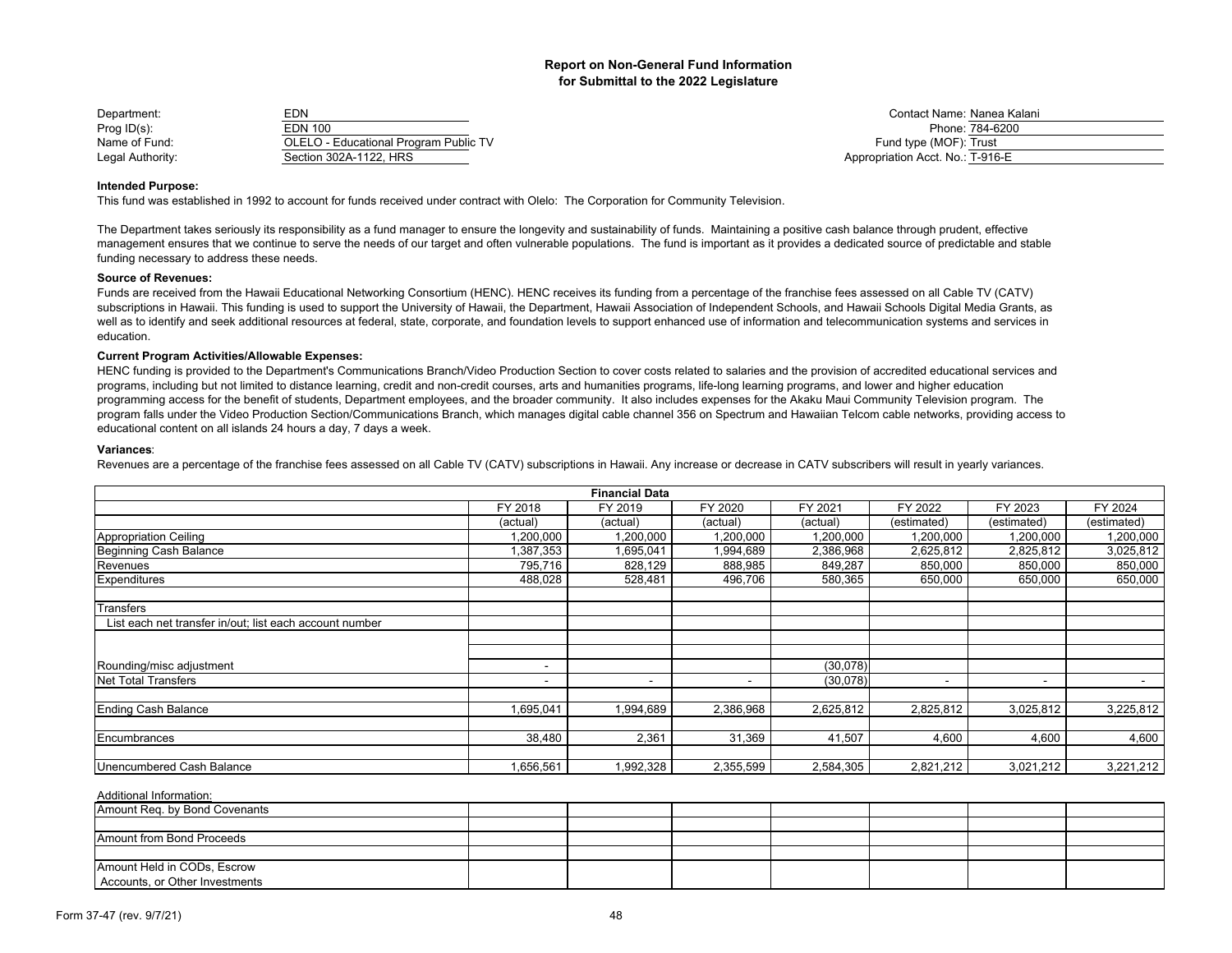| Department:      | EDN                                   | Contact Name: Nanea Ka           |
|------------------|---------------------------------------|----------------------------------|
| Prog $ID(s)$ :   | EDN 100                               | Phone: 784-6200                  |
| Name of Fund:    | OLELO - Educational Program Public TV | Fund type (MOF): Trust           |
| Legal Authority: | Section 302A-1122, HRS                | Appropriation Acct. No.: T-916-E |

Contact Name: Nanea Kalani<br>Phone: 784-6200 Name of Fund type (MOF): Trust **Public 2018** - Educational Program Public Trust Public Trust **Program Public Trust** Appropriation Acct. No.: T-916-E

#### **Intended Purpose:**

This fund was established in 1992 to account for funds received under contract with Olelo: The Corporation for Community Television.

The Department takes seriously its responsibility as a fund manager to ensure the longevity and sustainability of funds. Maintaining a positive cash balance through prudent, effective management ensures that we continue to serve the needs of our target and often vulnerable populations. The fund is important as it provides a dedicated source of predictable and stable funding necessary to address these needs.

#### **Source of Revenues:**

Funds are received from the Hawaii Educational Networking Consortium (HENC). HENC receives its funding from a percentage of the franchise fees assessed on all Cable TV (CATV) subscriptions in Hawaii. This funding is used to support the University of Hawaii, the Department. Hawaii Association of Independent Schools, and Hawaii Schools Digital Media Grants, as well as to identify and seek additional resources at federal, state, corporate, and foundation levels to support enhanced use of information and telecommunication systems and services in education.

#### **Current Program Activities/Allowable Expenses:**

HENC funding is provided to the Department's Communications Branch/Video Production Section to cover costs related to salaries and the provision of accredited educational services and programs, including but not limited to distance learning, credit and non-credit courses, arts and humanities programs, life-long learning programs, and lower and higher education programming access for the benefit of students, Department employees, and the broader community. It also includes expenses for the Akaku Maui Community Television program. The program falls under the Video Production Section/Communications Branch, which manages digital cable channel 356 on Spectrum and Hawaiian Telcom cable networks, providing access to educational content on all islands 24 hours a day, 7 days a week.

#### **Variances**:

Revenues are a percentage of the franchise fees assessed on all Cable TV (CATV) subscriptions in Hawaii. Any increase or decrease in CATV subscribers will result in yearly variances.

| <b>Financial Data</b>                                   |                          |           |           |           |                          |                          |                          |
|---------------------------------------------------------|--------------------------|-----------|-----------|-----------|--------------------------|--------------------------|--------------------------|
|                                                         | FY 2018                  | FY 2019   | FY 2020   | FY 2021   | FY 2022                  | FY 2023                  | FY 2024                  |
|                                                         | (actual)                 | (actual)  | (actual)  | (actual)  | (estimated)              | (estimated)              | (estimated)              |
| <b>Appropriation Ceiling</b>                            | 000,000,                 | 1,200,000 | 1,200,000 | 1,200,000 | 1,200,000                | 1,200,000                | 1,200,000                |
| Beginning Cash Balance                                  | 387,353                  | 1,695,041 | 1,994,689 | 2,386,968 | 2,625,812                | 2,825,812                | 3,025,812                |
| Revenues                                                | 795,716                  | 828,129   | 888,985   | 849,287   | 850,000                  | 850,000                  | 850,000                  |
| Expenditures                                            | 488,028                  | 528,481   | 496,706   | 580,365   | 650,000                  | 650,000                  | 650,000                  |
|                                                         |                          |           |           |           |                          |                          |                          |
| Transfers                                               |                          |           |           |           |                          |                          |                          |
| List each net transfer in/out; list each account number |                          |           |           |           |                          |                          |                          |
|                                                         |                          |           |           |           |                          |                          |                          |
|                                                         |                          |           |           |           |                          |                          |                          |
| Rounding/misc adjustment                                | $\overline{\phantom{0}}$ |           |           | (30,078)  |                          |                          |                          |
| Net Total Transfers                                     | $\overline{\phantom{a}}$ | ۰         |           | (30,078)  | $\overline{\phantom{0}}$ | $\overline{\phantom{a}}$ | $\overline{\phantom{a}}$ |
|                                                         |                          |           |           |           |                          |                          |                          |
| <b>Ending Cash Balance</b>                              | 1,695,041                | 1,994,689 | 2,386,968 | 2,625,812 | 2,825,812                | 3,025,812                | 3,225,812                |
|                                                         |                          |           |           |           |                          |                          |                          |
| Encumbrances                                            | 38,480                   | 2,361     | 31,369    | 41,507    | 4,600                    | 4,600                    | 4,600                    |
|                                                         |                          |           |           |           |                          |                          |                          |
| Unencumbered Cash Balance                               | 656,561                  | ,992,328  | 2,355,599 | 2,584,305 | 2,821,212                | 3,021,212                | 3,221,212                |

| Amount Req. by Bond Covenants                                 |  |  |  |  |
|---------------------------------------------------------------|--|--|--|--|
|                                                               |  |  |  |  |
| Amount from Bond Proceeds                                     |  |  |  |  |
|                                                               |  |  |  |  |
| Amount Held in CODs, Escrow<br>Accounts, or Other Investments |  |  |  |  |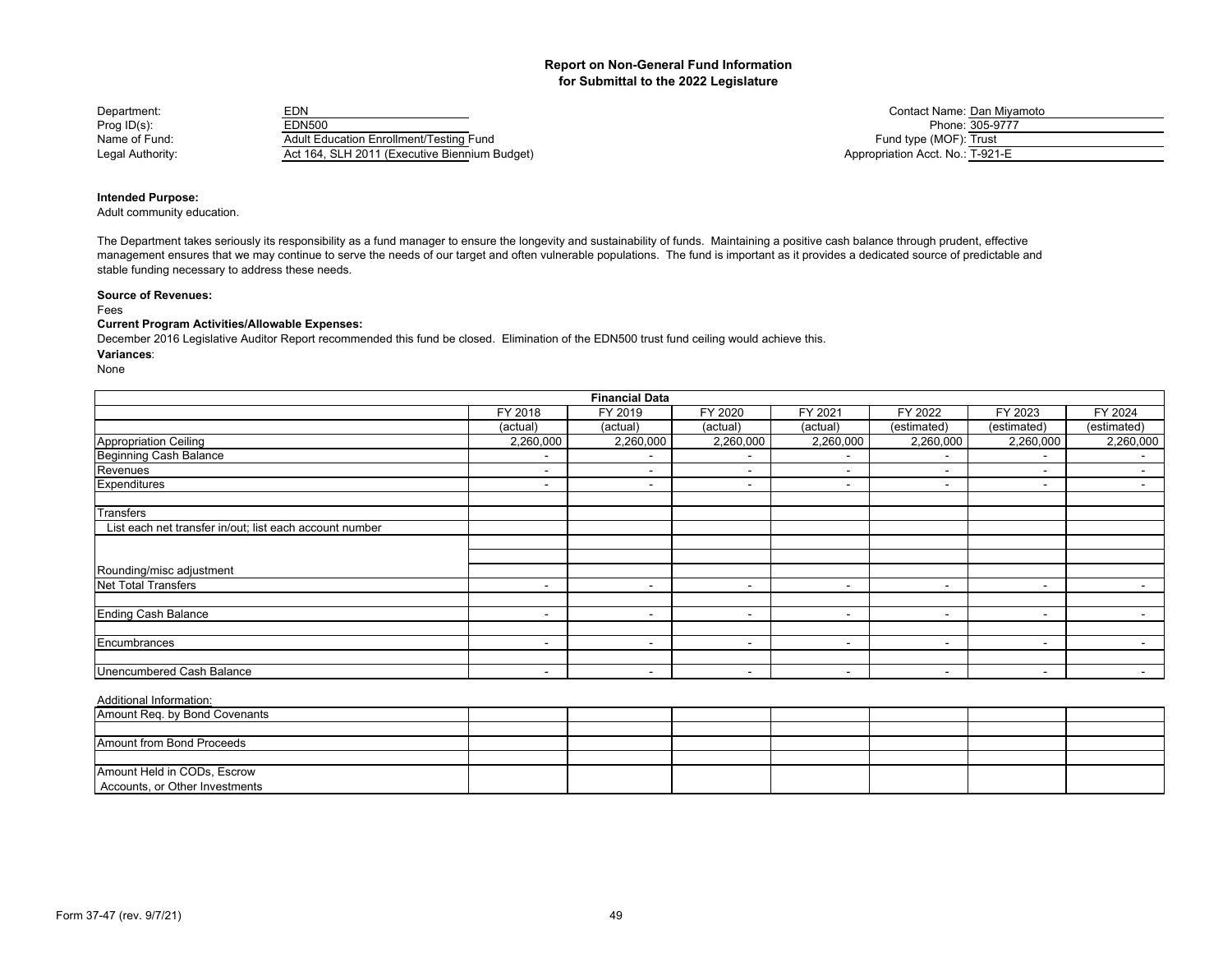Department: EDN EDN EDN EDN Contact Name: Dan Miyamoto Prog ID(s): EDN500 Phone: 305-9777 Name of Fund: **Adult Education Enrollment/Testing Fund** Fund Testing Fund Fund type (MOF): Trust Legal Authority: **Act 164, SLH 2011 (Executive Biennium Budget) Acceder 164, SLH 2011 (Executive Biennium Budget) Acceder 164, SLH 2011** (Executive Biennium Budget)

## **Intended Purpose:**

Adult community education.

The Department takes seriously its responsibility as a fund manager to ensure the longevity and sustainability of funds. Maintaining a positive cash balance through prudent, effective management ensures that we may continue to serve the needs of our target and often vulnerable populations. The fund is important as it provides a dedicated source of predictable and stable funding necessary to address these needs.

## **Source of Revenues:**

Fees

## **Current Program Activities/Allowable Expenses:**

**Variances**: December 2016 Legislative Auditor Report recommended this fund be closed. Elimination of the EDN500 trust fund ceiling would achieve this.

None

|                                                         |                          | <b>Financial Data</b>    |                          |                          |                          |                          |             |
|---------------------------------------------------------|--------------------------|--------------------------|--------------------------|--------------------------|--------------------------|--------------------------|-------------|
|                                                         | FY 2018                  | FY 2019                  | FY 2020                  | FY 2021                  | FY 2022                  | FY 2023                  | FY 2024     |
|                                                         | (actual)                 | (actual)                 | (actual)                 | (actual)                 | (estimated)              | (estimated)              | (estimated) |
| <b>Appropriation Ceiling<br/>Beginning Cash Balance</b> | 2,260,000                | 2,260,000                | 2,260,000                | 2,260,000                | 2,260,000                | 2,260,000                | 2,260,000   |
|                                                         | $\overline{\phantom{a}}$ |                          |                          |                          | $\overline{\phantom{a}}$ | $\overline{\phantom{0}}$ |             |
| Revenues                                                | $\overline{\phantom{a}}$ | -                        | -                        | $\overline{\phantom{a}}$ | $\overline{\phantom{0}}$ | $\overline{\phantom{0}}$ | $\sim$      |
| Expenditures                                            | -                        | -                        | -                        | $\overline{\phantom{0}}$ | $\overline{\phantom{0}}$ | $\overline{\phantom{0}}$ | $\sim$      |
| Transfers                                               |                          |                          |                          |                          |                          |                          |             |
| List each net transfer in/out; list each account number |                          |                          |                          |                          |                          |                          |             |
|                                                         |                          |                          |                          |                          |                          |                          |             |
|                                                         |                          |                          |                          |                          |                          |                          |             |
| Rounding/misc adjustment                                |                          |                          |                          |                          |                          |                          |             |
| <b>Net Total Transfers</b>                              | $\overline{\phantom{a}}$ | $\overline{\phantom{a}}$ | $\sim$                   | $\overline{\phantom{a}}$ | $\overline{\phantom{a}}$ | $\blacksquare$           | $\sim$      |
|                                                         |                          |                          |                          |                          |                          |                          |             |
| <b>Ending Cash Balance</b>                              | $\overline{\phantom{a}}$ | -                        | $\overline{\phantom{0}}$ | ٠                        | $\overline{\phantom{a}}$ | $\overline{\phantom{a}}$ | $\sim$      |
|                                                         |                          |                          |                          |                          |                          |                          |             |
| Encumbrances                                            | $\overline{\phantom{a}}$ | -                        | $\overline{\phantom{0}}$ | $\overline{\phantom{a}}$ | $\,$                     | $\overline{\phantom{0}}$ |             |
|                                                         |                          |                          |                          |                          |                          |                          |             |
| Unencumbered Cash Balance                               | $\overline{\phantom{a}}$ | -                        | $\overline{\phantom{a}}$ | $\overline{\phantom{a}}$ | $\overline{\phantom{a}}$ | $\overline{\phantom{a}}$ | $\sim$      |

| Amount Reg. by Bond Covenants  |  |  |  |  |
|--------------------------------|--|--|--|--|
|                                |  |  |  |  |
| Amount from Bond Proceeds      |  |  |  |  |
|                                |  |  |  |  |
| Amount Held in CODs, Escrow    |  |  |  |  |
| Accounts, or Other Investments |  |  |  |  |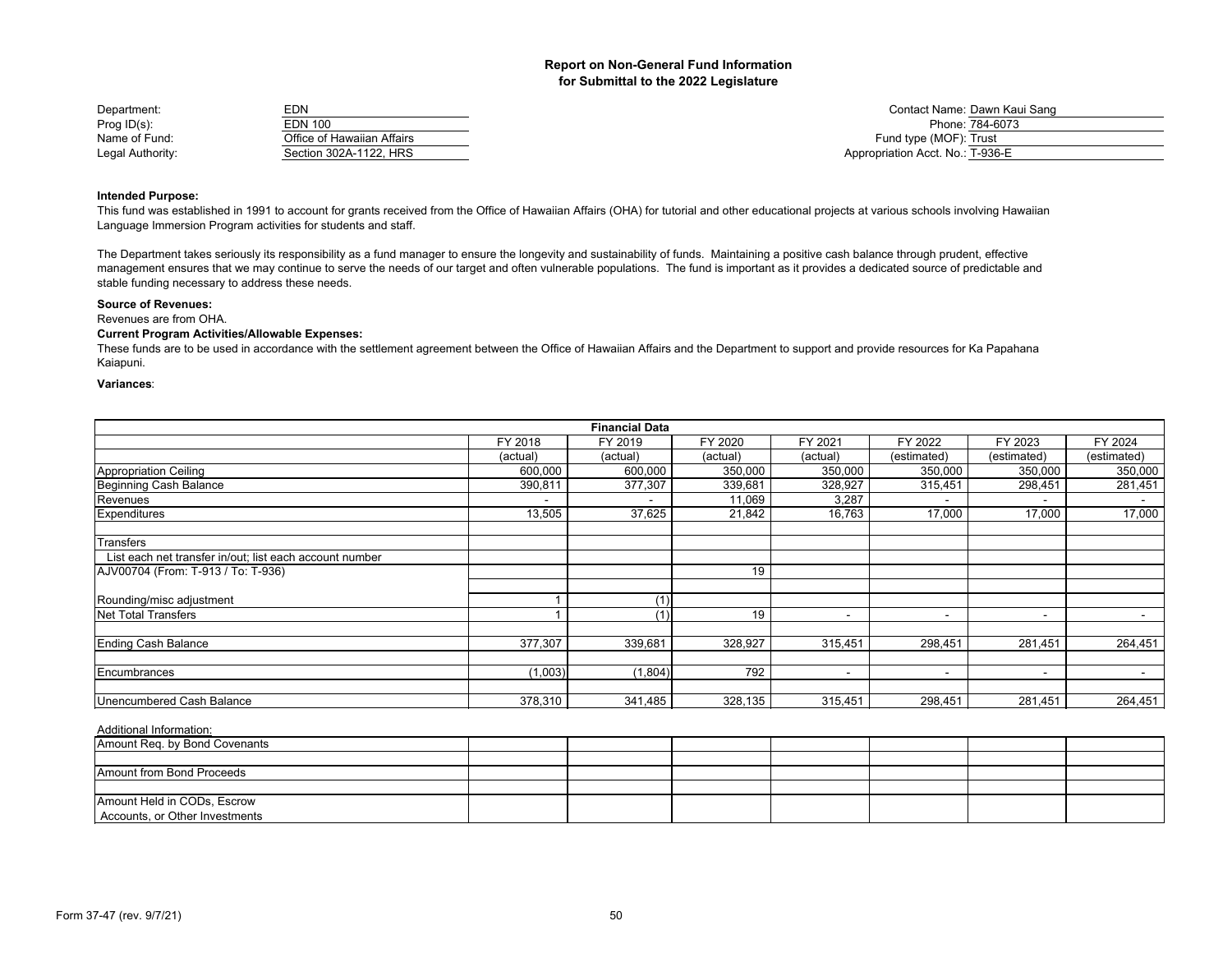| Department:      | EDN                        | Contact Name: Dawn Kaui Sang     |
|------------------|----------------------------|----------------------------------|
| Prog $ID(s)$ :   | EDN 100                    | Phone: 784-6073                  |
| Name of Fund:    | Office of Hawaiian Affairs | Fund type (MOF): Trust           |
| Legal Authority: | Section 302A-1122. HRS     | Appropriation Acct. No.: T-936-E |

## **Intended Purpose:**

This fund was established in 1991 to account for grants received from the Office of Hawaiian Affairs (OHA) for tutorial and other educational projects at various schools involving Hawaiian Language Immersion Program activities for students and staff.

The Department takes seriously its responsibility as a fund manager to ensure the longevity and sustainability of funds. Maintaining a positive cash balance through prudent, effective management ensures that we may continue to serve the needs of our target and often vulnerable populations. The fund is important as it provides a dedicated source of predictable and stable funding necessary to address these needs.

#### **Source of Revenues:**

Revenues are from OHA.

## **Current Program Activities/Allowable Expenses:**

These funds are to be used in accordance with the settlement agreement between the Office of Hawaiian Affairs and the Department to support and provide resources for Ka Papahana Kaiapuni.

#### **Variances**:

|                                                         |          | <b>Financial Data</b> |          |                          |             |                          |                          |
|---------------------------------------------------------|----------|-----------------------|----------|--------------------------|-------------|--------------------------|--------------------------|
|                                                         | FY 2018  | FY 2019               | FY 2020  | FY 2021                  | FY 2022     | FY 2023                  | FY 2024                  |
|                                                         | (actual) | (actual)              | (actual) | (actual)                 | (estimated) | (estimated)              | (estimated)              |
| Appropriation Ceiling                                   | 600,000  | 600,000               | 350,000  | 350,000                  | 350,000     | 350,000                  | 350,000                  |
| Beginning Cash Balance                                  | 390,811  | 377,307               | 339,681  | 328,927                  | 315,451     | 298,451                  | 281,451                  |
| Revenues                                                |          |                       | 11,069   | 3,287                    |             |                          |                          |
| Expenditures                                            | 13,505   | 37,625                | 21,842   | 16,763                   | 17,000      | 17,000                   | 17,000                   |
| <b>Transfers</b>                                        |          |                       |          |                          |             |                          |                          |
| List each net transfer in/out; list each account number |          |                       |          |                          |             |                          |                          |
| AJV00704 (From: T-913 / To: T-936)                      |          |                       | 19       |                          |             |                          |                          |
| Rounding/misc adjustment                                |          | (1)                   |          |                          |             |                          |                          |
| Net Total Transfers                                     |          | (1)                   | 19       | $\overline{\phantom{a}}$ | ٠           | $\overline{\phantom{0}}$ | $\overline{\phantom{a}}$ |
| <b>Ending Cash Balance</b>                              | 377,307  | 339,681               | 328,927  | 315,451                  | 298,451     | 281,451                  | 264,451                  |
| Encumbrances                                            | (1,003)  | (1, 804)              | 792      | $\overline{\phantom{a}}$ | ٠           | $\sim$                   |                          |
| Unencumbered Cash Balance                               | 378,310  | 341,485               | 328,135  | 315,451                  | 298,451     | 281,451                  | 264,451                  |

| Amount Req. by Bond Covenants                                 |  |  |  |  |
|---------------------------------------------------------------|--|--|--|--|
|                                                               |  |  |  |  |
| Amount from Bond Proceeds                                     |  |  |  |  |
|                                                               |  |  |  |  |
| Amount Held in CODs, Escrow<br>Accounts, or Other Investments |  |  |  |  |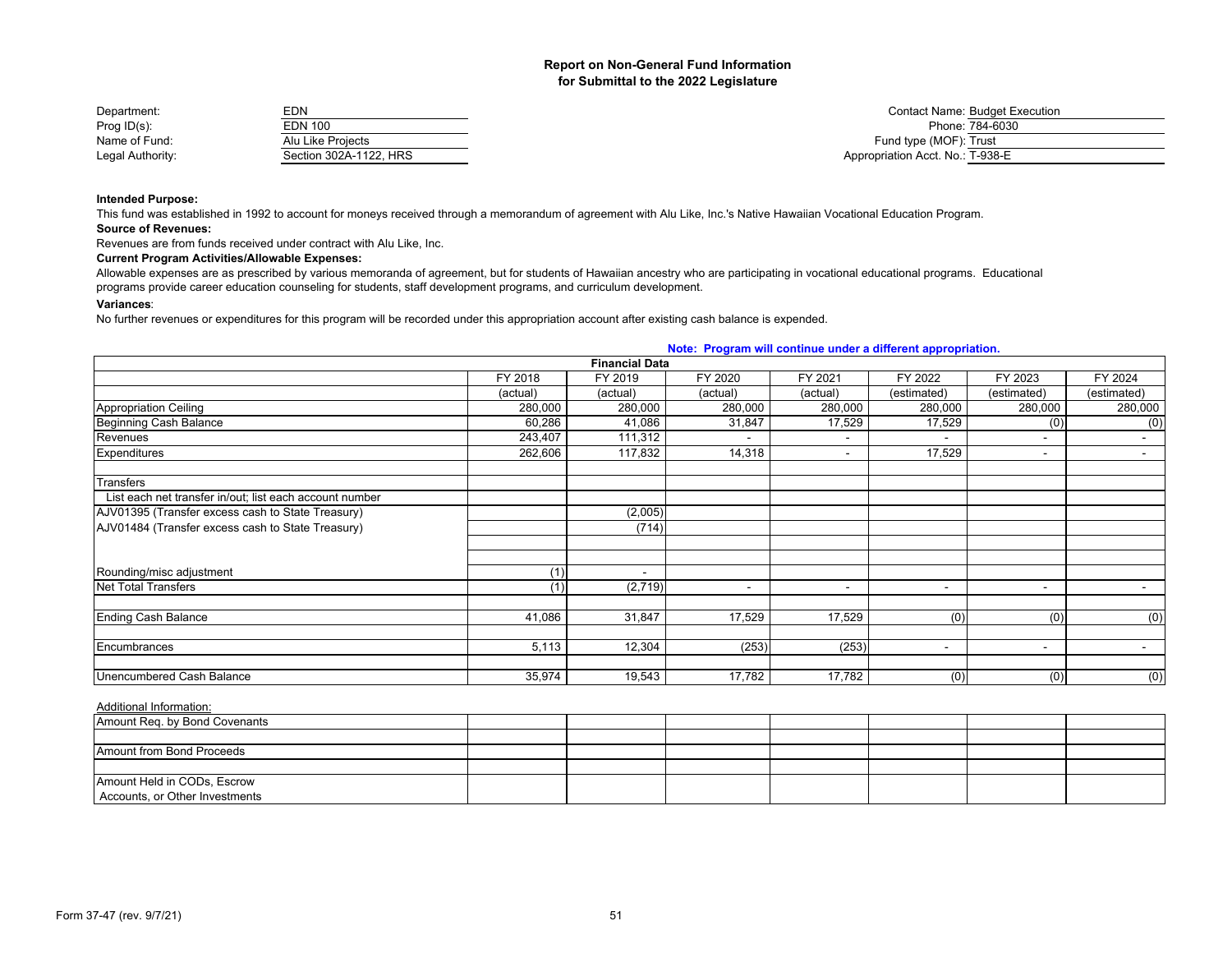| Department:      | <b>EDN</b>             | <b>Contact Name: Budget Execution</b> |
|------------------|------------------------|---------------------------------------|
| Prog $ID(s)$ :   | <b>EDN 100</b>         | Phone: 784-6030                       |
| Name of Fund:    | Alu Like Proiects      | Fund type (MOF): Trust                |
| Legal Authority: | Section 302A-1122. HRS | Appropriation Acct. No.: T-938-E      |

**Intended Purpose:**

This fund was established in 1992 to account for moneys received through a memorandum of agreement with Alu Like, Inc.'s Native Hawaiian Vocational Education Program.

**Source of Revenues:**

Revenues are from funds received under contract with Alu Like, Inc.

## **Current Program Activities/Allowable Expenses:**

Allowable expenses are as prescribed by various memoranda of agreement, but for students of Hawaiian ancestry who are participating in vocational educational programs. Educational programs provide career education counseling for students, staff development programs, and curriculum development.

#### **Variances**:

No further revenues or expenditures for this program will be recorded under this appropriation account after existing cash balance is expended.

|                                                         |                       |                          | Note: Program will continue under a different appropriation. |                          |                          |                          |                |
|---------------------------------------------------------|-----------------------|--------------------------|--------------------------------------------------------------|--------------------------|--------------------------|--------------------------|----------------|
|                                                         | <b>Financial Data</b> |                          |                                                              |                          |                          |                          |                |
|                                                         | FY 2018               | FY 2019                  | FY 2020                                                      | FY 2021                  | FY 2022                  | FY 2023                  | FY 2024        |
|                                                         | (actual)              | (actual)                 | (actual)                                                     | (actual)                 | (estimated)              | (estimated)              | (estimated)    |
| <b>Appropriation Ceiling</b>                            | 280,000               | 280,000                  | 280,000                                                      | 280,000                  | 280,000                  | 280,000                  | 280,000        |
| Beginning Cash Balance                                  | 60,286                | 41,086                   | 31,847                                                       | 17,529                   | 17,529                   | (0)                      | (0)            |
| Revenues                                                | 243,407               | 111,312                  |                                                              | $\overline{\phantom{a}}$ |                          | $\overline{\phantom{a}}$ | $\sim$         |
| Expenditures                                            | 262,606               | 117,832                  | 14,318                                                       | $\overline{\phantom{a}}$ | 17,529                   | $\blacksquare$           |                |
| Transfers                                               |                       |                          |                                                              |                          |                          |                          |                |
| List each net transfer in/out; list each account number |                       |                          |                                                              |                          |                          |                          |                |
| AJV01395 (Transfer excess cash to State Treasury)       |                       | (2,005)                  |                                                              |                          |                          |                          |                |
| AJV01484 (Transfer excess cash to State Treasury)       |                       | (714)                    |                                                              |                          |                          |                          |                |
|                                                         |                       |                          |                                                              |                          |                          |                          |                |
| Rounding/misc adjustment                                | (1)                   | $\overline{\phantom{a}}$ |                                                              |                          |                          |                          |                |
| <b>Net Total Transfers</b>                              | (1)                   | (2,719)                  | $\overline{\phantom{a}}$                                     | $\overline{\phantom{a}}$ | $\overline{\phantom{a}}$ | $\overline{\phantom{a}}$ | $\sim$         |
| <b>Ending Cash Balance</b>                              | 41,086                | 31,847                   | 17,529                                                       | 17,529                   | (0)                      | (0)                      | (0)            |
| Encumbrances                                            | 5,113                 | 12,304                   | (253)                                                        | (253)                    | $\overline{\phantom{a}}$ | $\overline{\phantom{a}}$ | $\sim$         |
| Unencumbered Cash Balance                               | 35,974                | 19,543                   | 17,782                                                       | 17,782                   | (0)                      | (0)                      | $\overline{0}$ |

| Amount Req. by Bond Covenants  |  |  |  |  |
|--------------------------------|--|--|--|--|
|                                |  |  |  |  |
| Amount from Bond Proceeds      |  |  |  |  |
|                                |  |  |  |  |
| Amount Held in CODs, Escrow    |  |  |  |  |
| Accounts, or Other Investments |  |  |  |  |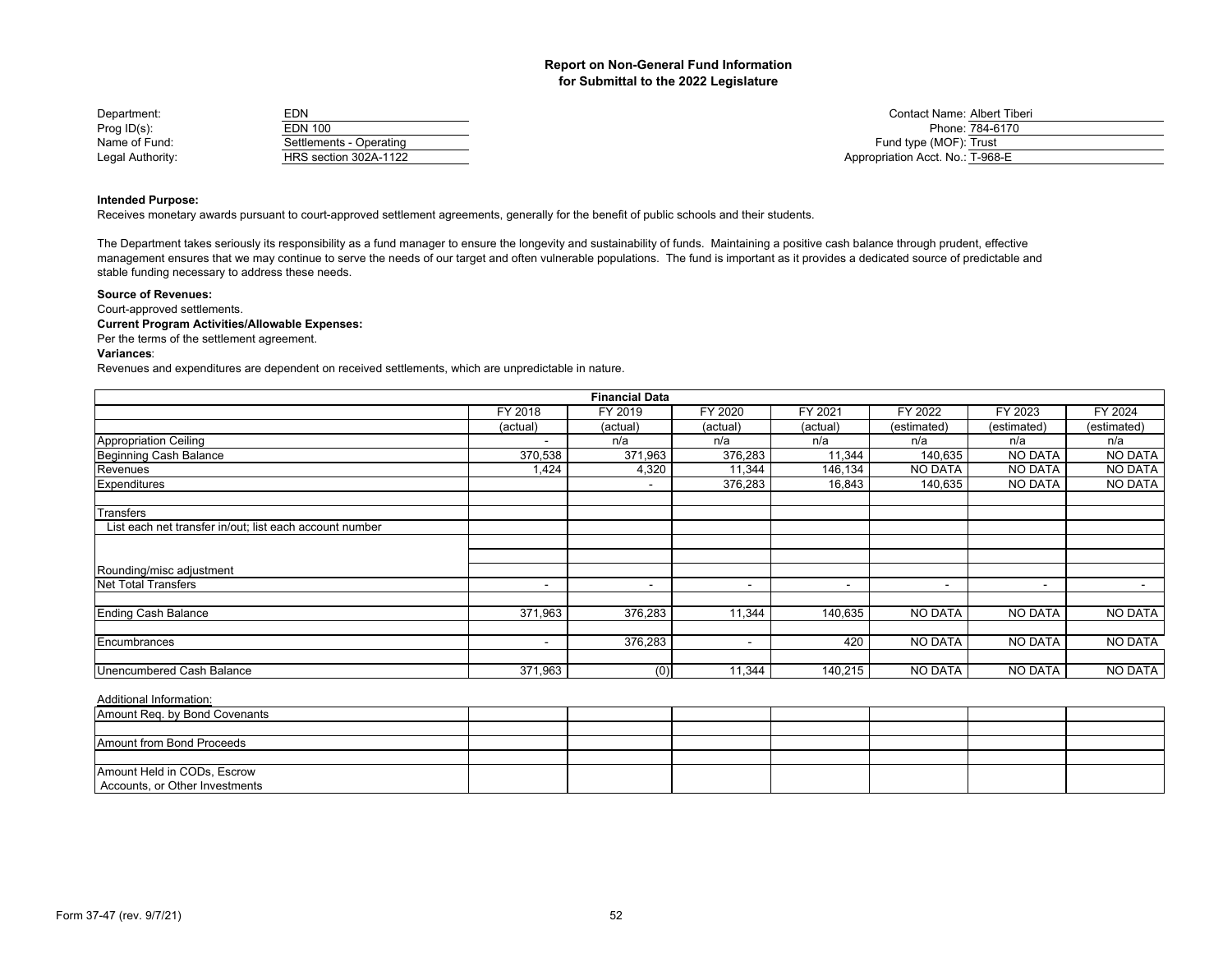| Department:      | <b>EDN</b>              | Contact Name: Albert Tiberi      |
|------------------|-------------------------|----------------------------------|
| Prog $ID(s)$ :   | <b>EDN 100</b>          | Phone: 784-6170                  |
| Name of Fund:    | Settlements - Operating | Fund type (MOF): Trust           |
| Legal Authority: | HRS section 302A-1122   | Appropriation Acct. No.: T-968-E |

## **Intended Purpose:**

Receives monetary awards pursuant to court-approved settlement agreements, generally for the benefit of public schools and their students.

The Department takes seriously its responsibility as a fund manager to ensure the longevity and sustainability of funds. Maintaining a positive cash balance through prudent, effective management ensures that we may continue to serve the needs of our target and often vulnerable populations. The fund is important as it provides a dedicated source of predictable and stable funding necessary to address these needs.

#### **Source of Revenues:**

Court-approved settlements.

## **Current Program Activities/Allowable Expenses:**

Per the terms of the settlement agreement.

#### **Variances**:

Revenues and expenditures are dependent on received settlements, which are unpredictable in nature.

| <b>Financial Data</b> |          |          |                          |                          |                |                |  |  |  |
|-----------------------|----------|----------|--------------------------|--------------------------|----------------|----------------|--|--|--|
| FY 2018               | FY 2019  | FY 2020  | FY 2021                  | FY 2022                  | FY 2023        | FY 2024        |  |  |  |
| (actual)              | (actual) | (actual) | (actual)                 | (estimated)              | (estimated)    | (estimated)    |  |  |  |
|                       | n/a      | n/a      | n/a                      | n/a                      | n/a            | n/a            |  |  |  |
| 370,538               | 371,963  | 376,283  | 11,344                   | 140,635                  | <b>NO DATA</b> | <b>NO DATA</b> |  |  |  |
| 1,424                 | 4,320    | 11,344   | 146,134                  | NO DATA                  | <b>NO DATA</b> | <b>NO DATA</b> |  |  |  |
|                       |          | 376,283  | 16,843                   | 140,635                  | <b>NO DATA</b> | <b>NO DATA</b> |  |  |  |
|                       |          |          |                          |                          |                |                |  |  |  |
|                       |          |          |                          |                          |                |                |  |  |  |
|                       |          |          |                          |                          |                |                |  |  |  |
|                       |          |          |                          |                          |                |                |  |  |  |
|                       |          |          | $\overline{\phantom{a}}$ | $\overline{\phantom{a}}$ | $\sim$         | $\blacksquare$ |  |  |  |
| 371,963               | 376,283  | 11,344   | 140,635                  | <b>NO DATA</b>           | <b>NO DATA</b> | <b>NO DATA</b> |  |  |  |
|                       | 376,283  |          | 420                      | NO DATA                  | <b>NO DATA</b> | <b>NO DATA</b> |  |  |  |
|                       |          |          |                          |                          |                | NO DATA        |  |  |  |
|                       | 371,963  | (0)      | 11,344                   | 140,215                  | NO DATA        | <b>NO DATA</b> |  |  |  |

| Amount Req. by Bond Covenants  |  |  |  |  |
|--------------------------------|--|--|--|--|
|                                |  |  |  |  |
| Amount from Bond Proceeds      |  |  |  |  |
|                                |  |  |  |  |
| Amount Held in CODs, Escrow    |  |  |  |  |
| Accounts, or Other Investments |  |  |  |  |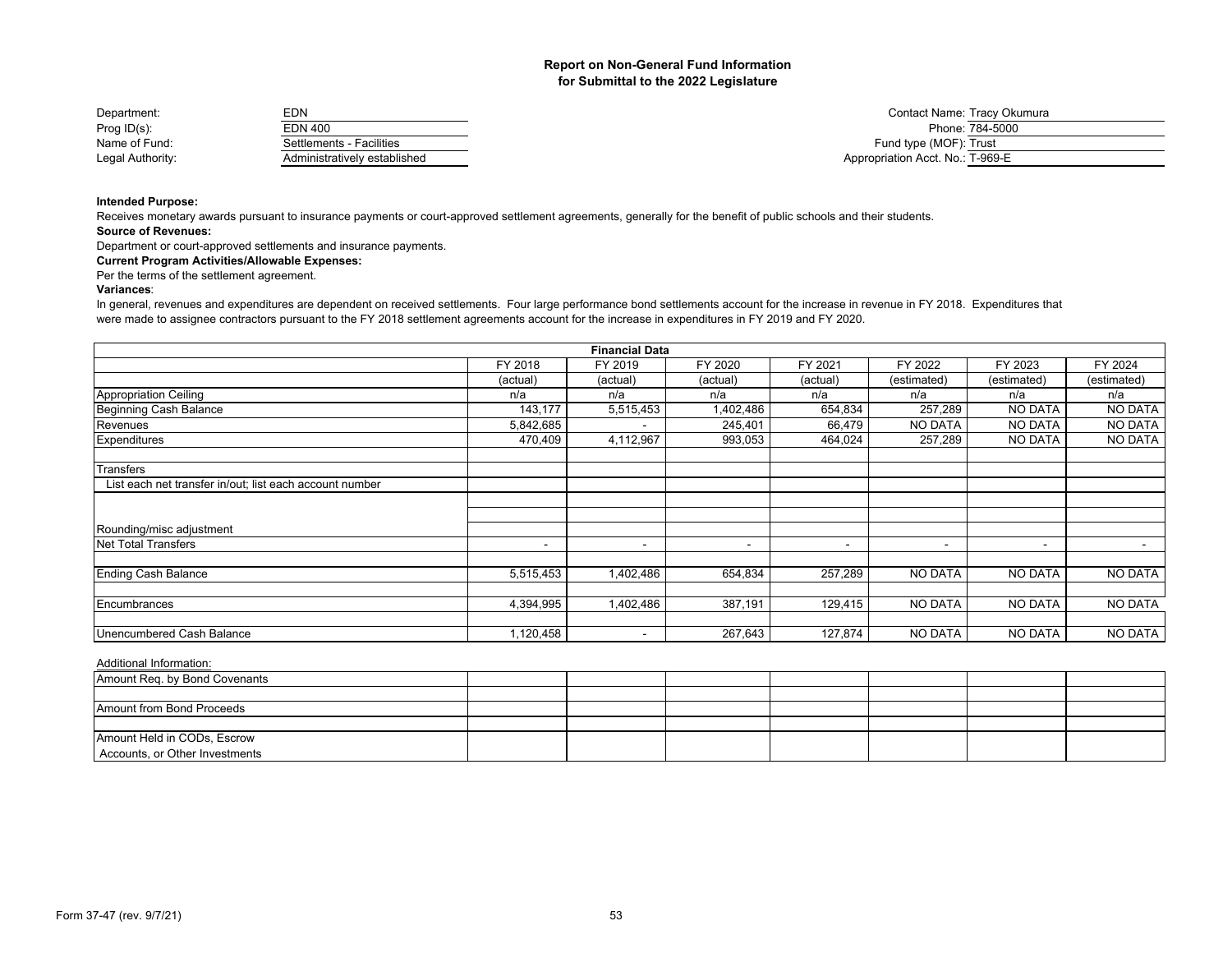| Department:      | EDN                          | Contact Name: Tracy Okumura      |
|------------------|------------------------------|----------------------------------|
| Prog $ID(s)$ :   | EDN 400                      | Phone: 784-5000                  |
| Name of Fund:    | Settlements - Facilities     | Fund type (MOF): Trust           |
| Legal Authority: | Administratively established | Appropriation Acct. No.: T-969-E |

## **Intended Purpose:**

Receives monetary awards pursuant to insurance payments or court-approved settlement agreements, generally for the benefit of public schools and their students.

#### **Source of Revenues:**

Department or court-approved settlements and insurance payments.

## **Current Program Activities/Allowable Expenses:**

Per the terms of the settlement agreement.

## **Variances**:

In general, revenues and expenditures are dependent on received settlements. Four large performance bond settlements account for the increase in revenue in FY 2018. Expenditures that were made to assignee contractors pursuant to the FY 2018 settlement agreements account for the increase in expenditures in FY 2019 and FY 2020.

| <b>Financial Data</b>                                   |                          |                          |           |                          |                |                          |                |  |  |
|---------------------------------------------------------|--------------------------|--------------------------|-----------|--------------------------|----------------|--------------------------|----------------|--|--|
|                                                         | FY 2018                  | FY 2019                  | FY 2020   | FY 2021                  | FY 2022        | FY 2023                  | FY 2024        |  |  |
|                                                         | (actual)                 | (actual)                 | (actual)  | (actual)                 | (estimated)    | (estimated)              | (estimated)    |  |  |
| <b>Appropriation Ceiling</b>                            | n/a                      | n/a                      | n/a       | n/a                      | n/a            | n/a                      | n/a            |  |  |
| Beginning Cash Balance                                  | 143,177                  | 5,515,453                | 1,402,486 | 654,834                  | 257,289        | NO DATA                  | <b>NO DATA</b> |  |  |
| Revenues                                                | 5,842,685                | $\,$                     | 245,401   | 66,479                   | <b>NO DATA</b> | NO DATA                  | <b>NO DATA</b> |  |  |
| Expenditures                                            | 470,409                  | 4,112,967                | 993,053   | 464,024                  | 257,289        | <b>NO DATA</b>           | <b>NO DATA</b> |  |  |
| Transfers                                               |                          |                          |           |                          |                |                          |                |  |  |
| List each net transfer in/out; list each account number |                          |                          |           |                          |                |                          |                |  |  |
|                                                         |                          |                          |           |                          |                |                          |                |  |  |
| Rounding/misc adjustment                                |                          |                          |           |                          |                |                          |                |  |  |
| Net Total Transfers                                     | $\overline{\phantom{a}}$ | $\overline{\phantom{a}}$ | -         | $\overline{\phantom{a}}$ | $\blacksquare$ | $\overline{\phantom{a}}$ | $\sim$         |  |  |
| <b>Ending Cash Balance</b>                              | 5,515,453                | 1,402,486                | 654,834   | 257,289                  | <b>NO DATA</b> | <b>NO DATA</b>           | <b>NO DATA</b> |  |  |
| Encumbrances                                            | 4,394,995                | 1,402,486                | 387,191   | 129,415                  | <b>NO DATA</b> | <b>NO DATA</b>           | <b>NO DATA</b> |  |  |
|                                                         |                          |                          |           |                          |                |                          |                |  |  |
| Unencumbered Cash Balance                               | 1,120,458                | $\overline{\phantom{a}}$ | 267,643   | 127,874                  | <b>NO DATA</b> | NO DATA                  | <b>NO DATA</b> |  |  |

| Amount Req. by Bond Covenants  |  |  |  |  |
|--------------------------------|--|--|--|--|
|                                |  |  |  |  |
| Amount from Bond Proceeds      |  |  |  |  |
|                                |  |  |  |  |
| Amount Held in CODs, Escrow    |  |  |  |  |
| Accounts, or Other Investments |  |  |  |  |